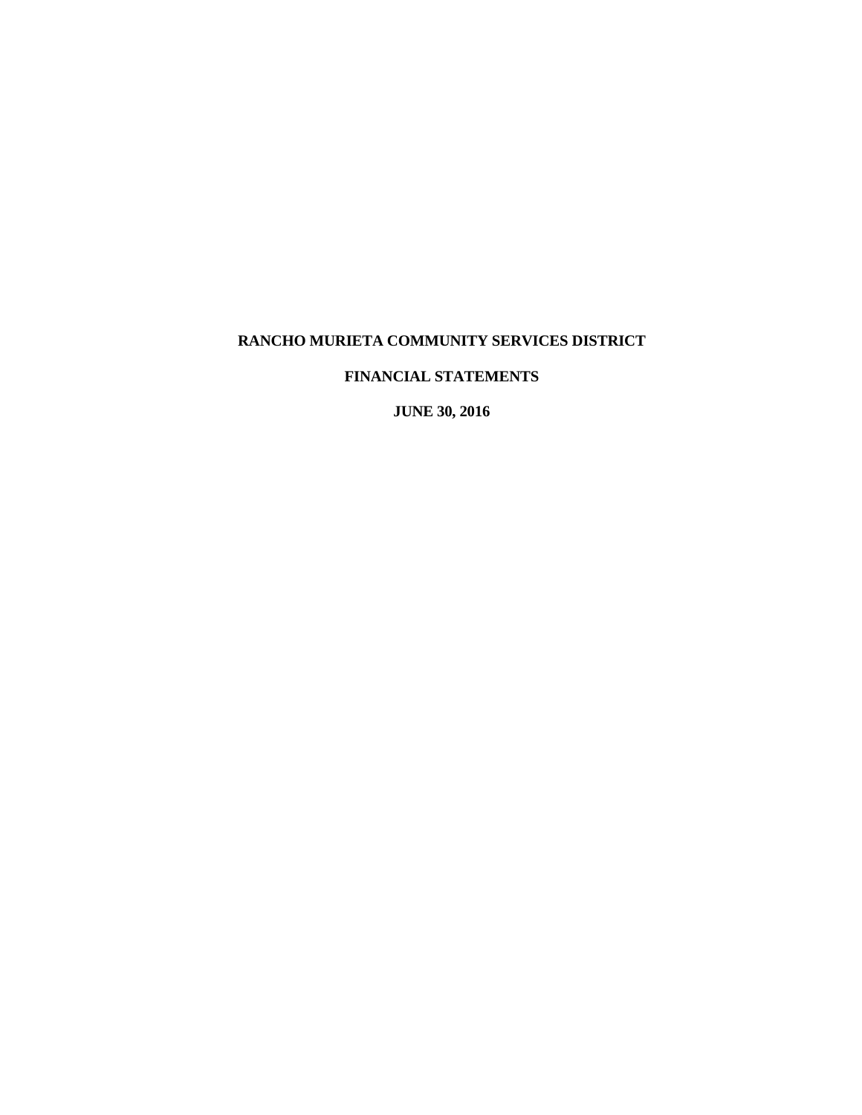# **FINANCIAL STATEMENTS**

 **JUNE 30, 2016**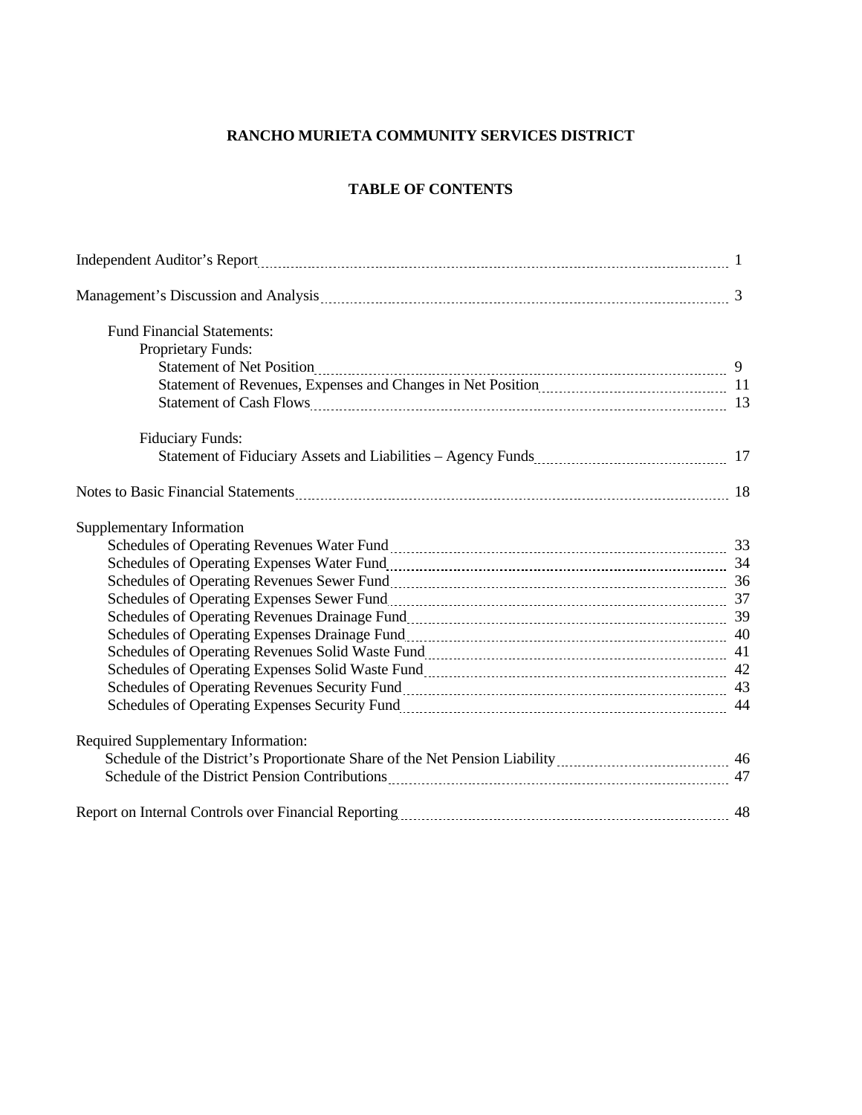# **TABLE OF CONTENTS**

| <b>Fund Financial Statements:</b>                                                                                                                                                                                             |    |
|-------------------------------------------------------------------------------------------------------------------------------------------------------------------------------------------------------------------------------|----|
| Proprietary Funds:                                                                                                                                                                                                            |    |
|                                                                                                                                                                                                                               |    |
|                                                                                                                                                                                                                               |    |
|                                                                                                                                                                                                                               |    |
| <b>Fiduciary Funds:</b>                                                                                                                                                                                                       |    |
|                                                                                                                                                                                                                               |    |
| Notes to Basic Financial Statements 2000 and 2000 and 2000 and 2000 and 2000 and 2000 and 2000 and 2000 and 200                                                                                                               |    |
| Supplementary Information                                                                                                                                                                                                     |    |
|                                                                                                                                                                                                                               |    |
|                                                                                                                                                                                                                               |    |
| Schedules of Operating Revenues Sewer Fund [11] [12] Schedules of Operating Revenues Sewer Fund [136] 36                                                                                                                      |    |
| Schedules of Operating Expenses Sewer Fund [11] [12] Schedules of Operating Expenses Sewer Fund [137] [137] 37                                                                                                                |    |
|                                                                                                                                                                                                                               |    |
|                                                                                                                                                                                                                               |    |
|                                                                                                                                                                                                                               |    |
|                                                                                                                                                                                                                               |    |
|                                                                                                                                                                                                                               |    |
| Schedules of Operating Expenses Security Fund<br>144                                                                                                                                                                          |    |
| Required Supplementary Information:                                                                                                                                                                                           |    |
|                                                                                                                                                                                                                               |    |
|                                                                                                                                                                                                                               |    |
| Report on Internal Controls over Financial Reporting [11] [12] The Report on Internal Controls over Financial Reporting [12] The Management of the Report on Internal Controls over Financial Reporting [2012] The Management | 48 |
|                                                                                                                                                                                                                               |    |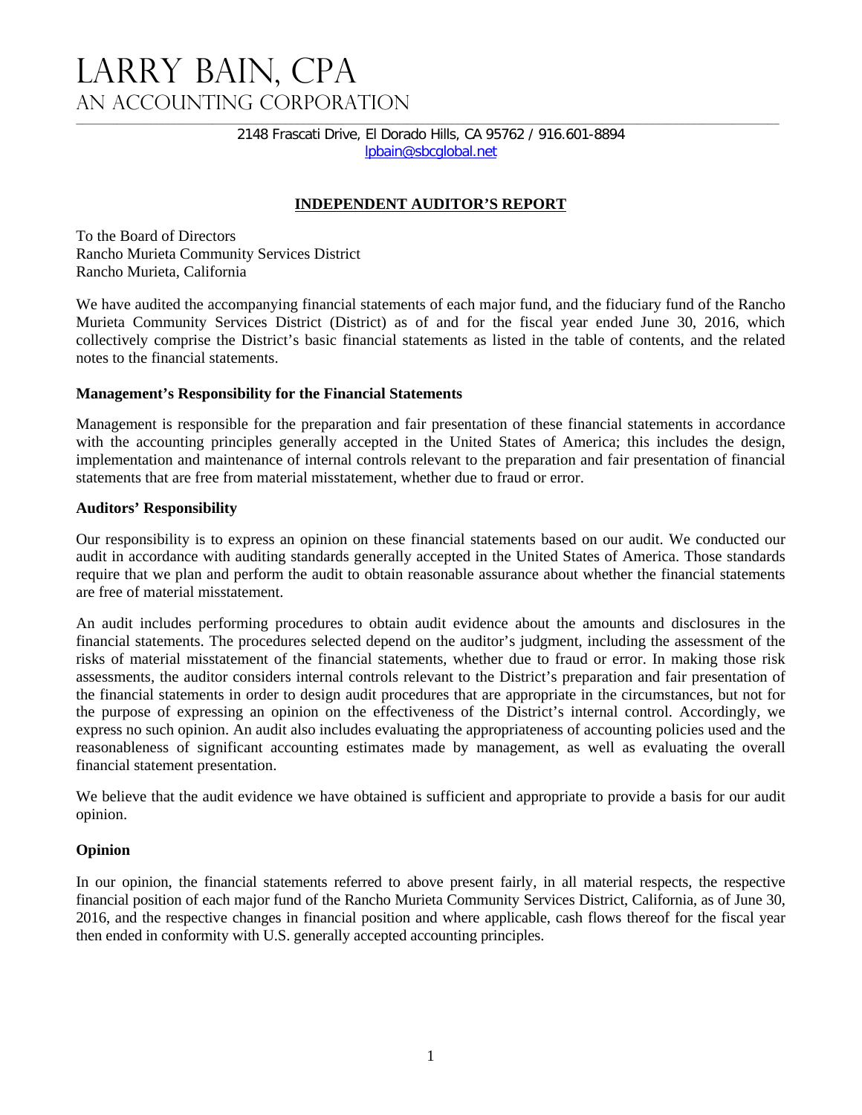# LARRY BAIN, CPA An Accounting Corporation

2148 Frascati Drive, El Dorado Hills, CA 95762 / 916.601-8894 lpbain@sbcglobal.net

# **INDEPENDENT AUDITOR'S REPORT**

To the Board of Directors Rancho Murieta Community Services District Rancho Murieta, California

We have audited the accompanying financial statements of each major fund, and the fiduciary fund of the Rancho Murieta Community Services District (District) as of and for the fiscal year ended June 30, 2016, which collectively comprise the District's basic financial statements as listed in the table of contents, and the related notes to the financial statements.

#### **Management's Responsibility for the Financial Statements**

Management is responsible for the preparation and fair presentation of these financial statements in accordance with the accounting principles generally accepted in the United States of America; this includes the design, implementation and maintenance of internal controls relevant to the preparation and fair presentation of financial statements that are free from material misstatement, whether due to fraud or error.

#### **Auditors' Responsibility**

Our responsibility is to express an opinion on these financial statements based on our audit. We conducted our audit in accordance with auditing standards generally accepted in the United States of America. Those standards require that we plan and perform the audit to obtain reasonable assurance about whether the financial statements are free of material misstatement.

An audit includes performing procedures to obtain audit evidence about the amounts and disclosures in the financial statements. The procedures selected depend on the auditor's judgment, including the assessment of the risks of material misstatement of the financial statements, whether due to fraud or error. In making those risk assessments, the auditor considers internal controls relevant to the District's preparation and fair presentation of the financial statements in order to design audit procedures that are appropriate in the circumstances, but not for the purpose of expressing an opinion on the effectiveness of the District's internal control. Accordingly, we express no such opinion. An audit also includes evaluating the appropriateness of accounting policies used and the reasonableness of significant accounting estimates made by management, as well as evaluating the overall financial statement presentation.

We believe that the audit evidence we have obtained is sufficient and appropriate to provide a basis for our audit opinion.

# **Opinion**

In our opinion, the financial statements referred to above present fairly, in all material respects, the respective financial position of each major fund of the Rancho Murieta Community Services District, California, as of June 30, 2016, and the respective changes in financial position and where applicable, cash flows thereof for the fiscal year then ended in conformity with U.S. generally accepted accounting principles.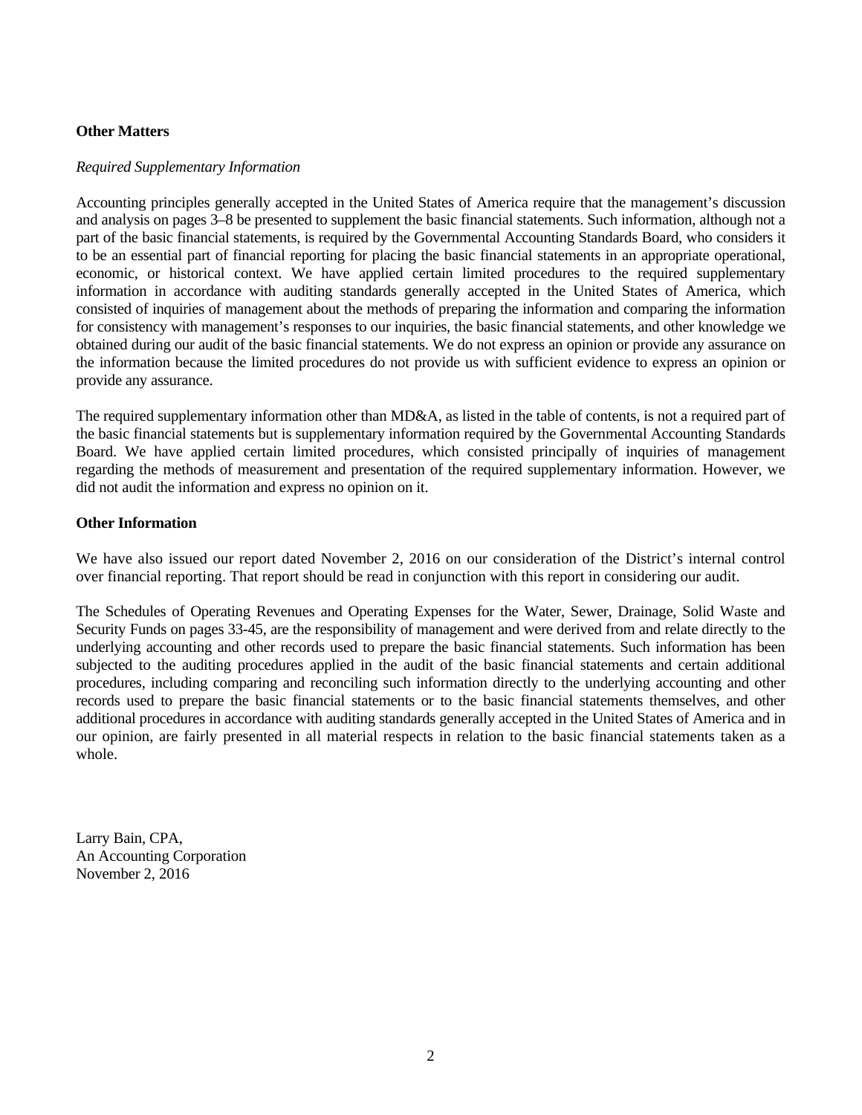# **Other Matters**

#### *Required Supplementary Information*

Accounting principles generally accepted in the United States of America require that the management's discussion and analysis on pages 3–8 be presented to supplement the basic financial statements. Such information, although not a part of the basic financial statements, is required by the Governmental Accounting Standards Board, who considers it to be an essential part of financial reporting for placing the basic financial statements in an appropriate operational, economic, or historical context. We have applied certain limited procedures to the required supplementary information in accordance with auditing standards generally accepted in the United States of America, which consisted of inquiries of management about the methods of preparing the information and comparing the information for consistency with management's responses to our inquiries, the basic financial statements, and other knowledge we obtained during our audit of the basic financial statements. We do not express an opinion or provide any assurance on the information because the limited procedures do not provide us with sufficient evidence to express an opinion or provide any assurance.

The required supplementary information other than MD&A, as listed in the table of contents, is not a required part of the basic financial statements but is supplementary information required by the Governmental Accounting Standards Board. We have applied certain limited procedures, which consisted principally of inquiries of management regarding the methods of measurement and presentation of the required supplementary information. However, we did not audit the information and express no opinion on it.

# **Other Information**

We have also issued our report dated November 2, 2016 on our consideration of the District's internal control over financial reporting. That report should be read in conjunction with this report in considering our audit.

The Schedules of Operating Revenues and Operating Expenses for the Water, Sewer, Drainage, Solid Waste and Security Funds on pages 33-45, are the responsibility of management and were derived from and relate directly to the underlying accounting and other records used to prepare the basic financial statements. Such information has been subjected to the auditing procedures applied in the audit of the basic financial statements and certain additional procedures, including comparing and reconciling such information directly to the underlying accounting and other records used to prepare the basic financial statements or to the basic financial statements themselves, and other additional procedures in accordance with auditing standards generally accepted in the United States of America and in our opinion, are fairly presented in all material respects in relation to the basic financial statements taken as a whole.

Larry Bain, CPA, An Accounting Corporation November 2, 2016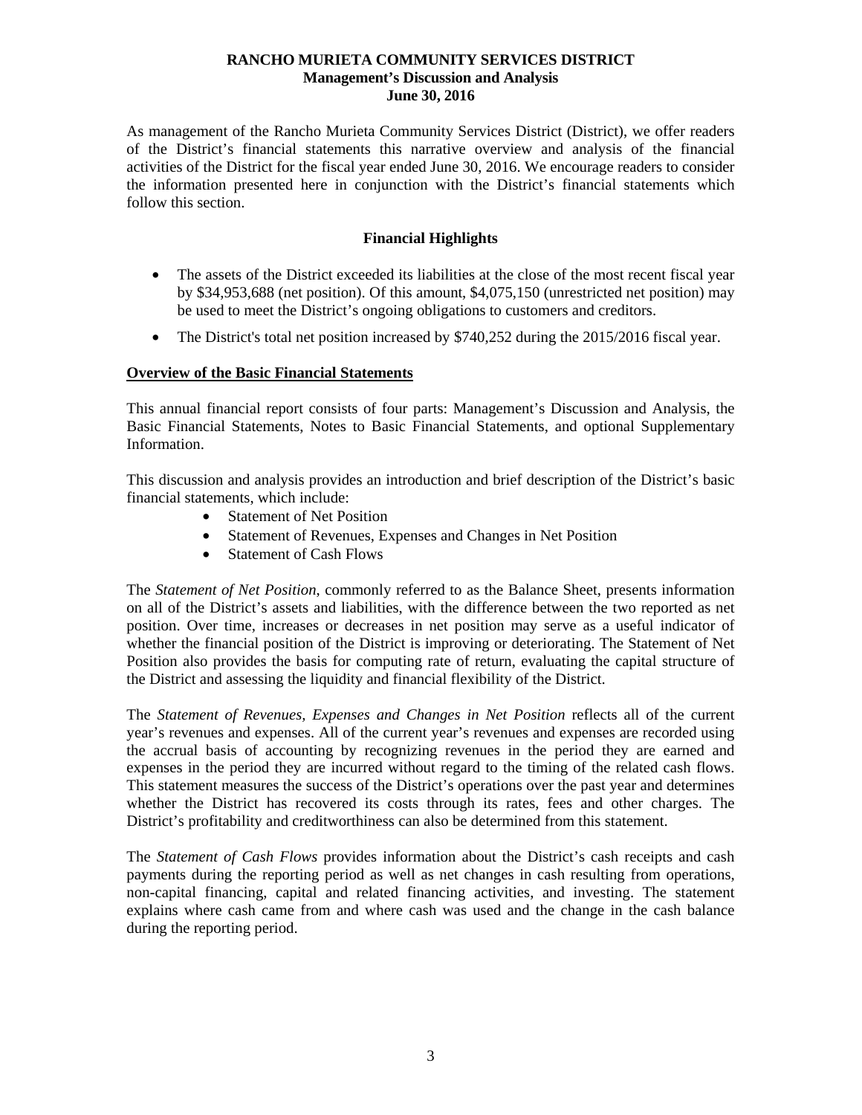As management of the Rancho Murieta Community Services District (District), we offer readers of the District's financial statements this narrative overview and analysis of the financial activities of the District for the fiscal year ended June 30, 2016. We encourage readers to consider the information presented here in conjunction with the District's financial statements which follow this section.

# **Financial Highlights**

- The assets of the District exceeded its liabilities at the close of the most recent fiscal year by \$34,953,688 (net position). Of this amount, \$4,075,150 (unrestricted net position) may be used to meet the District's ongoing obligations to customers and creditors.
- The District's total net position increased by \$740,252 during the 2015/2016 fiscal year.

# **Overview of the Basic Financial Statements**

This annual financial report consists of four parts: Management's Discussion and Analysis, the Basic Financial Statements, Notes to Basic Financial Statements, and optional Supplementary Information.

This discussion and analysis provides an introduction and brief description of the District's basic financial statements, which include:

- Statement of Net Position
- Statement of Revenues, Expenses and Changes in Net Position
- Statement of Cash Flows

The *Statement of Net Position*, commonly referred to as the Balance Sheet, presents information on all of the District's assets and liabilities, with the difference between the two reported as net position. Over time, increases or decreases in net position may serve as a useful indicator of whether the financial position of the District is improving or deteriorating. The Statement of Net Position also provides the basis for computing rate of return, evaluating the capital structure of the District and assessing the liquidity and financial flexibility of the District.

The *Statement of Revenues, Expenses and Changes in Net Position* reflects all of the current year's revenues and expenses. All of the current year's revenues and expenses are recorded using the accrual basis of accounting by recognizing revenues in the period they are earned and expenses in the period they are incurred without regard to the timing of the related cash flows. This statement measures the success of the District's operations over the past year and determines whether the District has recovered its costs through its rates, fees and other charges. The District's profitability and creditworthiness can also be determined from this statement.

The *Statement of Cash Flows* provides information about the District's cash receipts and cash payments during the reporting period as well as net changes in cash resulting from operations, non-capital financing, capital and related financing activities, and investing. The statement explains where cash came from and where cash was used and the change in the cash balance during the reporting period.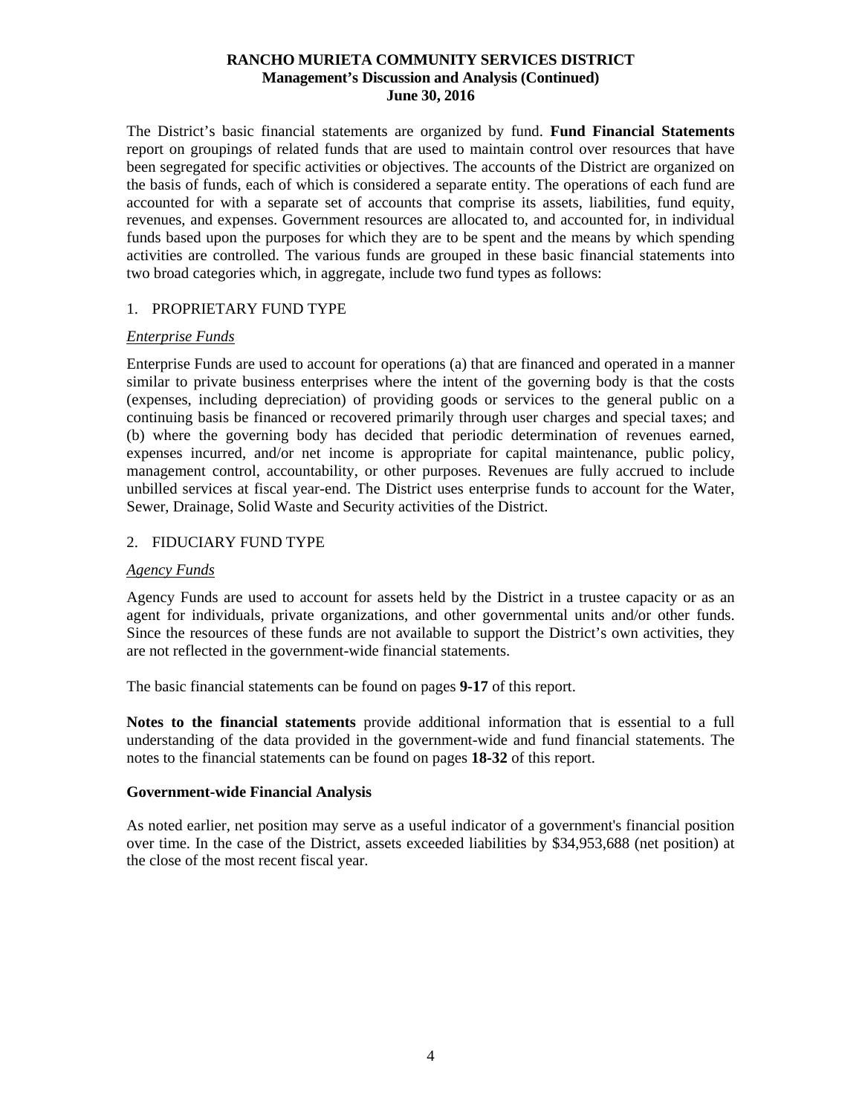The District's basic financial statements are organized by fund. **Fund Financial Statements**  report on groupings of related funds that are used to maintain control over resources that have been segregated for specific activities or objectives. The accounts of the District are organized on the basis of funds, each of which is considered a separate entity. The operations of each fund are accounted for with a separate set of accounts that comprise its assets, liabilities, fund equity, revenues, and expenses. Government resources are allocated to, and accounted for, in individual funds based upon the purposes for which they are to be spent and the means by which spending activities are controlled. The various funds are grouped in these basic financial statements into two broad categories which, in aggregate, include two fund types as follows:

# 1. PROPRIETARY FUND TYPE

# *Enterprise Funds*

Enterprise Funds are used to account for operations (a) that are financed and operated in a manner similar to private business enterprises where the intent of the governing body is that the costs (expenses, including depreciation) of providing goods or services to the general public on a continuing basis be financed or recovered primarily through user charges and special taxes; and (b) where the governing body has decided that periodic determination of revenues earned, expenses incurred, and/or net income is appropriate for capital maintenance, public policy, management control, accountability, or other purposes. Revenues are fully accrued to include unbilled services at fiscal year-end. The District uses enterprise funds to account for the Water, Sewer, Drainage, Solid Waste and Security activities of the District.

# 2. FIDUCIARY FUND TYPE

# *Agency Funds*

Agency Funds are used to account for assets held by the District in a trustee capacity or as an agent for individuals, private organizations, and other governmental units and/or other funds. Since the resources of these funds are not available to support the District's own activities, they are not reflected in the government-wide financial statements.

The basic financial statements can be found on pages **9-17** of this report.

**Notes to the financial statements** provide additional information that is essential to a full understanding of the data provided in the government-wide and fund financial statements. The notes to the financial statements can be found on pages **18-32** of this report.

# **Government-wide Financial Analysis**

As noted earlier, net position may serve as a useful indicator of a government's financial position over time. In the case of the District, assets exceeded liabilities by \$34,953,688 (net position) at the close of the most recent fiscal year.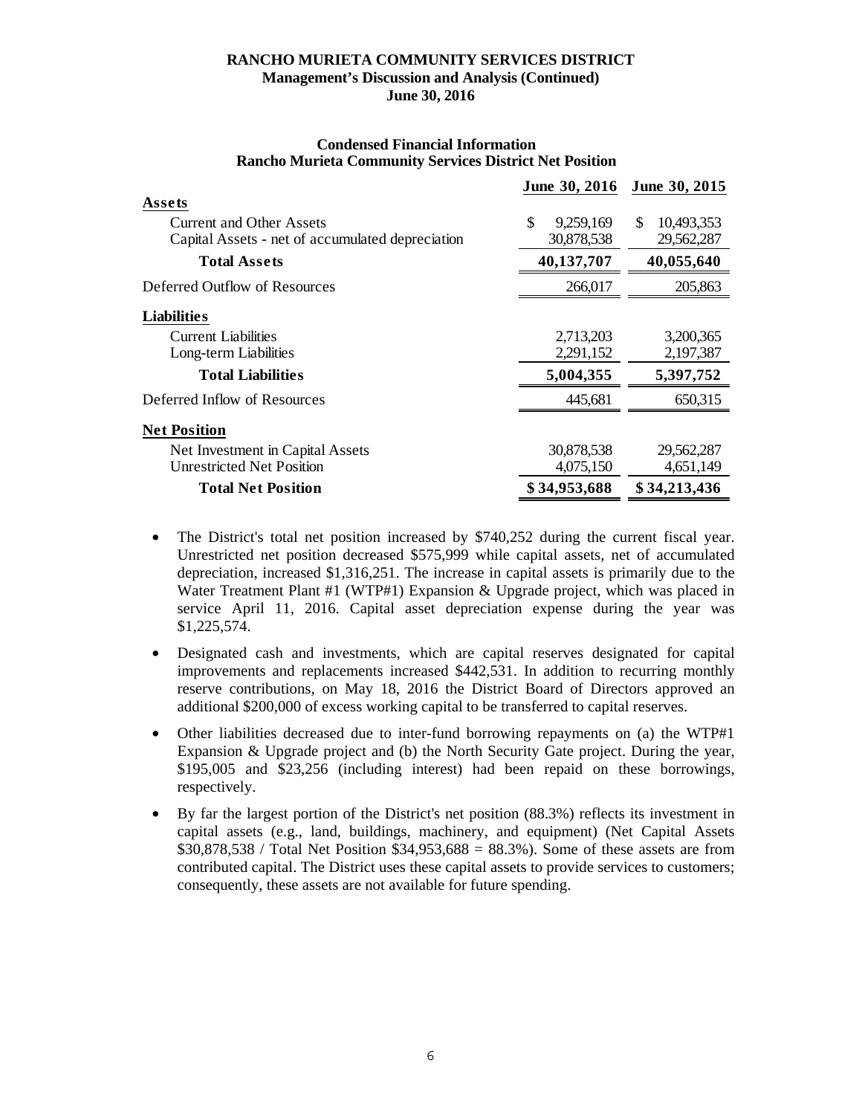|                                                  | June 30, 2016   | June 30, 2015    |
|--------------------------------------------------|-----------------|------------------|
| Assets                                           |                 |                  |
| <b>Current and Other Assets</b>                  | \$<br>9,259,169 | 10,493,353<br>\$ |
| Capital Assets - net of accumulated depreciation | 30,878,538      | 29,562,287       |
| <b>Total Assets</b>                              | 40,137,707      | 40,055,640       |
| Deferred Outflow of Resources                    | 266,017         | 205,863          |
| Liabilities                                      |                 |                  |
| <b>Current Liabilities</b>                       | 2,713,203       | 3,200,365        |
| Long-term Liabilities                            | 2,291,152       | 2,197,387        |
| <b>Total Liabilities</b>                         | 5,004,355       | 5,397,752        |
| Deferred Inflow of Resources                     | 445,681         | 650,315          |
| <b>Net Position</b>                              |                 |                  |
| Net Investment in Capital Assets                 | 30,878,538      | 29,562,287       |
| <b>Unrestricted Net Position</b>                 | 4,075,150       | 4,651,149        |
| <b>Total Net Position</b>                        | \$34,953,688    | \$34,213,436     |

#### **Condensed Financial Information Rancho Murieta Community Services District Net Position**

- The District's total net position increased by \$740,252 during the current fiscal year. Unrestricted net position decreased \$575,999 while capital assets, net of accumulated depreciation, increased \$1,316,251. The increase in capital assets is primarily due to the Water Treatment Plant #1 (WTP#1) Expansion & Upgrade project, which was placed in service April 11, 2016. Capital asset depreciation expense during the year was \$1,225,574.
- Designated cash and investments, which are capital reserves designated for capital improvements and replacements increased \$442,531. In addition to recurring monthly reserve contributions, on May 18, 2016 the District Board of Directors approved an additional \$200,000 of excess working capital to be transferred to capital reserves.
- Other liabilities decreased due to inter-fund borrowing repayments on (a) the WTP#1 Expansion & Upgrade project and (b) the North Security Gate project. During the year, \$195,005 and \$23,256 (including interest) had been repaid on these borrowings, respectively.
- By far the largest portion of the District's net position (88.3%) reflects its investment in capital assets (e.g., land, buildings, machinery, and equipment) (Net Capital Assets \$30,878,538 / Total Net Position \$34,953,688 = 88.3%). Some of these assets are from contributed capital. The District uses these capital assets to provide services to customers; consequently, these assets are not available for future spending.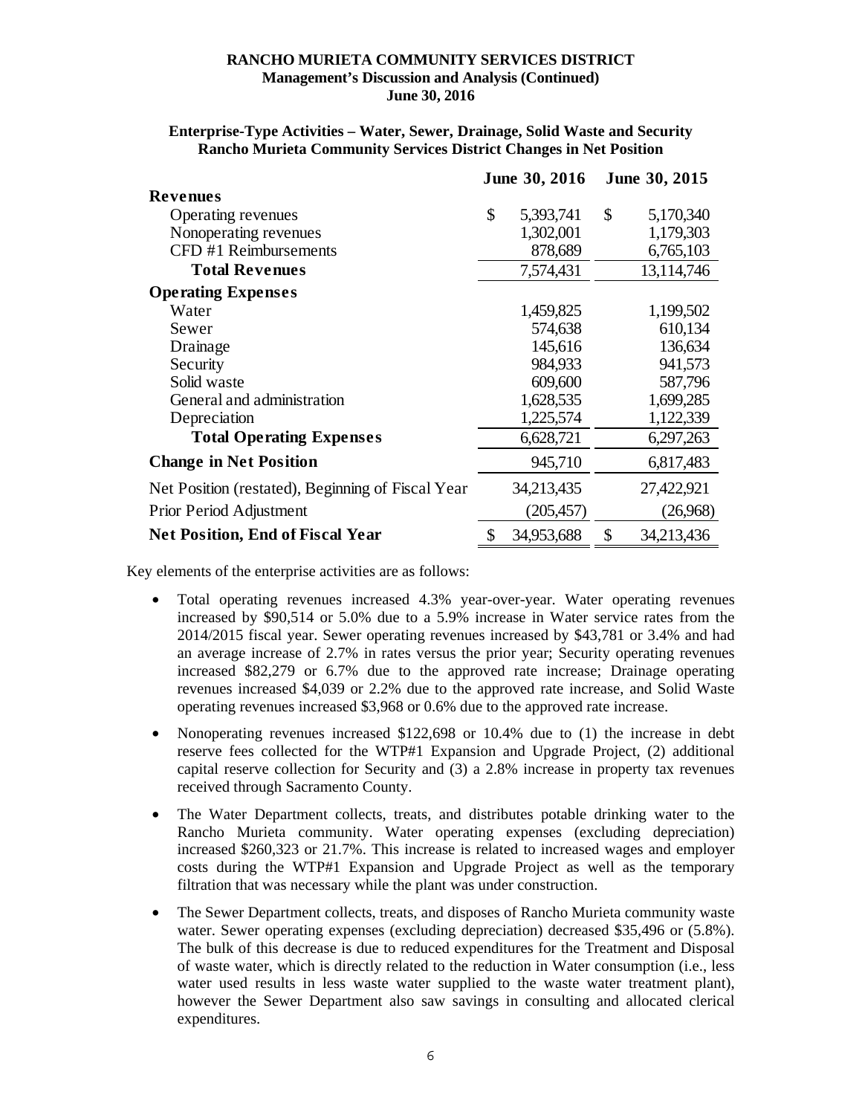|                                                   | June 30, 2016   | June 30, 2015    |
|---------------------------------------------------|-----------------|------------------|
| <b>Revenues</b>                                   |                 |                  |
| Operating revenues                                | \$<br>5,393,741 | \$<br>5,170,340  |
| Nonoperating revenues                             | 1,302,001       | 1,179,303        |
| CFD #1 Reimbursements                             | 878,689         | 6,765,103        |
| <b>Total Revenues</b>                             | 7,574,431       | 13,114,746       |
| <b>Operating Expenses</b>                         |                 |                  |
| Water                                             | 1,459,825       | 1,199,502        |
| Sewer                                             | 574,638         | 610,134          |
| Drainage                                          | 145,616         | 136,634          |
| Security                                          | 984,933         | 941,573          |
| Solid waste                                       | 609,600         | 587,796          |
| General and administration                        | 1,628,535       | 1,699,285        |
| Depreciation                                      | 1,225,574       | 1,122,339        |
| <b>Total Operating Expenses</b>                   | 6,628,721       | 6,297,263        |
| <b>Change in Net Position</b>                     | 945,710         | 6,817,483        |
| Net Position (restated), Beginning of Fiscal Year | 34,213,435      | 27,422,921       |
| Prior Period Adjustment                           | (205, 457)      | (26,968)         |
| <b>Net Position, End of Fiscal Year</b>           | 34,953,688      | \$<br>34,213,436 |

#### **Enterprise-Type Activities – Water, Sewer, Drainage, Solid Waste and Security Rancho Murieta Community Services District Changes in Net Position**

Key elements of the enterprise activities are as follows:

- Total operating revenues increased 4.3% year-over-year. Water operating revenues increased by \$90,514 or 5.0% due to a 5.9% increase in Water service rates from the 2014/2015 fiscal year. Sewer operating revenues increased by \$43,781 or 3.4% and had an average increase of 2.7% in rates versus the prior year; Security operating revenues increased \$82,279 or 6.7% due to the approved rate increase; Drainage operating revenues increased \$4,039 or 2.2% due to the approved rate increase, and Solid Waste operating revenues increased \$3,968 or 0.6% due to the approved rate increase.
- Nonoperating revenues increased \$122,698 or 10.4% due to (1) the increase in debt reserve fees collected for the WTP#1 Expansion and Upgrade Project, (2) additional capital reserve collection for Security and (3) a 2.8% increase in property tax revenues received through Sacramento County.
- The Water Department collects, treats, and distributes potable drinking water to the Rancho Murieta community. Water operating expenses (excluding depreciation) increased \$260,323 or 21.7%. This increase is related to increased wages and employer costs during the WTP#1 Expansion and Upgrade Project as well as the temporary filtration that was necessary while the plant was under construction.
- The Sewer Department collects, treats, and disposes of Rancho Murieta community waste water. Sewer operating expenses (excluding depreciation) decreased \$35,496 or (5.8%). The bulk of this decrease is due to reduced expenditures for the Treatment and Disposal of waste water, which is directly related to the reduction in Water consumption (i.e., less water used results in less waste water supplied to the waste water treatment plant), however the Sewer Department also saw savings in consulting and allocated clerical expenditures.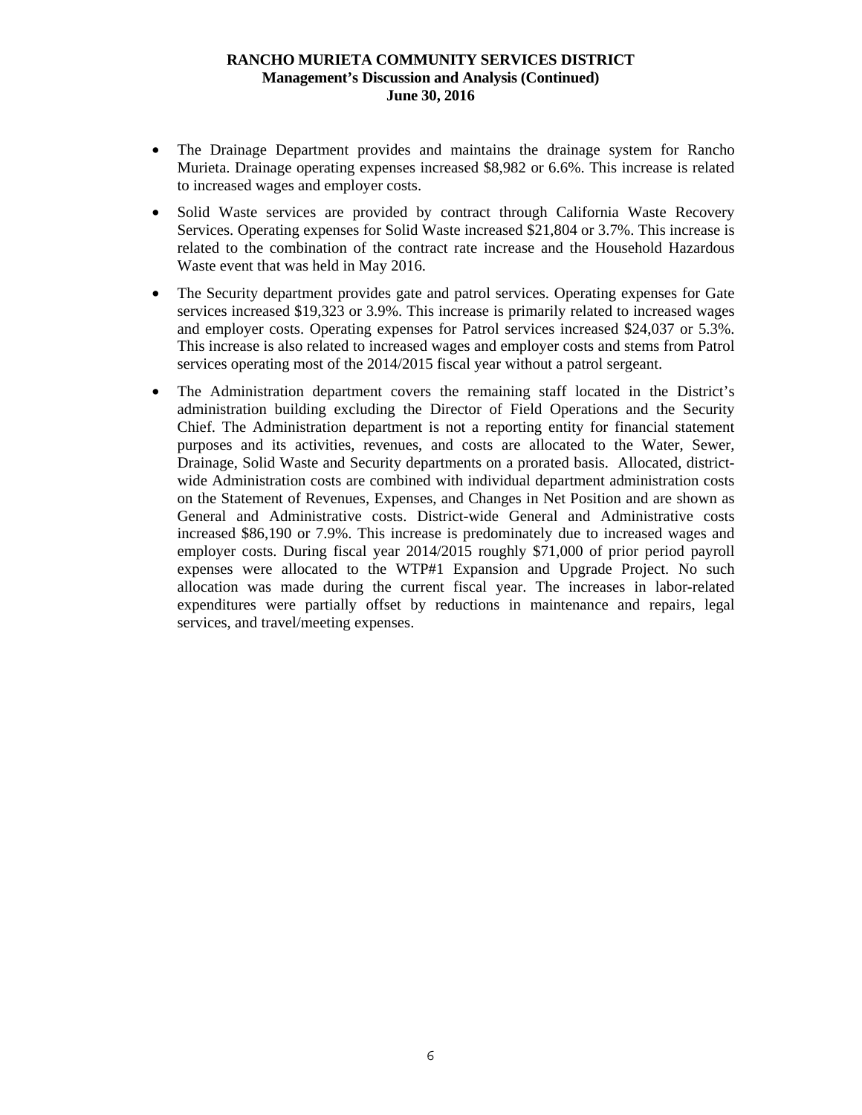- The Drainage Department provides and maintains the drainage system for Rancho Murieta. Drainage operating expenses increased \$8,982 or 6.6%. This increase is related to increased wages and employer costs.
- Solid Waste services are provided by contract through California Waste Recovery Services. Operating expenses for Solid Waste increased \$21,804 or 3.7%. This increase is related to the combination of the contract rate increase and the Household Hazardous Waste event that was held in May 2016.
- The Security department provides gate and patrol services. Operating expenses for Gate services increased \$19,323 or 3.9%. This increase is primarily related to increased wages and employer costs. Operating expenses for Patrol services increased \$24,037 or 5.3%. This increase is also related to increased wages and employer costs and stems from Patrol services operating most of the 2014/2015 fiscal year without a patrol sergeant.
- The Administration department covers the remaining staff located in the District's administration building excluding the Director of Field Operations and the Security Chief. The Administration department is not a reporting entity for financial statement purposes and its activities, revenues, and costs are allocated to the Water, Sewer, Drainage, Solid Waste and Security departments on a prorated basis. Allocated, districtwide Administration costs are combined with individual department administration costs on the Statement of Revenues, Expenses, and Changes in Net Position and are shown as General and Administrative costs. District-wide General and Administrative costs increased \$86,190 or 7.9%. This increase is predominately due to increased wages and employer costs. During fiscal year 2014/2015 roughly \$71,000 of prior period payroll expenses were allocated to the WTP#1 Expansion and Upgrade Project. No such allocation was made during the current fiscal year. The increases in labor-related expenditures were partially offset by reductions in maintenance and repairs, legal services, and travel/meeting expenses.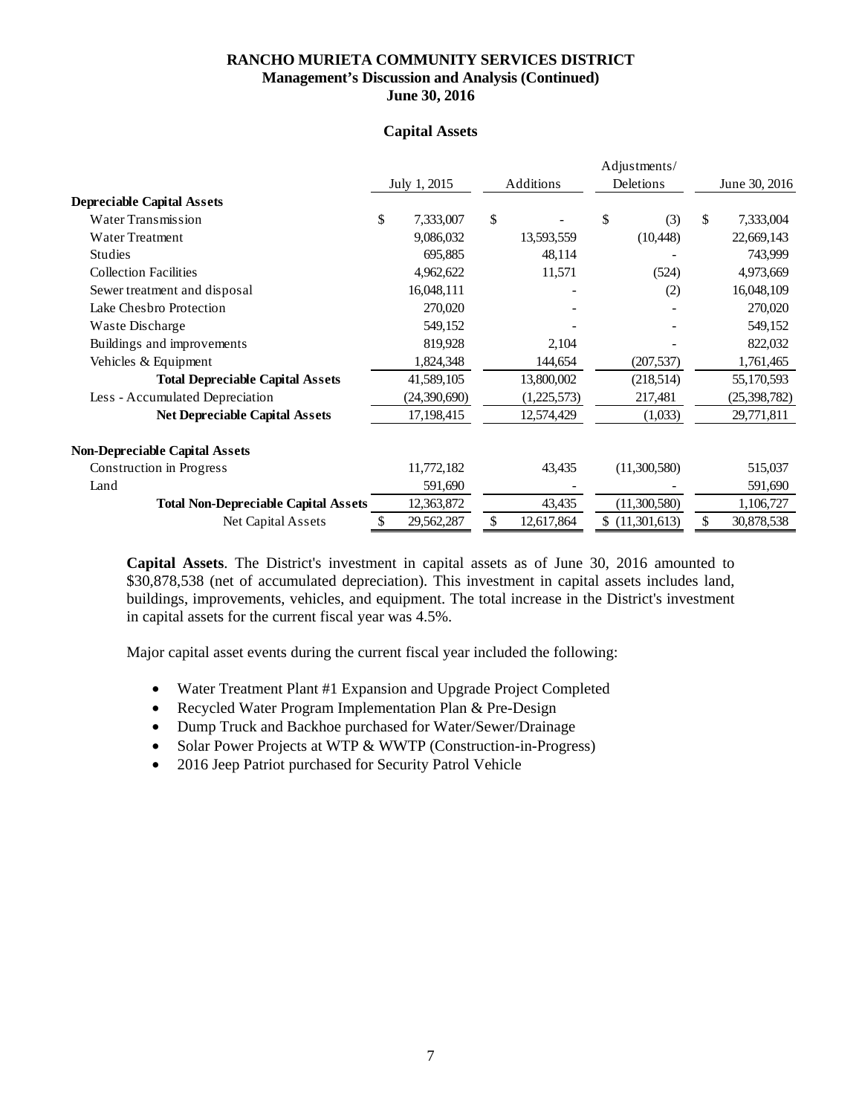# **Capital Assets**

|                                             |                  |                  |    | Adjustments/   |    |                |
|---------------------------------------------|------------------|------------------|----|----------------|----|----------------|
|                                             | July 1, 2015     | Additions        |    | Deletions      |    | June 30, 2016  |
| <b>Depreciable Capital Assets</b>           |                  |                  |    |                |    |                |
| Water Transmission                          | \$<br>7,333,007  | \$               | \$ | (3)            | \$ | 7,333,004      |
| Water Treatment                             | 9,086,032        | 13,593,559       |    | (10, 448)      |    | 22,669,143     |
| <b>Studies</b>                              | 695,885          | 48,114           |    |                |    | 743,999        |
| <b>Collection Facilities</b>                | 4,962,622        | 11,571           |    | (524)          |    | 4,973,669      |
| Sewer treatment and disposal                | 16,048,111       |                  |    | (2)            |    | 16,048,109     |
| Lake Chesbro Protection                     | 270,020          |                  |    |                |    | 270,020        |
| Waste Discharge                             | 549,152          |                  |    |                |    | 549,152        |
| Buildings and improvements                  | 819,928          | 2,104            |    |                |    | 822,032        |
| Vehicles & Equipment                        | 1,824,348        | 144,654          |    | (207, 537)     |    | 1,761,465      |
| <b>Total Depreciable Capital Assets</b>     | 41,589,105       | 13,800,002       |    | (218,514)      |    | 55,170,593     |
| Less - Accumulated Depreciation             | (24,390,690)     | (1,225,573)      |    | 217,481        |    | (25, 398, 782) |
| <b>Net Depreciable Capital Assets</b>       | 17,198,415       | 12,574,429       |    | (1,033)        |    | 29,771,811     |
| <b>Non-Depreciable Capital Assets</b>       |                  |                  |    |                |    |                |
| Construction in Progress                    | 11,772,182       | 43,435           |    | (11,300,580)   |    | 515,037        |
| Land                                        | 591,690          |                  |    |                |    | 591,690        |
| <b>Total Non-Depreciable Capital Assets</b> | 12,363,872       | 43,435           |    | (11,300,580)   |    | 1,106,727      |
| Net Capital Assets                          | \$<br>29,562,287 | \$<br>12,617,864 |    | \$(11,301,613) | \$ | 30,878,538     |

**Capital Assets**. The District's investment in capital assets as of June 30, 2016 amounted to \$30,878,538 (net of accumulated depreciation). This investment in capital assets includes land, buildings, improvements, vehicles, and equipment. The total increase in the District's investment in capital assets for the current fiscal year was 4.5%.

Major capital asset events during the current fiscal year included the following:

- Water Treatment Plant #1 Expansion and Upgrade Project Completed
- Recycled Water Program Implementation Plan & Pre-Design
- Dump Truck and Backhoe purchased for Water/Sewer/Drainage
- Solar Power Projects at WTP & WWTP (Construction-in-Progress)
- 2016 Jeep Patriot purchased for Security Patrol Vehicle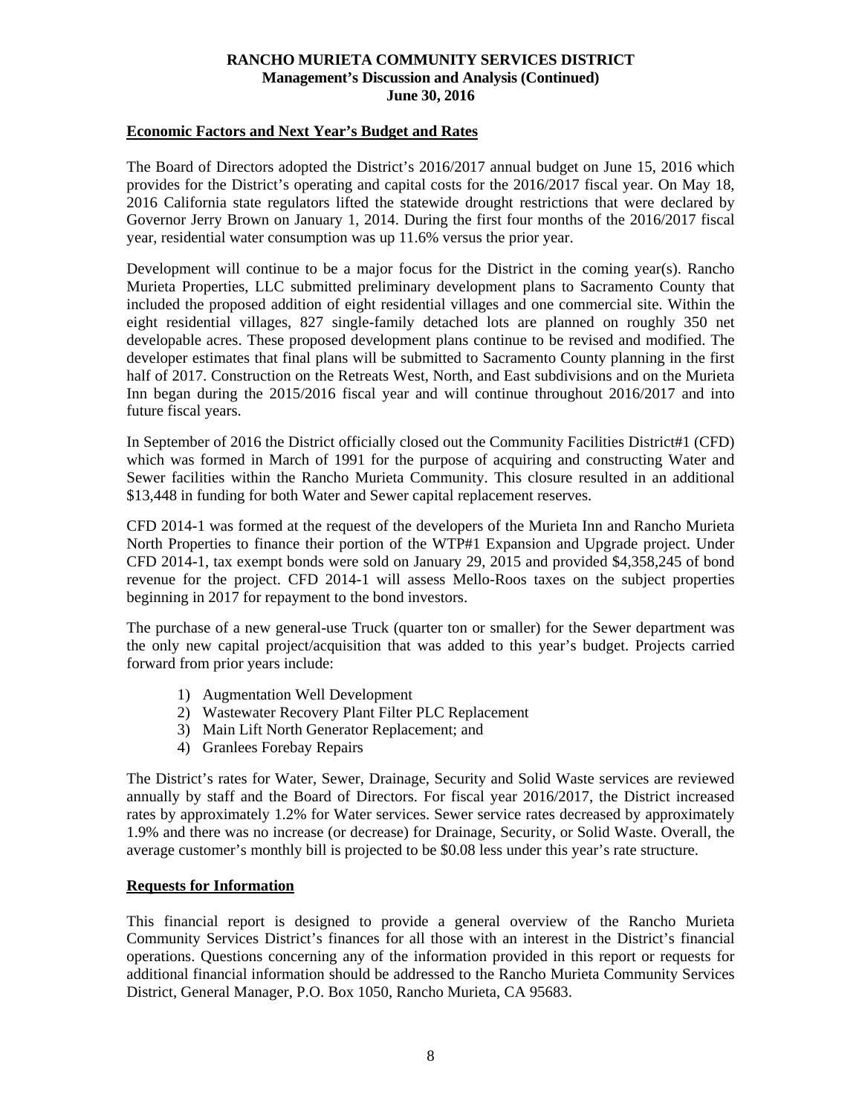#### **Economic Factors and Next Year's Budget and Rates**

The Board of Directors adopted the District's 2016/2017 annual budget on June 15, 2016 which provides for the District's operating and capital costs for the 2016/2017 fiscal year. On May 18, 2016 California state regulators lifted the statewide drought restrictions that were declared by Governor Jerry Brown on January 1, 2014. During the first four months of the 2016/2017 fiscal year, residential water consumption was up 11.6% versus the prior year.

Development will continue to be a major focus for the District in the coming year(s). Rancho Murieta Properties, LLC submitted preliminary development plans to Sacramento County that included the proposed addition of eight residential villages and one commercial site. Within the eight residential villages, 827 single-family detached lots are planned on roughly 350 net developable acres. These proposed development plans continue to be revised and modified. The developer estimates that final plans will be submitted to Sacramento County planning in the first half of 2017. Construction on the Retreats West, North, and East subdivisions and on the Murieta Inn began during the 2015/2016 fiscal year and will continue throughout 2016/2017 and into future fiscal years.

In September of 2016 the District officially closed out the Community Facilities District#1 (CFD) which was formed in March of 1991 for the purpose of acquiring and constructing Water and Sewer facilities within the Rancho Murieta Community. This closure resulted in an additional \$13,448 in funding for both Water and Sewer capital replacement reserves.

CFD 2014-1 was formed at the request of the developers of the Murieta Inn and Rancho Murieta North Properties to finance their portion of the WTP#1 Expansion and Upgrade project. Under CFD 2014-1, tax exempt bonds were sold on January 29, 2015 and provided \$4,358,245 of bond revenue for the project. CFD 2014-1 will assess Mello-Roos taxes on the subject properties beginning in 2017 for repayment to the bond investors.

The purchase of a new general-use Truck (quarter ton or smaller) for the Sewer department was the only new capital project/acquisition that was added to this year's budget. Projects carried forward from prior years include:

- 1) Augmentation Well Development
- 2) Wastewater Recovery Plant Filter PLC Replacement
- 3) Main Lift North Generator Replacement; and
- 4) Granlees Forebay Repairs

The District's rates for Water, Sewer, Drainage, Security and Solid Waste services are reviewed annually by staff and the Board of Directors. For fiscal year 2016/2017, the District increased rates by approximately 1.2% for Water services. Sewer service rates decreased by approximately 1.9% and there was no increase (or decrease) for Drainage, Security, or Solid Waste. Overall, the average customer's monthly bill is projected to be \$0.08 less under this year's rate structure.

# **Requests for Information**

This financial report is designed to provide a general overview of the Rancho Murieta Community Services District's finances for all those with an interest in the District's financial operations. Questions concerning any of the information provided in this report or requests for additional financial information should be addressed to the Rancho Murieta Community Services District, General Manager, P.O. Box 1050, Rancho Murieta, CA 95683.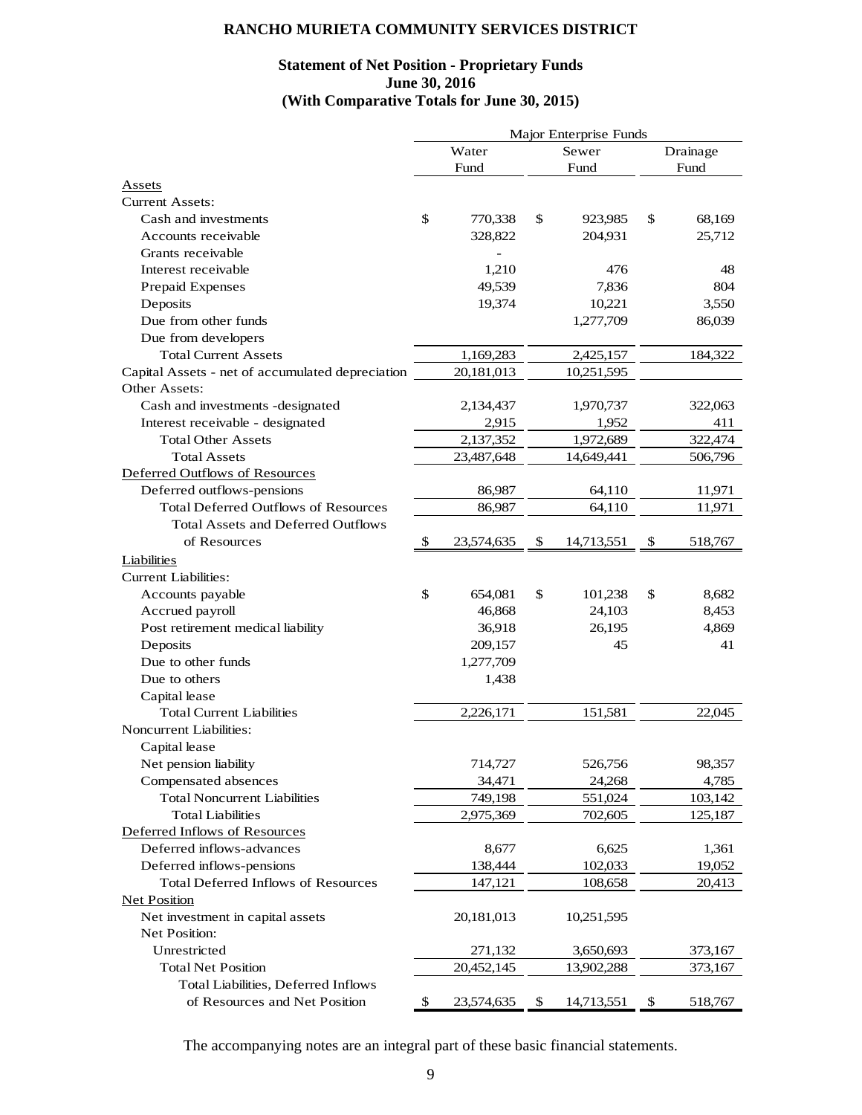#### **Statement of Net Position - Proprietary Funds June 30, 2016 (With Comparative Totals for June 30, 2015)**

|                                                  | Major Enterprise Funds |            |    |            |    |          |
|--------------------------------------------------|------------------------|------------|----|------------|----|----------|
|                                                  |                        | Water      |    | Sewer      |    | Drainage |
|                                                  |                        | Fund       |    | Fund       |    | Fund     |
| Assets                                           |                        |            |    |            |    |          |
| <b>Current Assets:</b>                           |                        |            |    |            |    |          |
| Cash and investments                             | $\mathbb{S}$           | 770,338    | \$ | 923,985    | \$ | 68,169   |
| Accounts receivable                              |                        | 328,822    |    | 204,931    |    | 25,712   |
| Grants receivable                                |                        |            |    |            |    |          |
| Interest receivable                              |                        | 1,210      |    | 476        |    | 48       |
| Prepaid Expenses                                 |                        | 49,539     |    | 7,836      |    | 804      |
| Deposits                                         |                        | 19,374     |    | 10,221     |    | 3,550    |
| Due from other funds                             |                        |            |    | 1,277,709  |    | 86,039   |
| Due from developers                              |                        |            |    |            |    |          |
| <b>Total Current Assets</b>                      |                        | 1,169,283  |    | 2,425,157  |    | 184,322  |
| Capital Assets - net of accumulated depreciation |                        | 20,181,013 |    | 10,251,595 |    |          |
| Other Assets:                                    |                        |            |    |            |    |          |
| Cash and investments -designated                 |                        | 2,134,437  |    | 1,970,737  |    | 322,063  |
| Interest receivable - designated                 |                        | 2,915      |    | 1,952      |    | 411      |
| <b>Total Other Assets</b>                        |                        | 2,137,352  |    | 1,972,689  |    | 322,474  |
| <b>Total Assets</b>                              |                        | 23,487,648 |    | 14,649,441 |    | 506,796  |
| Deferred Outflows of Resources                   |                        |            |    |            |    |          |
| Deferred outflows-pensions                       |                        | 86,987     |    | 64,110     |    | 11,971   |
| <b>Total Deferred Outflows of Resources</b>      |                        | 86,987     |    | 64,110     |    | 11,971   |
| <b>Total Assets and Deferred Outflows</b>        |                        |            |    |            |    |          |
| of Resources                                     | \$                     | 23,574,635 | \$ | 14,713,551 | \$ | 518,767  |
| Liabilities                                      |                        |            |    |            |    |          |
| <b>Current Liabilities:</b>                      |                        |            |    |            |    |          |
|                                                  | \$                     | 654,081    | \$ | 101,238    | \$ | 8,682    |
| Accounts payable                                 |                        |            |    |            |    |          |
| Accrued payroll                                  |                        | 46,868     |    | 24,103     |    | 8,453    |
| Post retirement medical liability                |                        | 36,918     |    | 26,195     |    | 4,869    |
| Deposits<br>Due to other funds                   |                        | 209,157    |    | 45         |    | 41       |
|                                                  |                        | 1,277,709  |    |            |    |          |
| Due to others                                    |                        | 1,438      |    |            |    |          |
| Capital lease                                    |                        |            |    |            |    |          |
| <b>Total Current Liabilities</b>                 |                        | 2,226,171  |    | 151,581    |    | 22,045   |
| <b>Noncurrent Liabilities:</b>                   |                        |            |    |            |    |          |
| Capital lease                                    |                        |            |    |            |    |          |
| Net pension liability                            |                        | 714,727    |    | 526,756    |    | 98,357   |
| Compensated absences                             |                        | 34,471     |    | 24,268     |    | 4,785    |
| <b>Total Noncurrent Liabilities</b>              |                        | 749,198    |    | 551,024    |    | 103,142  |
| <b>Total Liabilities</b>                         |                        | 2,975,369  |    | 702,605    |    | 125,187  |
| Deferred Inflows of Resources                    |                        |            |    |            |    |          |
| Deferred inflows-advances                        |                        | 8,677      |    | 6,625      |    | 1,361    |
| Deferred inflows-pensions                        |                        | 138,444    |    | 102,033    |    | 19,052   |
| <b>Total Deferred Inflows of Resources</b>       |                        | 147,121    |    | 108,658    |    | 20,413   |
| <b>Net Position</b>                              |                        |            |    |            |    |          |
| Net investment in capital assets                 |                        | 20,181,013 |    | 10,251,595 |    |          |
| Net Position:                                    |                        |            |    |            |    |          |
| Unrestricted                                     |                        | 271,132    |    | 3,650,693  |    | 373,167  |
| <b>Total Net Position</b>                        |                        | 20,452,145 |    | 13,902,288 |    | 373,167  |
| Total Liabilities, Deferred Inflows              |                        |            |    |            |    |          |
| of Resources and Net Position                    | \$                     | 23,574,635 | \$ | 14,713,551 | \$ | 518,767  |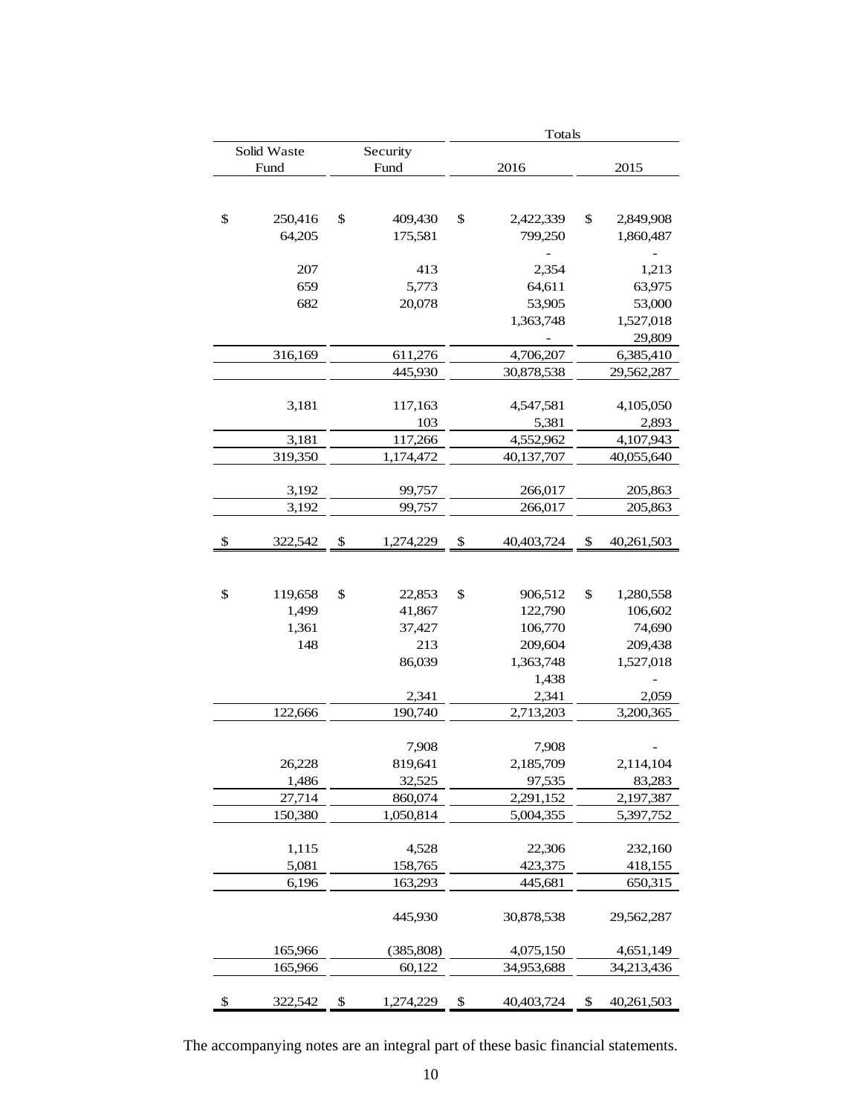|               |                  | Totals |                    |               |                          |  |
|---------------|------------------|--------|--------------------|---------------|--------------------------|--|
| Solid Waste   | Security         |        |                    |               |                          |  |
| Fund          | Fund             |        | 2016               |               | 2015                     |  |
|               |                  |        |                    |               |                          |  |
|               |                  |        |                    |               |                          |  |
| \$<br>250,416 | \$<br>409,430    | \$     | 2,422,339          | \$            | 2,849,908                |  |
| 64,205        | 175,581          |        | 799,250            |               | 1,860,487                |  |
|               |                  |        |                    |               |                          |  |
| 207           | 413              |        | 2,354              |               | 1,213                    |  |
| 659           | 5,773            |        | 64,611             |               | 63,975                   |  |
| 682           | 20,078           |        | 53,905             |               | 53,000                   |  |
|               |                  |        | 1,363,748          |               | 1,527,018                |  |
|               | 611,276          |        | 4,706,207          |               | 29,809                   |  |
| 316,169       |                  |        |                    |               | 6,385,410                |  |
|               | 445,930          |        | 30,878,538         |               | 29,562,287               |  |
| 3,181         | 117,163          |        | 4,547,581          |               | 4,105,050                |  |
|               | 103              |        | 5,381              |               | 2,893                    |  |
| 3,181         | 117,266          |        | 4,552,962          |               | 4,107,943                |  |
| 319,350       | 1,174,472        |        | 40,137,707         |               | 40,055,640               |  |
|               |                  |        |                    |               |                          |  |
| 3,192         | 99,757           |        | 266,017            |               | 205,863                  |  |
| 3,192         | 99,757           |        | 266,017            |               | 205,863                  |  |
|               |                  |        |                    |               |                          |  |
| \$<br>322,542 | \$<br>1,274,229  | \$     | 40,403,724         | $\frac{1}{2}$ | 40,261,503               |  |
|               |                  |        |                    |               |                          |  |
|               |                  |        |                    |               |                          |  |
| \$<br>119,658 | \$<br>22,853     | \$     | 906,512            | \$            | 1,280,558                |  |
| 1,499         | 41,867<br>37,427 |        | 122,790<br>106,770 |               | 106,602<br>74,690        |  |
| 1,361<br>148  | 213              |        | 209,604            |               | 209,438                  |  |
|               | 86,039           |        | 1,363,748          |               | 1,527,018                |  |
|               |                  |        | 1,438              |               | $\overline{\phantom{0}}$ |  |
|               | 2,341            |        | 2,341              |               | 2,059                    |  |
| 122,666       | 190,740          |        | 2,713,203          |               | 3,200,365                |  |
|               |                  |        |                    |               |                          |  |
|               | 7,908            |        | 7,908              |               |                          |  |
| 26,228        | 819,641          |        | 2,185,709          |               | 2,114,104                |  |
| 1,486         | 32,525           |        | 97,535             |               | 83,283                   |  |
| 27,714        | 860,074          |        | 2,291,152          |               | 2,197,387                |  |
| 150,380       | 1,050,814        |        | 5,004,355          |               | 5,397,752                |  |
|               |                  |        |                    |               |                          |  |
| 1,115         | 4,528            |        | 22,306             |               | 232,160                  |  |
| 5,081         | 158,765          |        | 423,375            |               | 418,155                  |  |
| 6,196         | 163,293          |        | 445,681            |               | 650,315                  |  |
|               |                  |        |                    |               |                          |  |
|               | 445,930          |        | 30,878,538         |               | 29,562,287               |  |
| 165,966       | (385, 808)       |        | 4,075,150          |               | 4,651,149                |  |
| 165,966       | 60,122           |        | 34,953,688         |               | 34,213,436               |  |
|               |                  |        |                    |               |                          |  |
| \$<br>322,542 | \$<br>1,274,229  | \$     | 40,403,724         | \$            | 40,261,503               |  |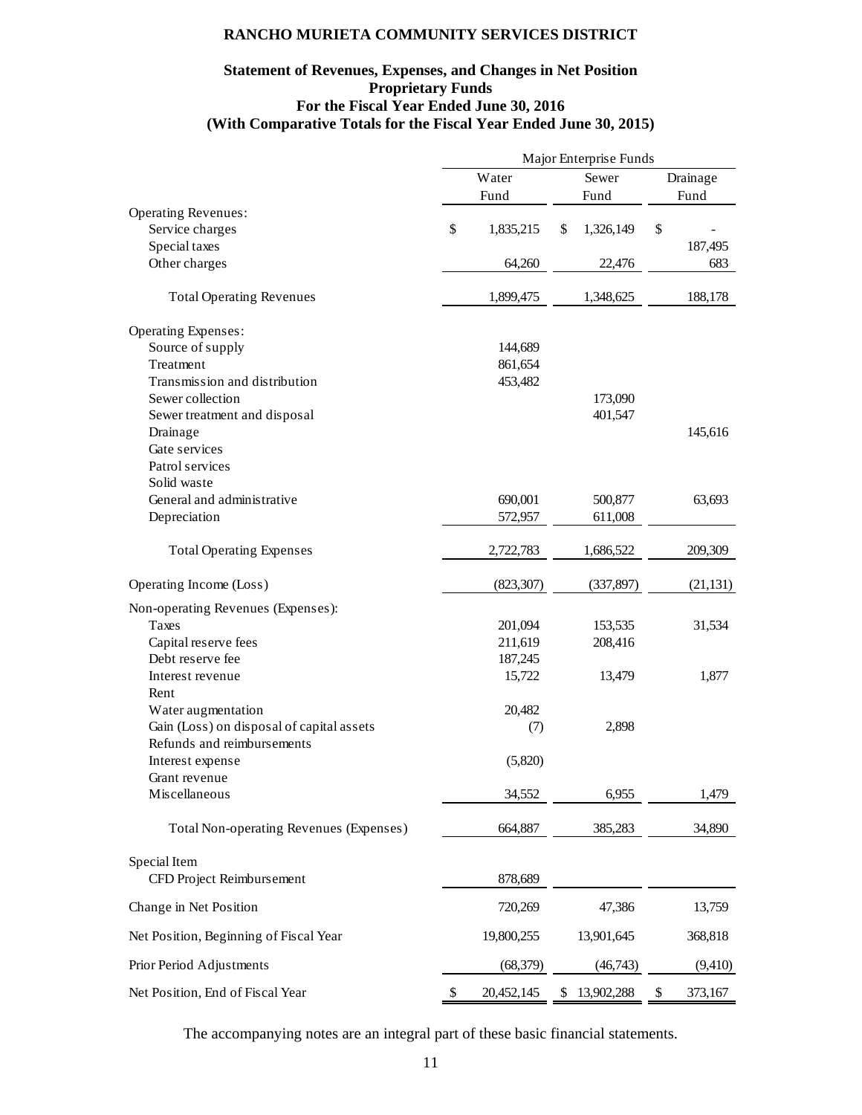# **Statement of Revenues, Expenses, and Changes in Net Position Proprietary Funds For the Fiscal Year Ended June 30, 2016 (With Comparative Totals for the Fiscal Year Ended June 30, 2015)**

|                                           | Major Enterprise Funds |            |    |            |          |           |
|-------------------------------------------|------------------------|------------|----|------------|----------|-----------|
|                                           |                        | Water      |    | Sewer      | Drainage |           |
|                                           |                        | Fund       |    | Fund       |          | Fund      |
| <b>Operating Revenues:</b>                |                        |            |    |            |          |           |
| Service charges                           | \$                     | 1,835,215  | \$ | 1,326,149  | \$       |           |
| Special taxes                             |                        |            |    |            |          | 187,495   |
| Other charges                             |                        | 64,260     |    | 22,476     |          | 683       |
| <b>Total Operating Revenues</b>           |                        | 1,899,475  |    | 1,348,625  |          | 188,178   |
| Operating Expenses:                       |                        |            |    |            |          |           |
| Source of supply                          |                        | 144,689    |    |            |          |           |
| Treatment                                 |                        | 861,654    |    |            |          |           |
| Transmission and distribution             |                        | 453,482    |    |            |          |           |
| Sewer collection                          |                        |            |    | 173,090    |          |           |
| Sewer treatment and disposal              |                        |            |    | 401,547    |          |           |
| Drainage                                  |                        |            |    |            |          | 145,616   |
| Gate services                             |                        |            |    |            |          |           |
| Patrol services                           |                        |            |    |            |          |           |
| Solid waste                               |                        |            |    |            |          |           |
| General and administrative                |                        | 690,001    |    | 500,877    |          | 63,693    |
| Depreciation                              |                        | 572,957    |    | 611,008    |          |           |
| <b>Total Operating Expenses</b>           |                        | 2,722,783  |    | 1,686,522  |          | 209,309   |
| Operating Income (Loss)                   |                        | (823, 307) |    | (337, 897) |          | (21, 131) |
| Non-operating Revenues (Expenses):        |                        |            |    |            |          |           |
| Taxes                                     |                        | 201,094    |    | 153,535    |          | 31,534    |
| Capital reserve fees                      |                        | 211,619    |    | 208,416    |          |           |
| Debt reserve fee                          |                        | 187,245    |    |            |          |           |
| Interest revenue                          |                        | 15,722     |    | 13,479     |          | 1,877     |
| Rent                                      |                        |            |    |            |          |           |
| Water augmentation                        |                        | 20,482     |    |            |          |           |
| Gain (Loss) on disposal of capital assets |                        | (7)        |    | 2,898      |          |           |
| Refunds and reimbursements                |                        |            |    |            |          |           |
| Interest expense                          |                        | (5,820)    |    |            |          |           |
| Grant revenue                             |                        |            |    |            |          |           |
| Miscellaneous                             |                        | 34,552     |    | 6,955      |          | 1,479     |
| Total Non-operating Revenues (Expenses)   |                        | 664,887    |    | 385,283    |          | 34,890    |
| Special Item                              |                        |            |    |            |          |           |
| CFD Project Reimbursement                 |                        | 878,689    |    |            |          |           |
| Change in Net Position                    |                        | 720,269    |    | 47,386     |          | 13,759    |
| Net Position, Beginning of Fiscal Year    |                        | 19,800,255 |    | 13,901,645 |          | 368,818   |
| Prior Period Adjustments                  |                        | (68, 379)  |    | (46, 743)  |          | (9,410)   |
| Net Position, End of Fiscal Year          | \$                     | 20,452,145 | \$ | 13,902,288 | \$       | 373,167   |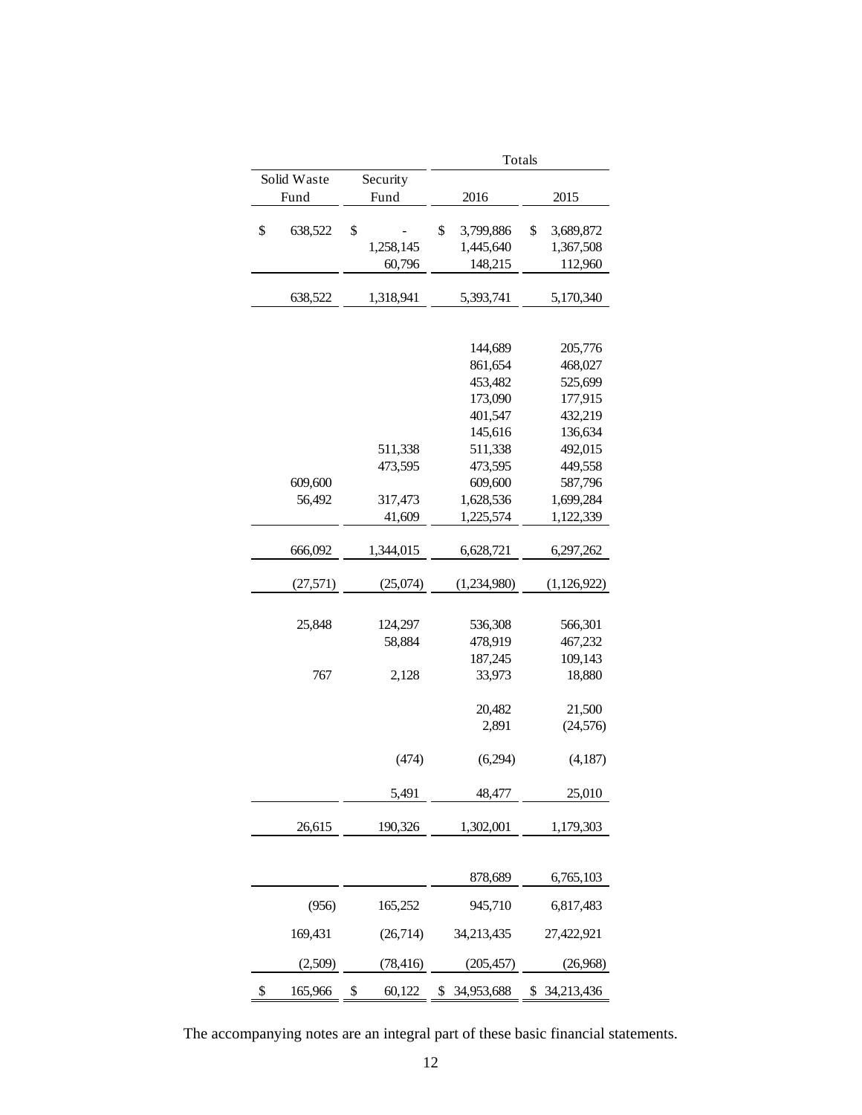|               |              | Totals           |                 |  |  |  |
|---------------|--------------|------------------|-----------------|--|--|--|
| Solid Waste   | Security     |                  |                 |  |  |  |
| Fund          | Fund         | 2016             | 2015            |  |  |  |
|               |              |                  |                 |  |  |  |
| \$<br>638,522 | \$           | \$<br>3,799,886  | \$<br>3,689,872 |  |  |  |
|               | 1,258,145    | 1,445,640        | 1,367,508       |  |  |  |
|               | 60,796       | 148,215          | 112,960         |  |  |  |
| 638,522       | 1,318,941    | 5,393,741        | 5,170,340       |  |  |  |
|               |              |                  |                 |  |  |  |
|               |              | 144,689          | 205,776         |  |  |  |
|               |              | 861,654          | 468,027         |  |  |  |
|               |              | 453,482          | 525,699         |  |  |  |
|               |              | 173,090          | 177,915         |  |  |  |
|               |              | 401,547          | 432,219         |  |  |  |
|               |              |                  |                 |  |  |  |
|               |              | 145,616          | 136,634         |  |  |  |
|               | 511,338      | 511,338          | 492,015         |  |  |  |
|               | 473,595      | 473,595          | 449,558         |  |  |  |
| 609,600       |              | 609,600          | 587,796         |  |  |  |
| 56,492        | 317,473      | 1,628,536        | 1,699,284       |  |  |  |
|               | 41,609       | 1,225,574        | 1,122,339       |  |  |  |
|               |              |                  |                 |  |  |  |
| 666,092       | 1,344,015    | 6,628,721        | 6,297,262       |  |  |  |
| (27,571)      | (25,074)     | (1,234,980)      | (1,126,922)     |  |  |  |
|               |              |                  |                 |  |  |  |
| 25,848        | 124,297      | 536,308          | 566,301         |  |  |  |
|               | 58,884       | 478,919          | 467,232         |  |  |  |
|               |              | 187,245          | 109,143         |  |  |  |
|               |              |                  |                 |  |  |  |
| 767           | 2,128        | 33,973           | 18,880          |  |  |  |
|               |              | 20,482           | 21,500          |  |  |  |
|               |              | 2,891            | (24, 576)       |  |  |  |
|               |              |                  |                 |  |  |  |
|               | (474)        | (6,294)          | (4,187)         |  |  |  |
|               |              |                  |                 |  |  |  |
|               | 5,491        | 48,477           | 25,010          |  |  |  |
|               |              |                  |                 |  |  |  |
| 26,615        | 190,326      | 1,302,001        | 1,179,303       |  |  |  |
|               |              |                  |                 |  |  |  |
|               |              | 878,689          | 6,765,103       |  |  |  |
| (956)         | 165,252      | 945,710          | 6,817,483       |  |  |  |
| 169,431       | (26, 714)    | 34,213,435       | 27,422,921      |  |  |  |
| (2,509)       | (78, 416)    | (205, 457)       | (26,968)        |  |  |  |
|               |              |                  |                 |  |  |  |
| \$<br>165,966 | \$<br>60,122 | \$<br>34,953,688 | \$ 34,213,436   |  |  |  |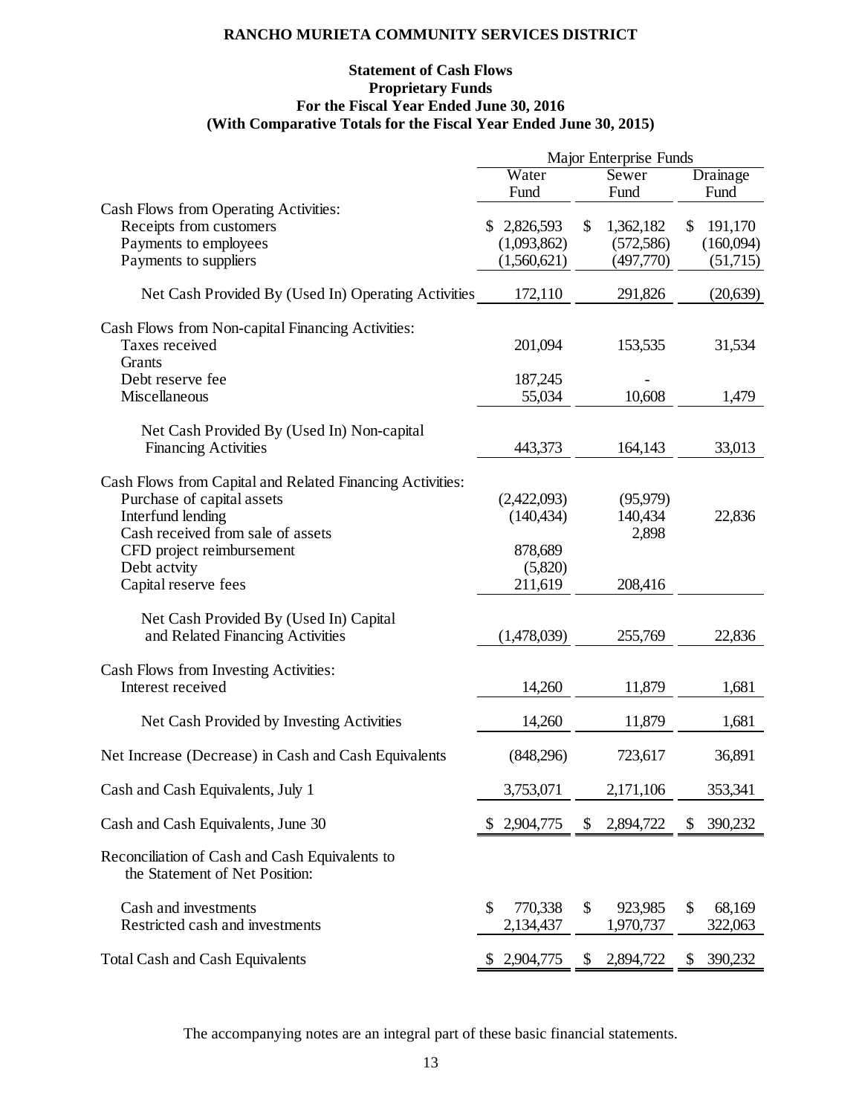# **Statement of Cash Flows Proprietary Funds For the Fiscal Year Ended June 30, 2016 (With Comparative Totals for the Fiscal Year Ended June 30, 2015)**

|                                                                                  | Major Enterprise Funds                |                            |                         |  |  |
|----------------------------------------------------------------------------------|---------------------------------------|----------------------------|-------------------------|--|--|
|                                                                                  | Water                                 | Sewer                      | Drainage                |  |  |
|                                                                                  | Fund                                  | Fund                       | Fund                    |  |  |
| Cash Flows from Operating Activities:                                            |                                       |                            |                         |  |  |
| Receipts from customers                                                          | \$2,826,593                           | 1,362,182<br>\$            | \$<br>191,170           |  |  |
| Payments to employees                                                            | (1,093,862)                           | (572, 586)                 | (160,094)               |  |  |
| Payments to suppliers                                                            | (1,560,621)                           | (497,770)                  | (51,715)                |  |  |
| Net Cash Provided By (Used In) Operating Activities                              | 172,110                               | 291,826                    | (20, 639)               |  |  |
| Cash Flows from Non-capital Financing Activities:                                |                                       |                            |                         |  |  |
| Taxes received                                                                   | 201,094                               | 153,535                    | 31,534                  |  |  |
| Grants                                                                           |                                       |                            |                         |  |  |
| Debt reserve fee                                                                 | 187,245                               |                            |                         |  |  |
| Miscellaneous                                                                    | 55,034                                | 10,608                     | 1,479                   |  |  |
|                                                                                  |                                       |                            |                         |  |  |
| Net Cash Provided By (Used In) Non-capital<br><b>Financing Activities</b>        | 443,373                               | 164,143                    | 33,013                  |  |  |
|                                                                                  |                                       |                            |                         |  |  |
| Cash Flows from Capital and Related Financing Activities:                        |                                       |                            |                         |  |  |
| Purchase of capital assets                                                       | (2,422,093)                           | (95, 979)                  |                         |  |  |
| Interfund lending                                                                | (140, 434)                            | 140,434                    | 22,836                  |  |  |
| Cash received from sale of assets                                                |                                       | 2,898                      |                         |  |  |
| CFD project reimbursement                                                        | 878,689                               |                            |                         |  |  |
| Debt actvity                                                                     | (5,820)                               |                            |                         |  |  |
| Capital reserve fees                                                             | 211,619                               | 208,416                    |                         |  |  |
| Net Cash Provided By (Used In) Capital                                           |                                       |                            |                         |  |  |
| and Related Financing Activities                                                 | (1,478,039)                           | 255,769                    | 22,836                  |  |  |
|                                                                                  |                                       |                            |                         |  |  |
| Cash Flows from Investing Activities:                                            |                                       |                            |                         |  |  |
| Interest received                                                                | 14,260                                | 11,879                     | 1,681                   |  |  |
| Net Cash Provided by Investing Activities                                        | 14,260                                | 11,879                     | 1,681                   |  |  |
| Net Increase (Decrease) in Cash and Cash Equivalents                             | (848,296)                             | 723,617                    | 36,891                  |  |  |
| Cash and Cash Equivalents, July 1                                                | 3,753,071                             | 2,171,106                  | 353,341                 |  |  |
| Cash and Cash Equivalents, June 30                                               | 2,904,775                             | 2,894,722<br>S             | 390,232<br>\$           |  |  |
| Reconciliation of Cash and Cash Equivalents to<br>the Statement of Net Position: |                                       |                            |                         |  |  |
| Cash and investments<br>Restricted cash and investments                          | $\mathcal{S}$<br>770,338<br>2,134,437 | \$<br>923,985<br>1,970,737 | \$<br>68,169<br>322,063 |  |  |
| <b>Total Cash and Cash Equivalents</b>                                           | \$2,904,775                           | \$<br>2,894,722            | 390,232<br>\$           |  |  |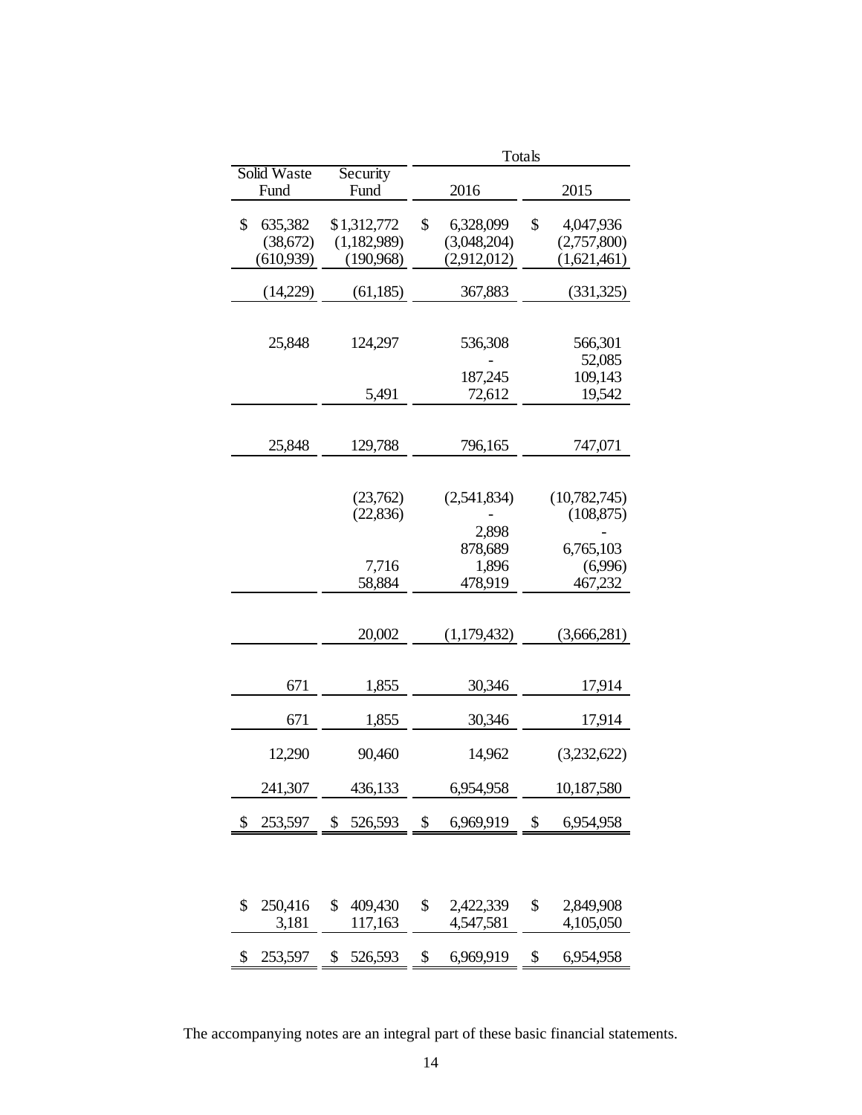|               |               | Totals |             |    |              |  |
|---------------|---------------|--------|-------------|----|--------------|--|
| Solid Waste   | Security      |        |             |    |              |  |
| Fund          | Fund          |        | 2016        |    | 2015         |  |
| \$<br>635,382 | \$1,312,772   | \$     | 6,328,099   | \$ | 4,047,936    |  |
| (38,672)      | (1,182,989)   |        | (3,048,204) |    | (2,757,800)  |  |
| (610, 939)    | (190,968)     |        | (2,912,012) |    | (1,621,461)  |  |
| (14,229)      | (61, 185)     |        | 367,883     |    | (331,325)    |  |
|               |               |        |             |    |              |  |
| 25,848        | 124,297       |        | 536,308     |    | 566,301      |  |
|               |               |        |             |    | 52,085       |  |
|               |               |        | 187,245     |    | 109,143      |  |
|               | 5,491         |        | 72,612      |    | 19,542       |  |
|               |               |        |             |    |              |  |
| 25,848        | 129,788       |        | 796,165     |    | 747,071      |  |
|               |               |        |             |    |              |  |
|               | (23,762)      |        | (2,541,834) |    | (10,782,745) |  |
|               | (22, 836)     |        |             |    | (108, 875)   |  |
|               |               |        | 2,898       |    |              |  |
|               |               |        | 878,689     |    | 6,765,103    |  |
|               | 7,716         |        | 1,896       |    | (6,996)      |  |
|               | 58,884        |        | 478,919     |    | 467,232      |  |
|               |               |        |             |    |              |  |
|               | 20,002        |        | (1,179,432) |    | (3,666,281)  |  |
|               |               |        |             |    |              |  |
| 671           | 1,855         |        | 30,346      |    | 17,914       |  |
| 671           | 1,855         |        | 30,346      |    | 17,914       |  |
| 12,290        | 90,460        |        | 14,962      |    | (3,232,622)  |  |
| 241,307       | 436,133       |        | 6,954,958   |    | 10,187,580   |  |
|               |               |        |             |    |              |  |
| \$<br>253,597 | \$<br>526,593 | \$     | 6,969,919   | \$ | 6,954,958    |  |
|               |               |        |             |    |              |  |
| \$<br>250,416 | \$<br>409,430 | \$     | 2,422,339   | \$ | 2,849,908    |  |
| 3,181         | 117,163       |        | 4,547,581   |    | 4,105,050    |  |
| \$<br>253,597 | \$<br>526,593 | \$     | 6,969,919   | \$ | 6,954,958    |  |

The accompanying notes are an integral part of these basic financial statements.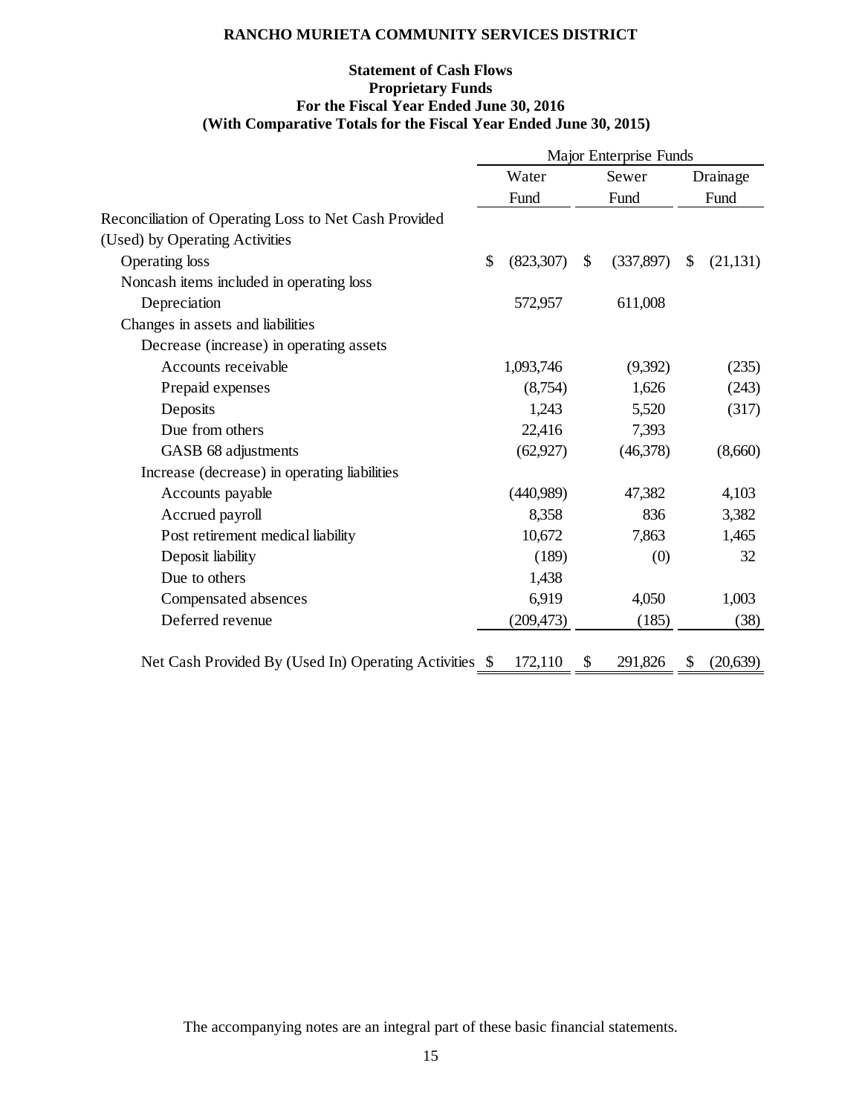# **Statement of Cash Flows Proprietary Funds For the Fiscal Year Ended June 30, 2016 (With Comparative Totals for the Fiscal Year Ended June 30, 2015)**

|                                                        | Major Enterprise Funds     |         |           |    |           |  |
|--------------------------------------------------------|----------------------------|---------|-----------|----|-----------|--|
|                                                        | Water<br>Sewer             |         |           |    | Drainage  |  |
|                                                        | Fund                       |         | Fund      |    | Fund      |  |
| Reconciliation of Operating Loss to Net Cash Provided  |                            |         |           |    |           |  |
| (Used) by Operating Activities                         |                            |         |           |    |           |  |
| Operating loss                                         | $\mathcal{S}$<br>(823,307) | \$      | (337,897) | \$ | (21, 131) |  |
| Noncash items included in operating loss               |                            |         |           |    |           |  |
| Depreciation                                           | 572,957                    |         | 611,008   |    |           |  |
| Changes in assets and liabilities                      |                            |         |           |    |           |  |
| Decrease (increase) in operating assets                |                            |         |           |    |           |  |
| Accounts receivable                                    | 1,093,746                  |         | (9,392)   |    | (235)     |  |
| Prepaid expenses                                       |                            | (8,754) | 1,626     |    | (243)     |  |
| Deposits                                               |                            | 1,243   | 5,520     |    | (317)     |  |
| Due from others                                        | 22,416                     |         | 7,393     |    |           |  |
| GASB 68 adjustments                                    | (62, 927)                  |         | (46,378)  |    | (8,660)   |  |
| Increase (decrease) in operating liabilities           |                            |         |           |    |           |  |
| Accounts payable                                       | (440,989)                  |         | 47,382    |    | 4,103     |  |
| Accrued payroll                                        |                            | 8,358   | 836       |    | 3,382     |  |
| Post retirement medical liability                      | 10,672                     |         | 7,863     |    | 1,465     |  |
| Deposit liability                                      |                            | (189)   | (0)       |    | 32        |  |
| Due to others                                          |                            | 1,438   |           |    |           |  |
| Compensated absences                                   |                            | 6,919   | 4,050     |    | 1,003     |  |
| Deferred revenue                                       | (209, 473)                 |         | (185)     |    | (38)      |  |
| Net Cash Provided By (Used In) Operating Activities \$ | 172,110                    | \$      | 291,826   | \$ | (20, 639) |  |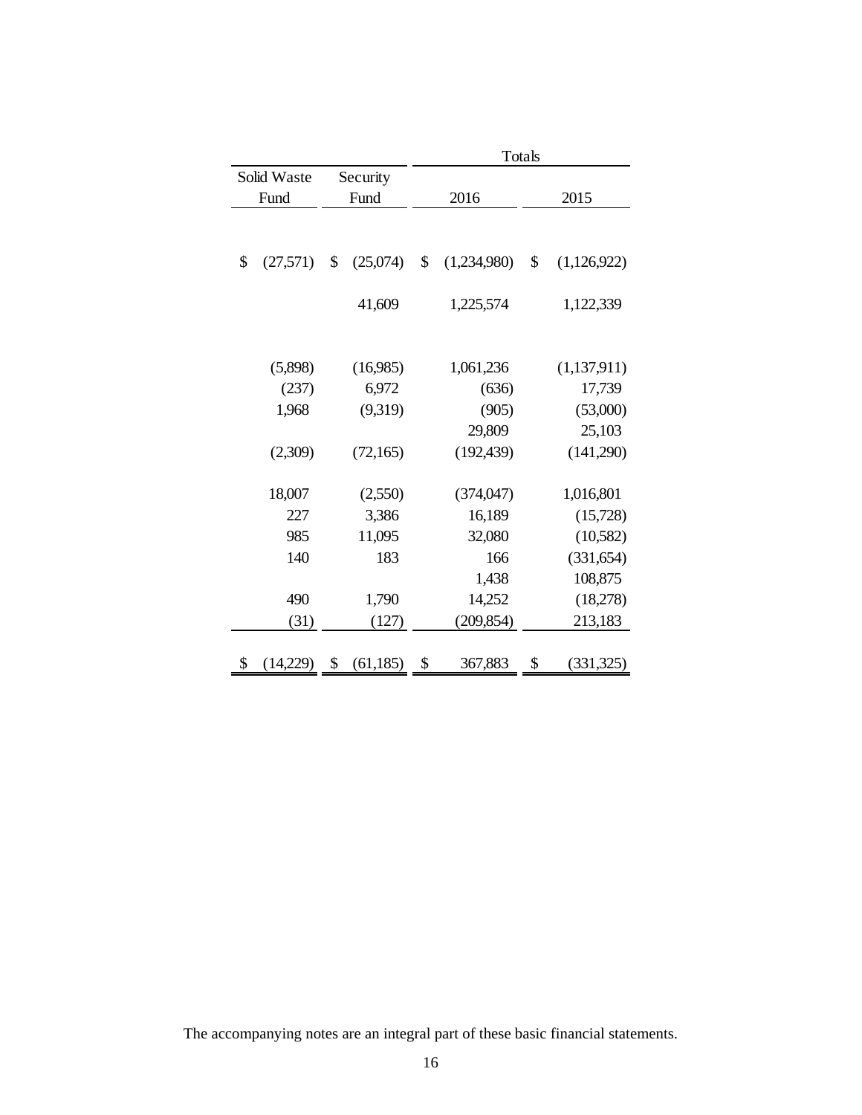|                |                 | Totals |             |    |             |  |
|----------------|-----------------|--------|-------------|----|-------------|--|
| Solid Waste    | Security        |        |             |    |             |  |
| Fund           | Fund            |        | 2016        |    | 2015        |  |
|                |                 |        |             |    |             |  |
|                |                 |        |             |    |             |  |
| \$<br>(27,571) | \$<br>(25,074)  | \$     | (1,234,980) | \$ | (1,126,922) |  |
|                |                 |        |             |    |             |  |
|                | 41,609          |        | 1,225,574   |    | 1,122,339   |  |
|                |                 |        |             |    |             |  |
|                |                 |        |             |    |             |  |
| (5,898)        | (16,985)        |        | 1,061,236   |    | (1,137,911) |  |
| (237)          | 6,972           |        | (636)       |    | 17,739      |  |
| 1,968          | (9,319)         |        | (905)       |    | (53,000)    |  |
|                |                 |        | 29,809      |    | 25,103      |  |
| (2,309)        | (72,165)        |        | (192, 439)  |    | (141,290)   |  |
|                |                 |        |             |    |             |  |
| 18,007         | (2,550)         |        | (374, 047)  |    | 1,016,801   |  |
| 227            | 3,386           |        | 16,189      |    | (15,728)    |  |
| 985            | 11,095          |        | 32,080      |    | (10,582)    |  |
| 140            | 183             |        | 166         |    | (331, 654)  |  |
|                |                 |        | 1,438       |    | 108,875     |  |
| 490            | 1,790           |        | 14,252      |    | (18,278)    |  |
| (31)           | (127)           |        | (209, 854)  |    | 213,183     |  |
|                |                 |        |             |    |             |  |
| \$<br>(14,229) | \$<br>(61, 185) | \$     | 367,883     | \$ | (331,325)   |  |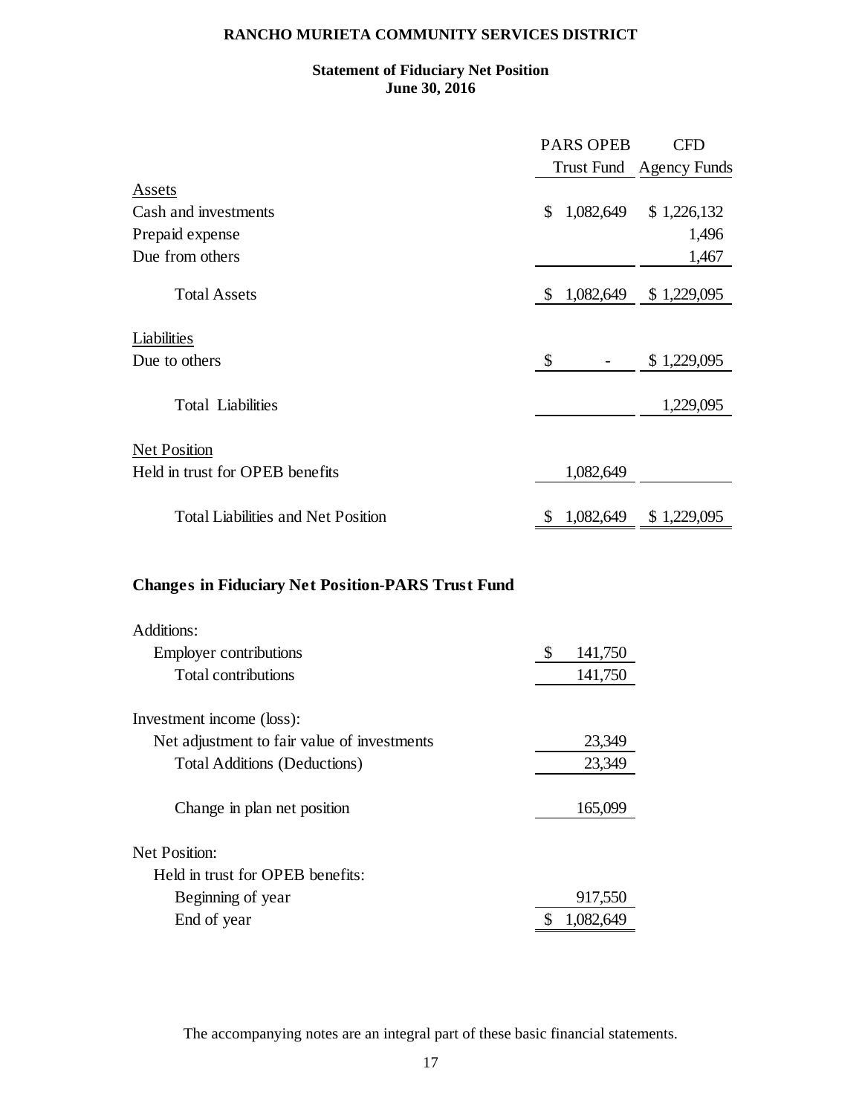# **Statement of Fiduciary Net Position June 30, 2016**

|                                           |     | <b>PARS OPEB</b> | <b>CFD</b>              |
|-------------------------------------------|-----|------------------|-------------------------|
|                                           |     |                  | Trust Fund Agency Funds |
| Assets                                    |     |                  |                         |
| Cash and investments                      | \$  | 1,082,649        | \$1,226,132             |
| Prepaid expense                           |     |                  | 1,496                   |
| Due from others                           |     |                  | 1,467                   |
| <b>Total Assets</b>                       | S   | 1,082,649        | \$1,229,095             |
| Liabilities<br>Due to others              | \$  |                  | \$1,229,095             |
| <b>Total Liabilities</b>                  |     |                  | 1,229,095               |
| <b>Net Position</b>                       |     |                  |                         |
| Held in trust for OPEB benefits           |     | 1,082,649        |                         |
| <b>Total Liabilities and Net Position</b> | \$. | 1,082,649        | \$1,229,095             |

# **Changes in Fiduciary Net Position-PARS Trust Fund**

| Additions:                                  |               |
|---------------------------------------------|---------------|
| <b>Employer contributions</b>               | \$<br>141,750 |
| <b>Total contributions</b>                  | 141,750       |
| Investment income (loss):                   |               |
| Net adjustment to fair value of investments | 23,349        |
| <b>Total Additions (Deductions)</b>         | 23,349        |
| Change in plan net position                 | 165,099       |
| <b>Net Position:</b>                        |               |
| Held in trust for OPEB benefits:            |               |
| Beginning of year                           | 917,550       |
| End of year                                 | 1,082,649     |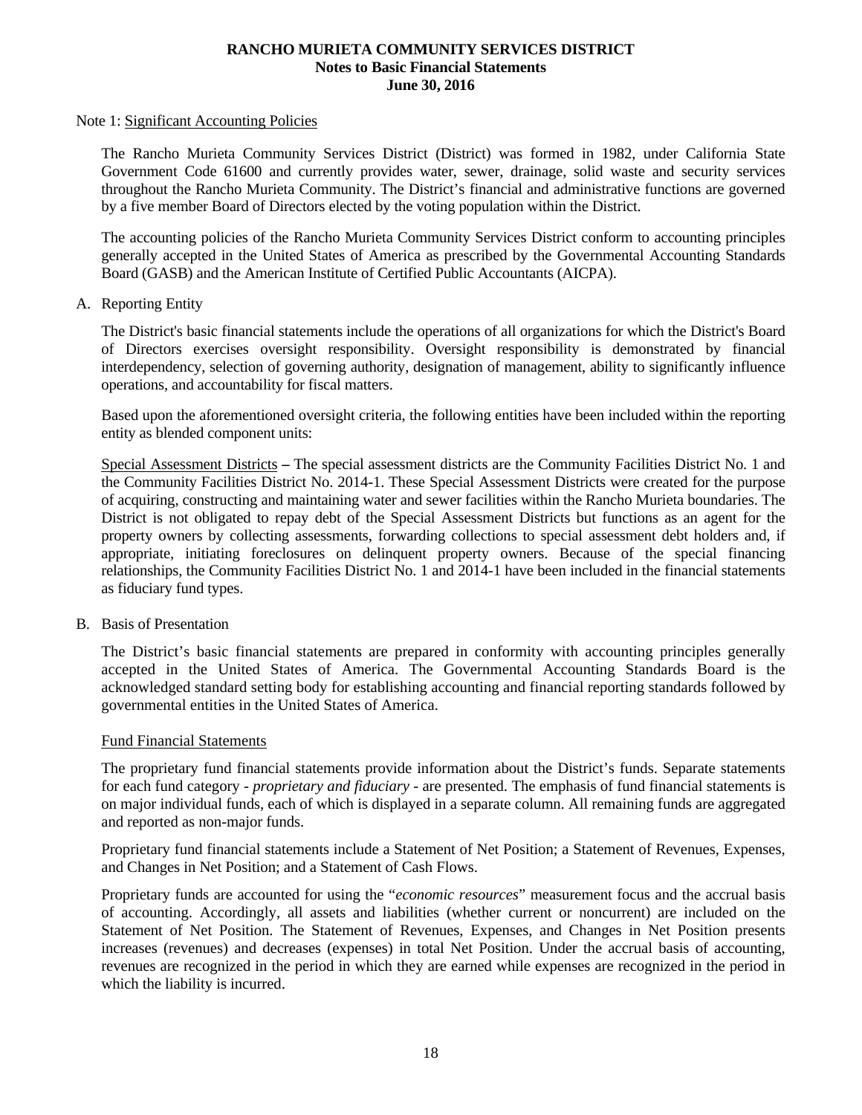#### Note 1: Significant Accounting Policies

The Rancho Murieta Community Services District (District) was formed in 1982, under California State Government Code 61600 and currently provides water, sewer, drainage, solid waste and security services throughout the Rancho Murieta Community. The District's financial and administrative functions are governed by a five member Board of Directors elected by the voting population within the District.

The accounting policies of the Rancho Murieta Community Services District conform to accounting principles generally accepted in the United States of America as prescribed by the Governmental Accounting Standards Board (GASB) and the American Institute of Certified Public Accountants (AICPA).

#### A. Reporting Entity

The District's basic financial statements include the operations of all organizations for which the District's Board of Directors exercises oversight responsibility. Oversight responsibility is demonstrated by financial interdependency, selection of governing authority, designation of management, ability to significantly influence operations, and accountability for fiscal matters.

Based upon the aforementioned oversight criteria, the following entities have been included within the reporting entity as blended component units:

Special Assessment Districts **–** The special assessment districts are the Community Facilities District No. 1 and the Community Facilities District No. 2014-1. These Special Assessment Districts were created for the purpose of acquiring, constructing and maintaining water and sewer facilities within the Rancho Murieta boundaries. The District is not obligated to repay debt of the Special Assessment Districts but functions as an agent for the property owners by collecting assessments, forwarding collections to special assessment debt holders and, if appropriate, initiating foreclosures on delinquent property owners. Because of the special financing relationships, the Community Facilities District No. 1 and 2014-1 have been included in the financial statements as fiduciary fund types.

#### B. Basis of Presentation

The District's basic financial statements are prepared in conformity with accounting principles generally accepted in the United States of America. The Governmental Accounting Standards Board is the acknowledged standard setting body for establishing accounting and financial reporting standards followed by governmental entities in the United States of America.

#### Fund Financial Statements

The proprietary fund financial statements provide information about the District's funds. Separate statements for each fund category - *proprietary and fiduciary* - are presented. The emphasis of fund financial statements is on major individual funds, each of which is displayed in a separate column. All remaining funds are aggregated and reported as non-major funds.

Proprietary fund financial statements include a Statement of Net Position; a Statement of Revenues, Expenses, and Changes in Net Position; and a Statement of Cash Flows.

Proprietary funds are accounted for using the "*economic resources*" measurement focus and the accrual basis of accounting. Accordingly, all assets and liabilities (whether current or noncurrent) are included on the Statement of Net Position. The Statement of Revenues, Expenses, and Changes in Net Position presents increases (revenues) and decreases (expenses) in total Net Position. Under the accrual basis of accounting, revenues are recognized in the period in which they are earned while expenses are recognized in the period in which the liability is incurred.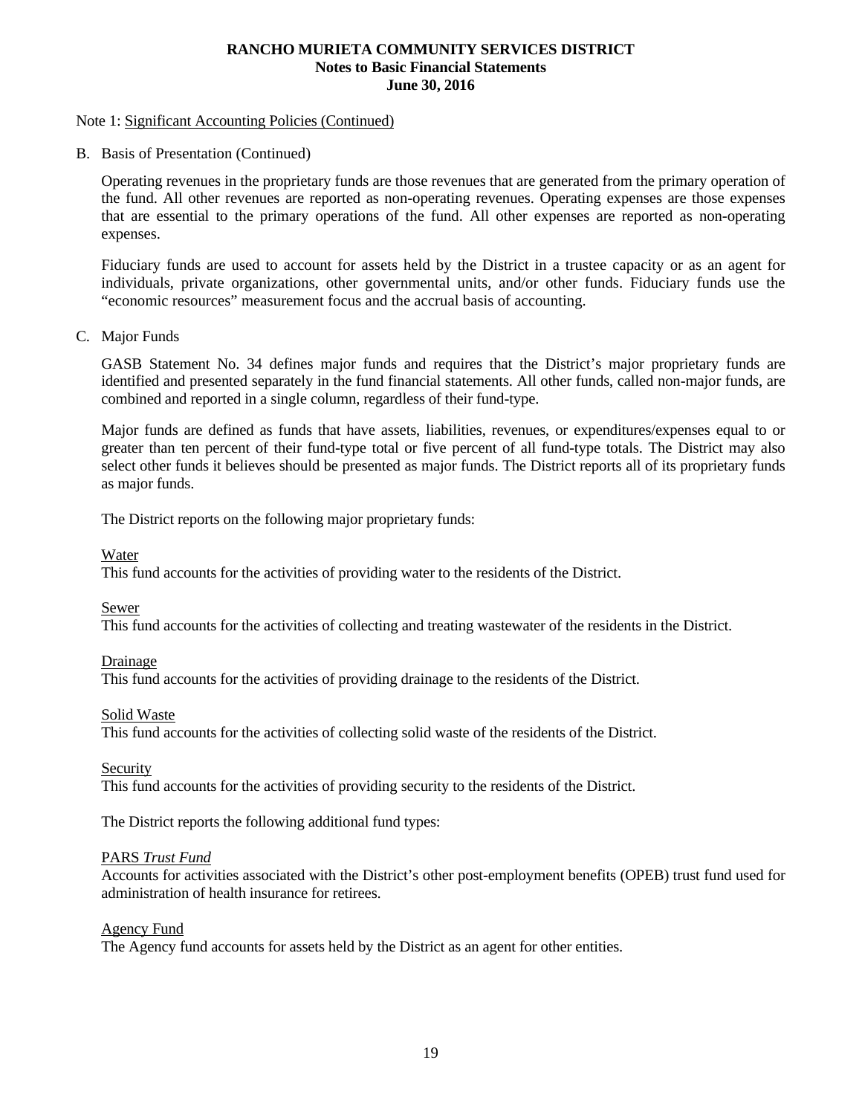#### Note 1: Significant Accounting Policies (Continued)

B. Basis of Presentation (Continued)

Operating revenues in the proprietary funds are those revenues that are generated from the primary operation of the fund. All other revenues are reported as non-operating revenues. Operating expenses are those expenses that are essential to the primary operations of the fund. All other expenses are reported as non-operating expenses.

Fiduciary funds are used to account for assets held by the District in a trustee capacity or as an agent for individuals, private organizations, other governmental units, and/or other funds. Fiduciary funds use the "economic resources" measurement focus and the accrual basis of accounting.

C. Major Funds

GASB Statement No. 34 defines major funds and requires that the District's major proprietary funds are identified and presented separately in the fund financial statements. All other funds, called non-major funds, are combined and reported in a single column, regardless of their fund-type.

Major funds are defined as funds that have assets, liabilities, revenues, or expenditures/expenses equal to or greater than ten percent of their fund-type total or five percent of all fund-type totals. The District may also select other funds it believes should be presented as major funds. The District reports all of its proprietary funds as major funds.

The District reports on the following major proprietary funds:

Water

This fund accounts for the activities of providing water to the residents of the District.

Sewer

This fund accounts for the activities of collecting and treating wastewater of the residents in the District.

Drainage

This fund accounts for the activities of providing drainage to the residents of the District.

#### Solid Waste

This fund accounts for the activities of collecting solid waste of the residents of the District.

Security

This fund accounts for the activities of providing security to the residents of the District.

The District reports the following additional fund types:

#### PARS *Trust Fund*

Accounts for activities associated with the District's other post-employment benefits (OPEB) trust fund used for administration of health insurance for retirees.

#### Agency Fund

The Agency fund accounts for assets held by the District as an agent for other entities.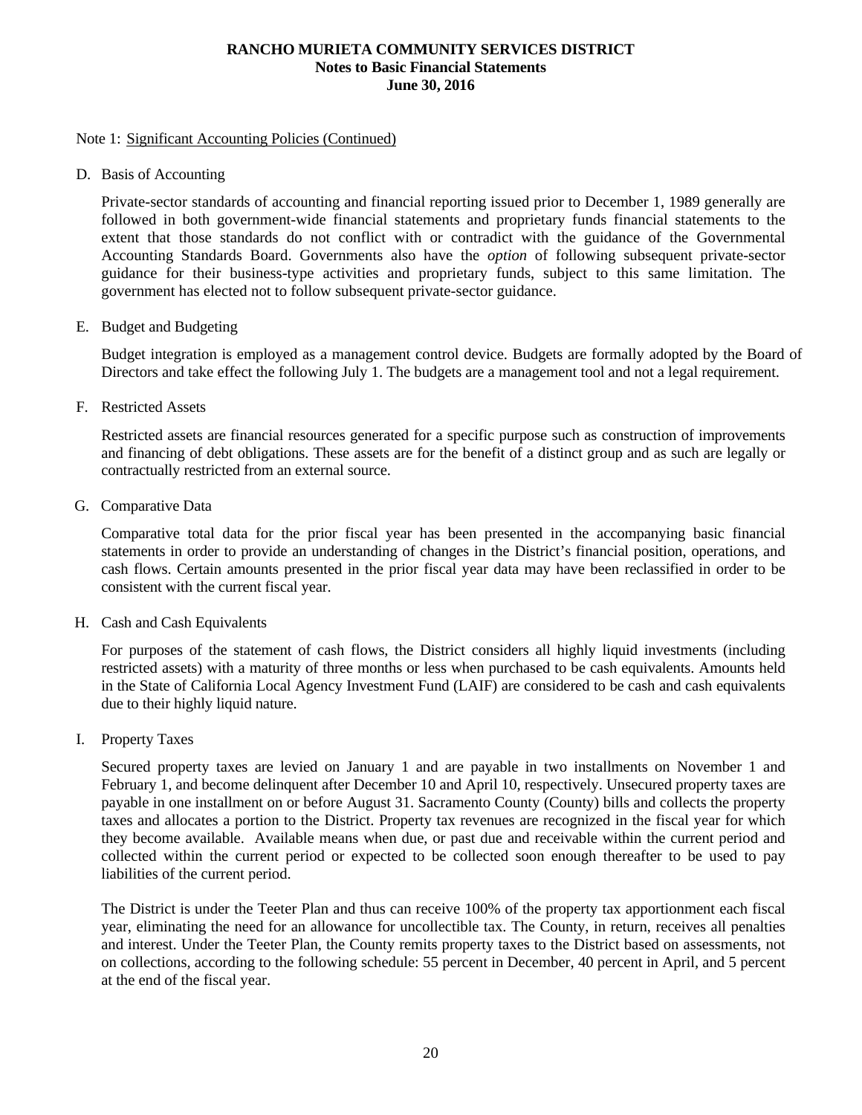#### Note 1: Significant Accounting Policies (Continued)

D. Basis of Accounting

Private-sector standards of accounting and financial reporting issued prior to December 1, 1989 generally are followed in both government-wide financial statements and proprietary funds financial statements to the extent that those standards do not conflict with or contradict with the guidance of the Governmental Accounting Standards Board. Governments also have the *option* of following subsequent private-sector guidance for their business-type activities and proprietary funds, subject to this same limitation. The government has elected not to follow subsequent private-sector guidance.

E. Budget and Budgeting

Budget integration is employed as a management control device. Budgets are formally adopted by the Board of Directors and take effect the following July 1. The budgets are a management tool and not a legal requirement.

F. Restricted Assets

Restricted assets are financial resources generated for a specific purpose such as construction of improvements and financing of debt obligations. These assets are for the benefit of a distinct group and as such are legally or contractually restricted from an external source.

G. Comparative Data

Comparative total data for the prior fiscal year has been presented in the accompanying basic financial statements in order to provide an understanding of changes in the District's financial position, operations, and cash flows. Certain amounts presented in the prior fiscal year data may have been reclassified in order to be consistent with the current fiscal year.

H. Cash and Cash Equivalents

For purposes of the statement of cash flows, the District considers all highly liquid investments (including restricted assets) with a maturity of three months or less when purchased to be cash equivalents. Amounts held in the State of California Local Agency Investment Fund (LAIF) are considered to be cash and cash equivalents due to their highly liquid nature.

I. Property Taxes

Secured property taxes are levied on January 1 and are payable in two installments on November 1 and February 1, and become delinquent after December 10 and April 10, respectively. Unsecured property taxes are payable in one installment on or before August 31. Sacramento County (County) bills and collects the property taxes and allocates a portion to the District. Property tax revenues are recognized in the fiscal year for which they become available. Available means when due, or past due and receivable within the current period and collected within the current period or expected to be collected soon enough thereafter to be used to pay liabilities of the current period.

The District is under the Teeter Plan and thus can receive 100% of the property tax apportionment each fiscal year, eliminating the need for an allowance for uncollectible tax. The County, in return, receives all penalties and interest. Under the Teeter Plan, the County remits property taxes to the District based on assessments, not on collections, according to the following schedule: 55 percent in December, 40 percent in April, and 5 percent at the end of the fiscal year.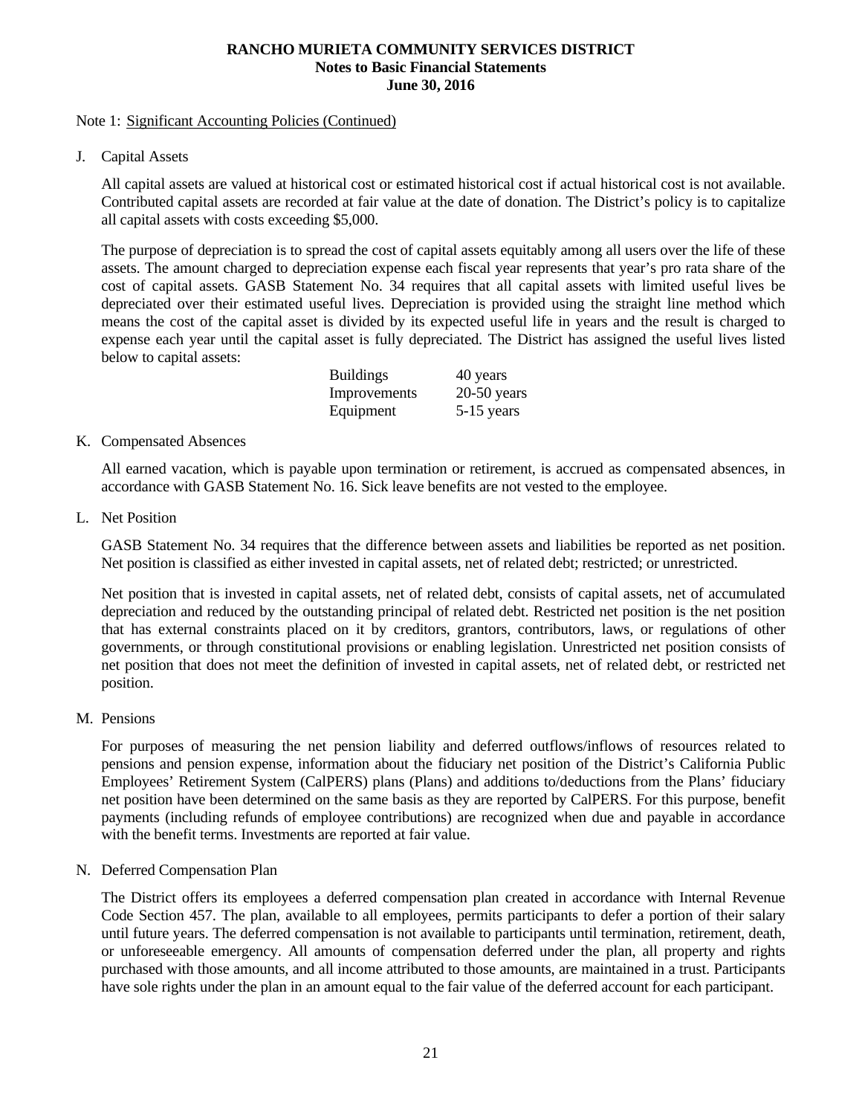#### Note 1: Significant Accounting Policies (Continued)

J. Capital Assets

All capital assets are valued at historical cost or estimated historical cost if actual historical cost is not available. Contributed capital assets are recorded at fair value at the date of donation. The District's policy is to capitalize all capital assets with costs exceeding \$5,000.

The purpose of depreciation is to spread the cost of capital assets equitably among all users over the life of these assets. The amount charged to depreciation expense each fiscal year represents that year's pro rata share of the cost of capital assets. GASB Statement No. 34 requires that all capital assets with limited useful lives be depreciated over their estimated useful lives. Depreciation is provided using the straight line method which means the cost of the capital asset is divided by its expected useful life in years and the result is charged to expense each year until the capital asset is fully depreciated. The District has assigned the useful lives listed below to capital assets:

| <b>Buildings</b> | 40 years      |
|------------------|---------------|
| Improvements     | $20-50$ years |
| Equipment        | 5-15 years    |

# K. Compensated Absences

All earned vacation, which is payable upon termination or retirement, is accrued as compensated absences, in accordance with GASB Statement No. 16. Sick leave benefits are not vested to the employee.

L. Net Position

GASB Statement No. 34 requires that the difference between assets and liabilities be reported as net position. Net position is classified as either invested in capital assets, net of related debt; restricted; or unrestricted.

Net position that is invested in capital assets, net of related debt, consists of capital assets, net of accumulated depreciation and reduced by the outstanding principal of related debt. Restricted net position is the net position that has external constraints placed on it by creditors, grantors, contributors, laws, or regulations of other governments, or through constitutional provisions or enabling legislation. Unrestricted net position consists of net position that does not meet the definition of invested in capital assets, net of related debt, or restricted net position.

# M. Pensions

For purposes of measuring the net pension liability and deferred outflows/inflows of resources related to pensions and pension expense, information about the fiduciary net position of the District's California Public Employees' Retirement System (CalPERS) plans (Plans) and additions to/deductions from the Plans' fiduciary net position have been determined on the same basis as they are reported by CalPERS. For this purpose, benefit payments (including refunds of employee contributions) are recognized when due and payable in accordance with the benefit terms. Investments are reported at fair value.

# N. Deferred Compensation Plan

The District offers its employees a deferred compensation plan created in accordance with Internal Revenue Code Section 457. The plan, available to all employees, permits participants to defer a portion of their salary until future years. The deferred compensation is not available to participants until termination, retirement, death, or unforeseeable emergency. All amounts of compensation deferred under the plan, all property and rights purchased with those amounts, and all income attributed to those amounts, are maintained in a trust. Participants have sole rights under the plan in an amount equal to the fair value of the deferred account for each participant.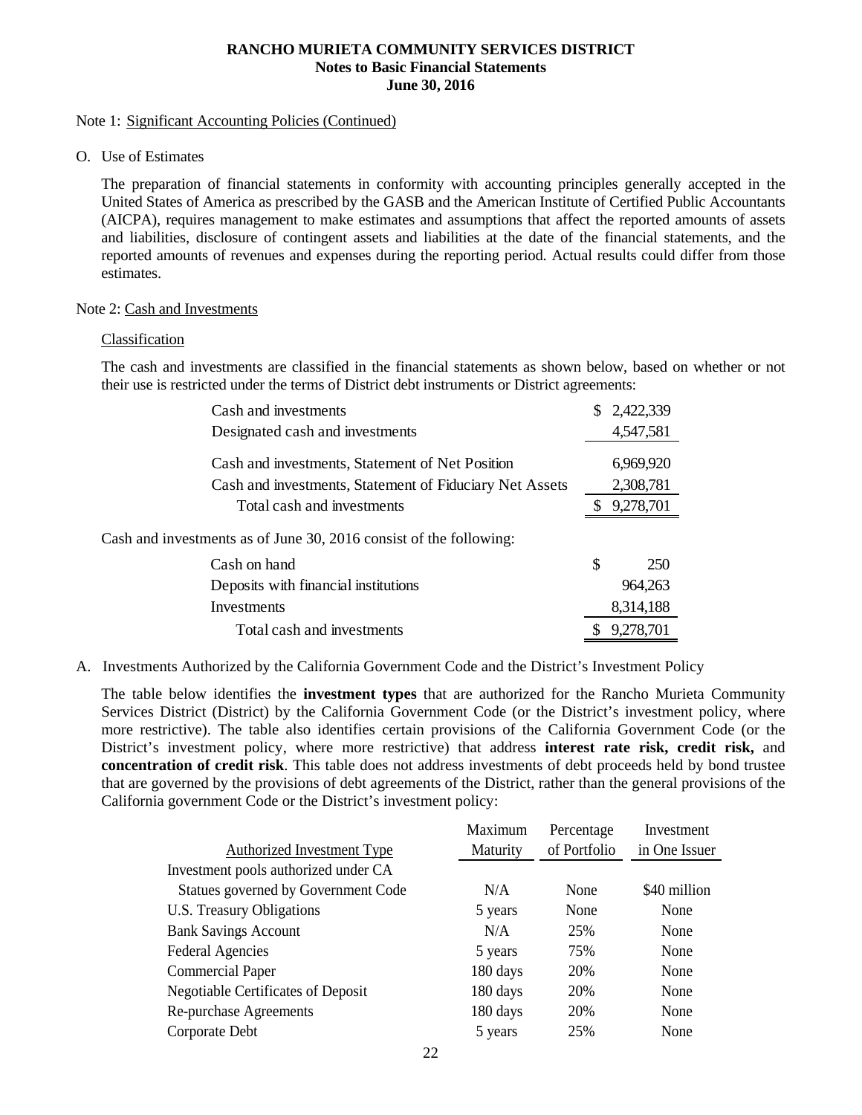#### Note 1: Significant Accounting Policies (Continued)

O. Use of Estimates

The preparation of financial statements in conformity with accounting principles generally accepted in the United States of America as prescribed by the GASB and the American Institute of Certified Public Accountants (AICPA), requires management to make estimates and assumptions that affect the reported amounts of assets and liabilities, disclosure of contingent assets and liabilities at the date of the financial statements, and the reported amounts of revenues and expenses during the reporting period. Actual results could differ from those estimates.

#### Note 2: Cash and Investments

#### Classification

The cash and investments are classified in the financial statements as shown below, based on whether or not their use is restricted under the terms of District debt instruments or District agreements:

| Cash and investments                                               | 2,422,339        |
|--------------------------------------------------------------------|------------------|
| Designated cash and investments                                    | 4,547,581        |
| Cash and investments, Statement of Net Position                    | 6,969,920        |
| Cash and investments, Statement of Fiduciary Net Assets            | 2,308,781        |
| Total cash and investments                                         | 9,278,701        |
| Cash and investments as of June 30, 2016 consist of the following: |                  |
| Cash on hand                                                       | \$<br><b>250</b> |
| Deposits with financial institutions                               | 964,263          |
| Investments                                                        | 8,314,188        |
| Total cash and investments                                         | 9,278,701        |

A. Investments Authorized by the California Government Code and the District's Investment Policy

The table below identifies the **investment types** that are authorized for the Rancho Murieta Community Services District (District) by the California Government Code (or the District's investment policy, where more restrictive). The table also identifies certain provisions of the California Government Code (or the District's investment policy, where more restrictive) that address **interest rate risk, credit risk,** and **concentration of credit risk**. This table does not address investments of debt proceeds held by bond trustee that are governed by the provisions of debt agreements of the District, rather than the general provisions of the California government Code or the District's investment policy:

|                                           | Maximum  | Percentage   | Investment    |
|-------------------------------------------|----------|--------------|---------------|
| Authorized Investment Type                | Maturity | of Portfolio | in One Issuer |
| Investment pools authorized under CA      |          |              |               |
| Statues governed by Government Code       | N/A      | None         | \$40 million  |
| U.S. Treasury Obligations                 | 5 years  | None         | None          |
| <b>Bank Savings Account</b>               | N/A      | 25%          | None          |
| <b>Federal Agencies</b>                   | 5 years  | 75%          | None          |
| Commercial Paper                          | 180 days | 20%          | None          |
| <b>Negotiable Certificates of Deposit</b> | 180 days | 20%          | None          |
| Re-purchase Agreements                    | 180 days | 20%          | None          |
| Corporate Debt                            | 5 years  | 25%          | None          |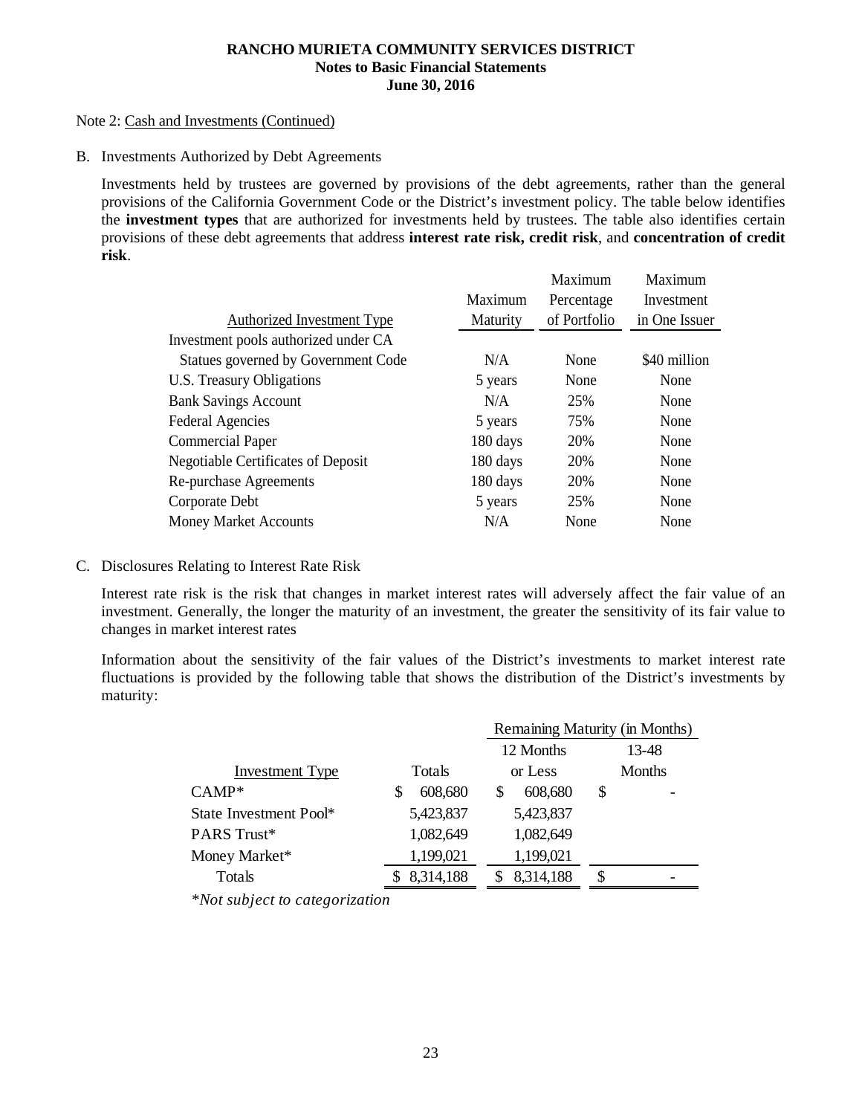#### Note 2: Cash and Investments (Continued)

B. Investments Authorized by Debt Agreements

Investments held by trustees are governed by provisions of the debt agreements, rather than the general provisions of the California Government Code or the District's investment policy. The table below identifies the **investment types** that are authorized for investments held by trustees. The table also identifies certain provisions of these debt agreements that address **interest rate risk, credit risk**, and **concentration of credit risk**.

|                                           |                 | Maximum      | Maximum       |
|-------------------------------------------|-----------------|--------------|---------------|
|                                           | Maximum         | Percentage   | Investment    |
| Authorized Investment Type                | <b>Maturity</b> | of Portfolio | in One Issuer |
| Investment pools authorized under CA      |                 |              |               |
| Statues governed by Government Code       | N/A             | None         | \$40 million  |
| U.S. Treasury Obligations                 | 5 years         | None         | None          |
| <b>Bank Savings Account</b>               | N/A             | 25%          | None          |
| <b>Federal Agencies</b>                   | 5 years         | 75%          | None          |
| <b>Commercial Paper</b>                   | 180 days        | 20%          | None          |
| <b>Negotiable Certificates of Deposit</b> | 180 days        | 20%          | None          |
| Re-purchase Agreements                    | 180 days        | 20%          | None          |
| Corporate Debt                            | 5 years         | 25%          | None          |
| <b>Money Market Accounts</b>              | N/A             | None         | None          |
|                                           |                 |              |               |

C. Disclosures Relating to Interest Rate Risk

Interest rate risk is the risk that changes in market interest rates will adversely affect the fair value of an investment. Generally, the longer the maturity of an investment, the greater the sensitivity of its fair value to changes in market interest rates

Information about the sensitivity of the fair values of the District's investments to market interest rate fluctuations is provided by the following table that shows the distribution of the District's investments by maturity:

|                        |               | Remaining Maturity (in Months) |               |  |  |
|------------------------|---------------|--------------------------------|---------------|--|--|
|                        |               | 12 Months                      | 13-48         |  |  |
| <b>Investment Type</b> | <b>Totals</b> | or Less                        | <b>Months</b> |  |  |
| $CAMP^*$               | 608,680<br>S  | 608,680                        | \$            |  |  |
| State Investment Pool* | 5,423,837     | 5,423,837                      |               |  |  |
| PARS Trust*            | 1,082,649     | 1,082,649                      |               |  |  |
| Money Market*          | 1,199,021     | 1,199,021                      |               |  |  |
| Totals                 | 8,314,188     | 8,314,188                      | S             |  |  |

*\*Not subject to categorization*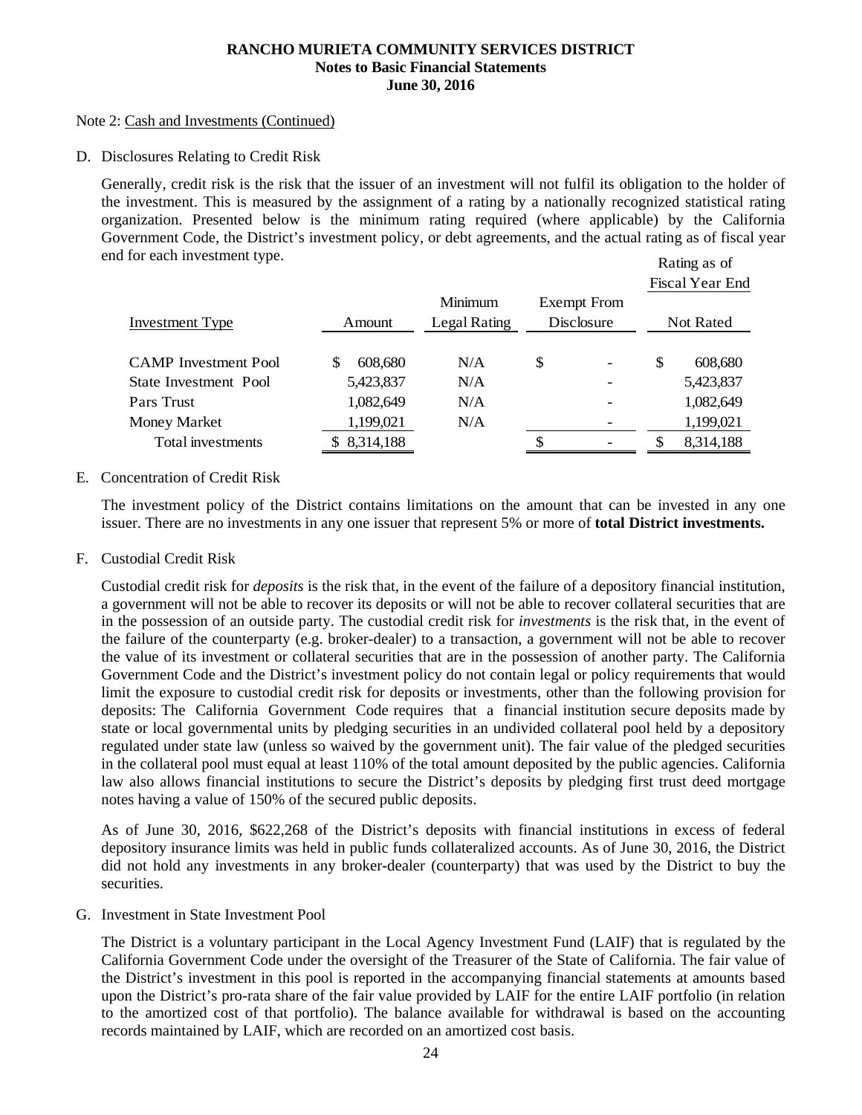#### Note 2: Cash and Investments (Continued)

D. Disclosures Relating to Credit Risk

Rating as of Generally, credit risk is the risk that the issuer of an investment will not fulfil its obligation to the holder of the investment. This is measured by the assignment of a rating by a nationally recognized statistical rating organization. Presented below is the minimum rating required (where applicable) by the California Government Code, the District's investment policy, or debt agreements, and the actual rating as of fiscal year end for each investment type.

|                             |           |              |                    |    | Fiscal Year End |
|-----------------------------|-----------|--------------|--------------------|----|-----------------|
|                             |           | Minimum      | <b>Exempt</b> From |    |                 |
| Investment Type             | Amount    | Legal Rating | Disclosure         |    | Not Rated       |
|                             |           |              |                    |    |                 |
| <b>CAMP</b> Investment Pool | 608,680   | N/A          | \$                 | S. | 608,680         |
| State Investment Pool       | 5,423,837 | N/A          |                    |    | 5,423,837       |
| Pars Trust                  | 1,082,649 | N/A          |                    |    | 1,082,649       |
| Money Market                | 1,199,021 | N/A          |                    |    | 1,199,021       |
| Total investments           | 8,314,188 |              |                    |    | 8,314,188       |

# E. Concentration of Credit Risk

The investment policy of the District contains limitations on the amount that can be invested in any one issuer. There are no investments in any one issuer that represent 5% or more of **total District investments.** 

F. Custodial Credit Risk

Custodial credit risk for *deposits* is the risk that, in the event of the failure of a depository financial institution, a government will not be able to recover its deposits or will not be able to recover collateral securities that are in the possession of an outside party. The custodial credit risk for *investments* is the risk that, in the event of the failure of the counterparty (e.g. broker-dealer) to a transaction, a government will not be able to recover the value of its investment or collateral securities that are in the possession of another party. The California Government Code and the District's investment policy do not contain legal or policy requirements that would limit the exposure to custodial credit risk for deposits or investments, other than the following provision for deposits: The California Government Code requires that a financial institution secure deposits made by state or local governmental units by pledging securities in an undivided collateral pool held by a depository regulated under state law (unless so waived by the government unit). The fair value of the pledged securities in the collateral pool must equal at least 110% of the total amount deposited by the public agencies. California law also allows financial institutions to secure the District's deposits by pledging first trust deed mortgage notes having a value of 150% of the secured public deposits.

As of June 30, 2016, \$622,268 of the District's deposits with financial institutions in excess of federal depository insurance limits was held in public funds collateralized accounts. As of June 30, 2016, the District did not hold any investments in any broker-dealer (counterparty) that was used by the District to buy the securities.

G. Investment in State Investment Pool

The District is a voluntary participant in the Local Agency Investment Fund (LAIF) that is regulated by the California Government Code under the oversight of the Treasurer of the State of California. The fair value of the District's investment in this pool is reported in the accompanying financial statements at amounts based upon the District's pro-rata share of the fair value provided by LAIF for the entire LAIF portfolio (in relation to the amortized cost of that portfolio). The balance available for withdrawal is based on the accounting records maintained by LAIF, which are recorded on an amortized cost basis.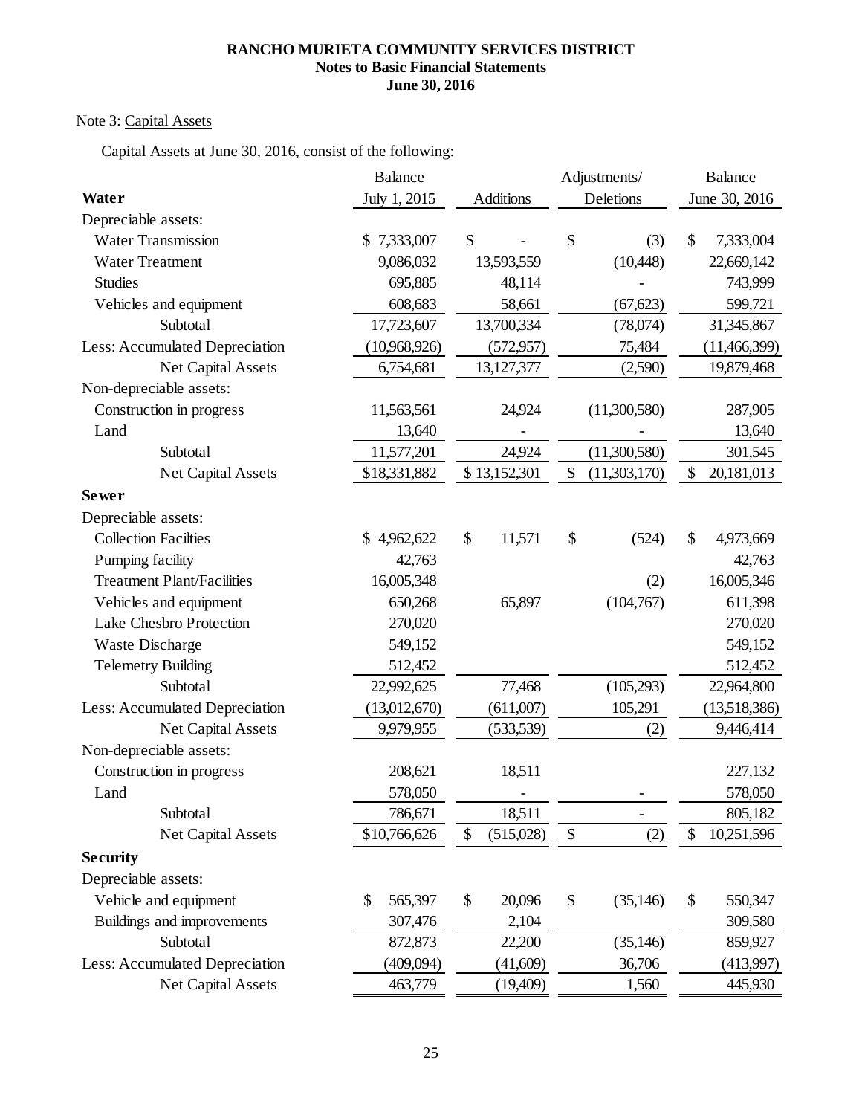# Note 3: Capital Assets

Capital Assets at June 30, 2016, consist of the following:

|                                   | <b>Balance</b>  |                  | Adjustments/             | <b>Balance</b>   |
|-----------------------------------|-----------------|------------------|--------------------------|------------------|
| Water                             | July 1, 2015    | <b>Additions</b> | Deletions                | June 30, 2016    |
| Depreciable assets:               |                 |                  |                          |                  |
| <b>Water Transmission</b>         | 7,333,007<br>\$ | \$               | \$<br>(3)                | 7,333,004<br>\$  |
| <b>Water Treatment</b>            | 9,086,032       | 13,593,559       | (10,448)                 | 22,669,142       |
| <b>Studies</b>                    | 695,885         | 48,114           |                          | 743,999          |
| Vehicles and equipment            | 608,683         | 58,661           | (67, 623)                | 599,721          |
| Subtotal                          | 17,723,607      | 13,700,334       | (78,074)                 | 31,345,867       |
| Less: Accumulated Depreciation    | (10,968,926)    | (572, 957)       | 75,484                   | (11, 466, 399)   |
| Net Capital Assets                | 6,754,681       | 13,127,377       | (2,590)                  | 19,879,468       |
| Non-depreciable assets:           |                 |                  |                          |                  |
| Construction in progress          | 11,563,561      | 24,924           | (11,300,580)             | 287,905          |
| Land                              | 13,640          |                  |                          | 13,640           |
| Subtotal                          | 11,577,201      | 24,924           | (11,300,580)             | 301,545          |
| Net Capital Assets                | \$18,331,882    | \$13,152,301     | \$<br>(11,303,170)       | \$<br>20,181,013 |
| Sewer                             |                 |                  |                          |                  |
| Depreciable assets:               |                 |                  |                          |                  |
| <b>Collection Facilties</b>       | \$4,962,622     | \$<br>11,571     | \$<br>(524)              | \$<br>4,973,669  |
| Pumping facility                  | 42,763          |                  |                          | 42,763           |
| <b>Treatment Plant/Facilities</b> | 16,005,348      |                  | (2)                      | 16,005,346       |
| Vehicles and equipment            | 650,268         | 65,897           | (104,767)                | 611,398          |
| Lake Chesbro Protection           | 270,020         |                  |                          | 270,020          |
| Waste Discharge                   | 549,152         |                  |                          | 549,152          |
| <b>Telemetry Building</b>         | 512,452         |                  |                          | 512,452          |
| Subtotal                          | 22,992,625      | 77,468           | (105, 293)               | 22,964,800       |
| Less: Accumulated Depreciation    | (13,012,670)    | (611,007)        | 105,291                  | (13,518,386)     |
| Net Capital Assets                | 9,979,955       | (533, 539)       | (2)                      | 9,446,414        |
| Non-depreciable assets:           |                 |                  |                          |                  |
| Construction in progress          | 208,621         | 18,511           |                          | 227,132          |
| Land                              | 578,050         |                  |                          | 578,050          |
| Subtotal                          | 786,671         | 18,511           | $\overline{\phantom{0}}$ | 805,182          |
| Net Capital Assets                | \$10,766,626    | \$<br>(515,028)  | $\$\,$<br>(2)            | \$<br>10,251,596 |
| <b>Security</b>                   |                 |                  |                          |                  |
| Depreciable assets:               |                 |                  |                          |                  |
| Vehicle and equipment             | 565,397<br>\$   | \$<br>20,096     | \$<br>(35, 146)          | \$<br>550,347    |
| Buildings and improvements        | 307,476         | 2,104            |                          | 309,580          |
| Subtotal                          | 872,873         | 22,200           | (35, 146)                | 859,927          |
| Less: Accumulated Depreciation    | (409,094)       | (41,609)         | 36,706                   | (413,997)        |
| Net Capital Assets                | 463,779         | (19,409)         | 1,560                    | 445,930          |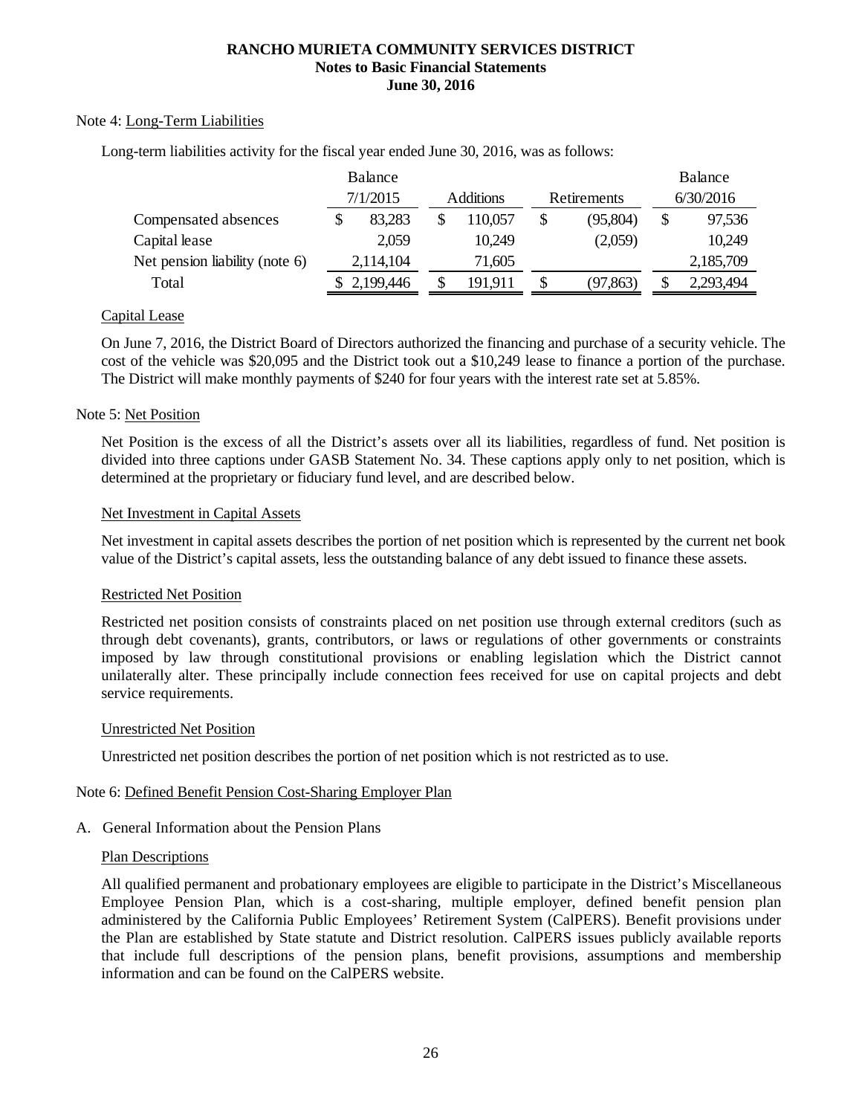# Note 4: Long-Term Liabilities

Long-term liabilities activity for the fiscal year ended June 30, 2016, was as follows:

|                                | <b>Balance</b> |                  |             | Balance         |
|--------------------------------|----------------|------------------|-------------|-----------------|
|                                | 7/1/2015       | <b>Additions</b> | Retirements | 6/30/2016       |
| Compensated absences           | 83,283         | 110,057          | (95, 804)   | \$<br>97,536    |
| Capital lease                  | 2,059          | 10,249           | (2,059)     | 10,249          |
| Net pension liability (note 6) | 2,114,104      | 71,605           |             | 2,185,709       |
| Total                          | 2,199,446      | 191,911          | (97, 863)   | \$<br>2,293,494 |

# Capital Lease

On June 7, 2016, the District Board of Directors authorized the financing and purchase of a security vehicle. The cost of the vehicle was \$20,095 and the District took out a \$10,249 lease to finance a portion of the purchase. The District will make monthly payments of \$240 for four years with the interest rate set at 5.85%.

#### Note 5: Net Position

Net Position is the excess of all the District's assets over all its liabilities, regardless of fund. Net position is divided into three captions under GASB Statement No. 34. These captions apply only to net position, which is determined at the proprietary or fiduciary fund level, and are described below.

#### Net Investment in Capital Assets

Net investment in capital assets describes the portion of net position which is represented by the current net book value of the District's capital assets, less the outstanding balance of any debt issued to finance these assets.

# Restricted Net Position

Restricted net position consists of constraints placed on net position use through external creditors (such as through debt covenants), grants, contributors, or laws or regulations of other governments or constraints imposed by law through constitutional provisions or enabling legislation which the District cannot unilaterally alter. These principally include connection fees received for use on capital projects and debt service requirements.

#### Unrestricted Net Position

Unrestricted net position describes the portion of net position which is not restricted as to use.

#### Note 6: Defined Benefit Pension Cost-Sharing Employer Plan

# A. General Information about the Pension Plans

#### Plan Descriptions

All qualified permanent and probationary employees are eligible to participate in the District's Miscellaneous Employee Pension Plan, which is a cost-sharing, multiple employer, defined benefit pension plan administered by the California Public Employees' Retirement System (CalPERS). Benefit provisions under the Plan are established by State statute and District resolution. CalPERS issues publicly available reports that include full descriptions of the pension plans, benefit provisions, assumptions and membership information and can be found on the CalPERS website.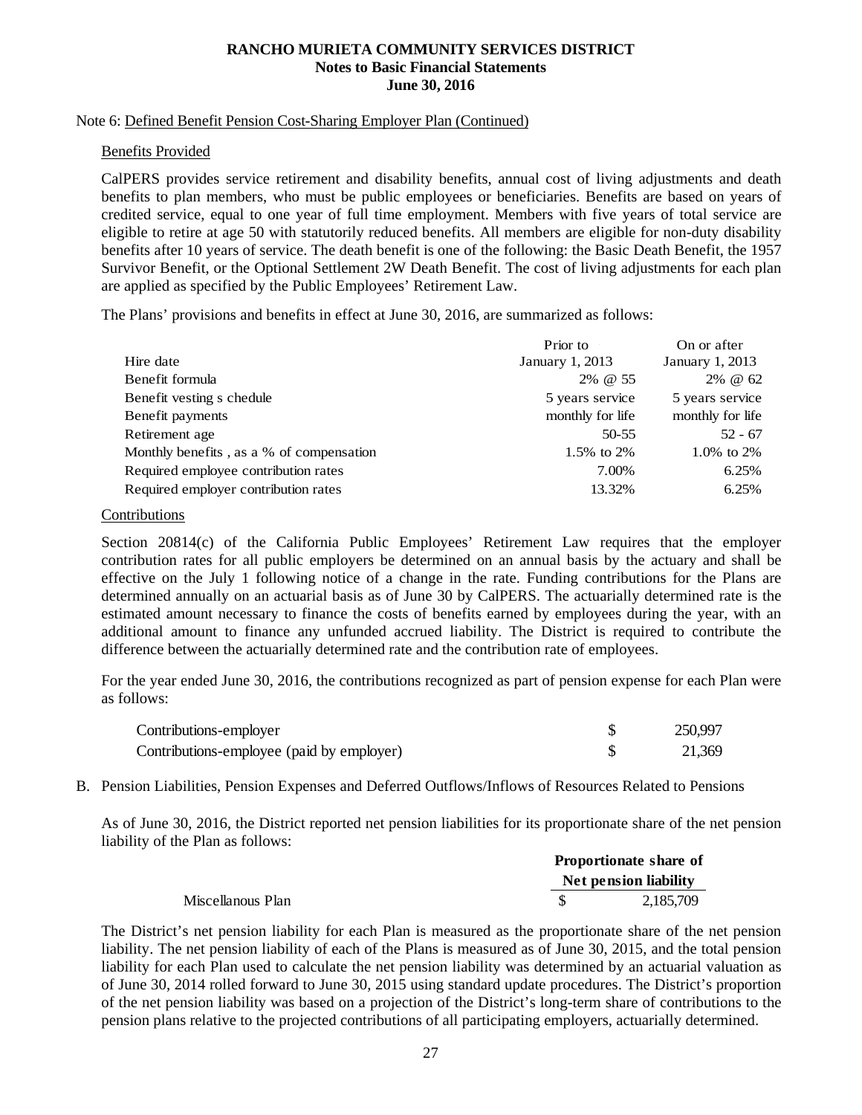#### Note 6: Defined Benefit Pension Cost-Sharing Employer Plan (Continued)

#### Benefits Provided

CalPERS provides service retirement and disability benefits, annual cost of living adjustments and death benefits to plan members, who must be public employees or beneficiaries. Benefits are based on years of credited service, equal to one year of full time employment. Members with five years of total service are eligible to retire at age 50 with statutorily reduced benefits. All members are eligible for non-duty disability benefits after 10 years of service. The death benefit is one of the following: the Basic Death Benefit, the 1957 Survivor Benefit, or the Optional Settlement 2W Death Benefit. The cost of living adjustments for each plan are applied as specified by the Public Employees' Retirement Law.

The Plans' provisions and benefits in effect at June 30, 2016, are summarized as follows:

|                                          | Prior to         | On or after      |
|------------------------------------------|------------------|------------------|
| Hire date                                | January 1, 2013  | January 1, 2013  |
| Benefit formula                          | 2% @ 55          | 2% @ 62          |
| Benefit vesting s chedule                | 5 years service  | 5 years service  |
| Benefit payments                         | monthly for life | monthly for life |
| Retirement age                           | 50-55            | $52 - 67$        |
| Monthly benefits, as a % of compensation | 1.5% to 2%       | 1.0\% to 2\%     |
| Required employee contribution rates     | 7.00%            | 6.25%            |
| Required employer contribution rates     | 13.32%           | 6.25%            |

#### Contributions

Section 20814(c) of the California Public Employees' Retirement Law requires that the employer contribution rates for all public employers be determined on an annual basis by the actuary and shall be effective on the July 1 following notice of a change in the rate. Funding contributions for the Plans are determined annually on an actuarial basis as of June 30 by CalPERS. The actuarially determined rate is the estimated amount necessary to finance the costs of benefits earned by employees during the year, with an additional amount to finance any unfunded accrued liability. The District is required to contribute the difference between the actuarially determined rate and the contribution rate of employees.

For the year ended June 30, 2016, the contributions recognized as part of pension expense for each Plan were as follows:

| Contributions-employer                    | 250,997 |
|-------------------------------------------|---------|
| Contributions-employee (paid by employer) | 21,369  |

B. Pension Liabilities, Pension Expenses and Deferred Outflows/Inflows of Resources Related to Pensions

As of June 30, 2016, the District reported net pension liabilities for its proportionate share of the net pension liability of the Plan as follows:

|                   |                              | Proportionate share of |
|-------------------|------------------------------|------------------------|
|                   | <b>Net pension liability</b> |                        |
| Miscellanous Plan |                              | 2.185.709              |

The District's net pension liability for each Plan is measured as the proportionate share of the net pension liability. The net pension liability of each of the Plans is measured as of June 30, 2015, and the total pension liability for each Plan used to calculate the net pension liability was determined by an actuarial valuation as of June 30, 2014 rolled forward to June 30, 2015 using standard update procedures. The District's proportion of the net pension liability was based on a projection of the District's long-term share of contributions to the pension plans relative to the projected contributions of all participating employers, actuarially determined.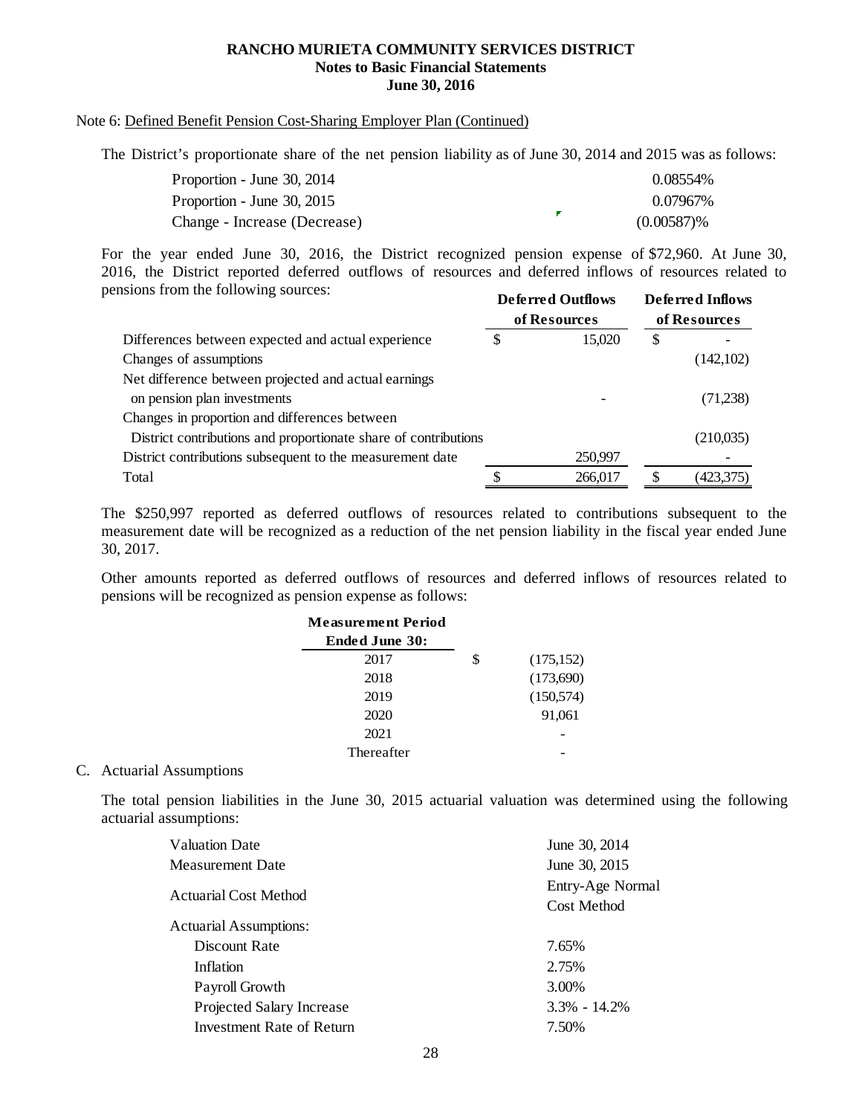### Note 6: Defined Benefit Pension Cost-Sharing Employer Plan (Continued)

The District's proportionate share of the net pension liability as of June 30, 2014 and 2015 was as follows:

| Proportion - June 30, 2014   | 0.08554%      |
|------------------------------|---------------|
| Proportion - June 30, 2015   | 0.07967%      |
| Change - Increase (Decrease) | $(0.00587)\%$ |

**Deferred Outflows Deferred Inflows** For the year ended June 30, 2016, the District recognized pension expense of \$72,960. At June 30, 2016, the District reported deferred outflows of resources and deferred inflows of resources related to pensions from the following sources:

|                                                                 | Den reu Oumova |         | DURICU MIRVA |           |  |
|-----------------------------------------------------------------|----------------|---------|--------------|-----------|--|
|                                                                 | of Resources   |         | of Resources |           |  |
| Differences between expected and actual experience              | S              | 15,020  | \$           |           |  |
| Changes of assumptions                                          |                |         |              | (142,102) |  |
| Net difference between projected and actual earnings            |                |         |              |           |  |
| on pension plan investments                                     |                |         |              | (71,238)  |  |
| Changes in proportion and differences between                   |                |         |              |           |  |
| District contributions and proportionate share of contributions |                |         |              | (210,035) |  |
| District contributions subsequent to the measurement date       |                | 250,997 |              |           |  |
| Total                                                           |                | 266,017 |              | (423,375) |  |

The \$250,997 reported as deferred outflows of resources related to contributions subsequent to the measurement date will be recognized as a reduction of the net pension liability in the fiscal year ended June 30, 2017.

Other amounts reported as deferred outflows of resources and deferred inflows of resources related to pensions will be recognized as pension expense as follows:

| <b>Measurement Period</b> |                  |
|---------------------------|------------------|
| <b>Ended June 30:</b>     |                  |
| 2017                      | \$<br>(175, 152) |
| 2018                      | (173,690)        |
| 2019                      | (150, 574)       |
| 2020                      | 91,061           |
| 2021                      |                  |
| Thereafter                |                  |

#### C. Actuarial Assumptions

The total pension liabilities in the June 30, 2015 actuarial valuation was determined using the following actuarial assumptions:

| <b>Valuation Date</b>            | June 30, 2014      |
|----------------------------------|--------------------|
| Measurement Date                 | June 30, 2015      |
|                                  | Entry-Age Normal   |
| Actuarial Cost Method            | <b>Cost Method</b> |
| Actuarial Assumptions:           |                    |
| Discount Rate                    | 7.65%              |
| Inflation                        | 2.75%              |
| Payroll Growth                   | 3.00%              |
| <b>Projected Salary Increase</b> | $3.3\% - 14.2\%$   |
| <b>Investment Rate of Return</b> | 7.50%              |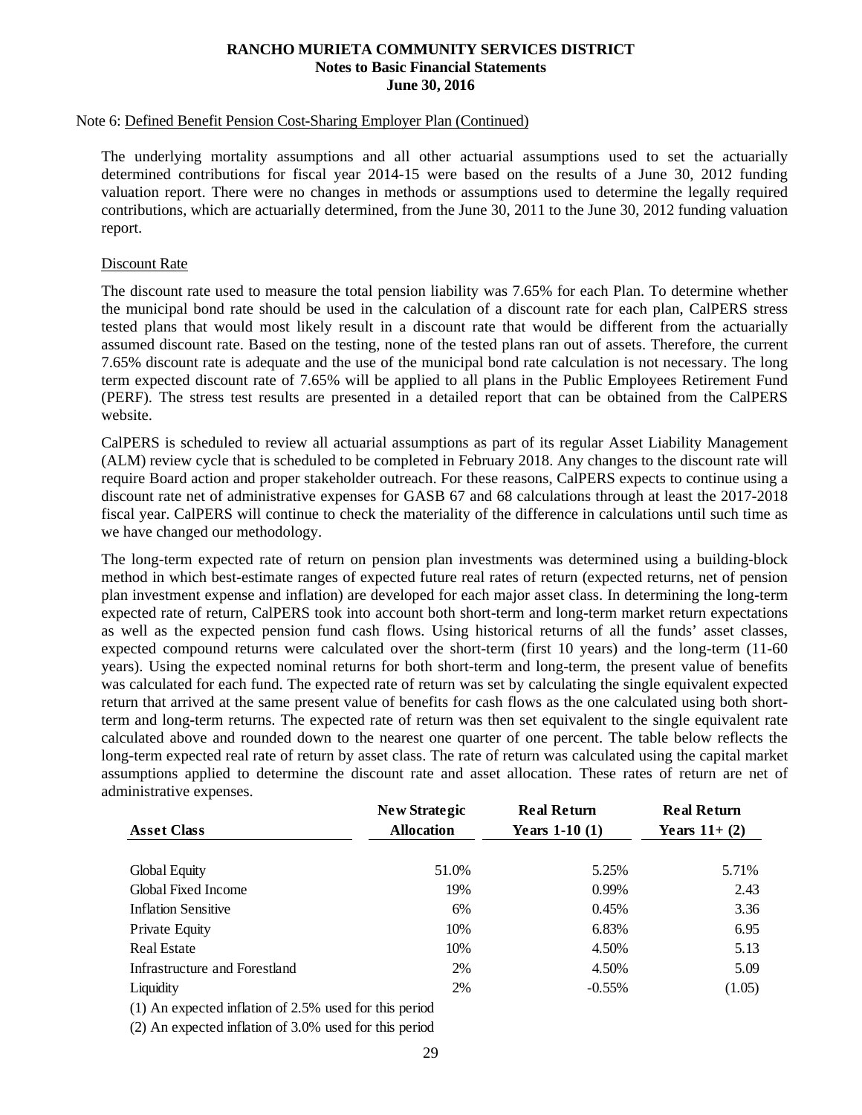#### Note 6: Defined Benefit Pension Cost-Sharing Employer Plan (Continued)

The underlying mortality assumptions and all other actuarial assumptions used to set the actuarially determined contributions for fiscal year 2014-15 were based on the results of a June 30, 2012 funding valuation report. There were no changes in methods or assumptions used to determine the legally required contributions, which are actuarially determined, from the June 30, 2011 to the June 30, 2012 funding valuation report.

#### Discount Rate

The discount rate used to measure the total pension liability was 7.65% for each Plan. To determine whether the municipal bond rate should be used in the calculation of a discount rate for each plan, CalPERS stress tested plans that would most likely result in a discount rate that would be different from the actuarially assumed discount rate. Based on the testing, none of the tested plans ran out of assets. Therefore, the current 7.65% discount rate is adequate and the use of the municipal bond rate calculation is not necessary. The long term expected discount rate of 7.65% will be applied to all plans in the Public Employees Retirement Fund (PERF). The stress test results are presented in a detailed report that can be obtained from the CalPERS website.

CalPERS is scheduled to review all actuarial assumptions as part of its regular Asset Liability Management (ALM) review cycle that is scheduled to be completed in February 2018. Any changes to the discount rate will require Board action and proper stakeholder outreach. For these reasons, CalPERS expects to continue using a discount rate net of administrative expenses for GASB 67 and 68 calculations through at least the 2017-2018 fiscal year. CalPERS will continue to check the materiality of the difference in calculations until such time as we have changed our methodology.

The long-term expected rate of return on pension plan investments was determined using a building-block method in which best-estimate ranges of expected future real rates of return (expected returns, net of pension plan investment expense and inflation) are developed for each major asset class. In determining the long-term expected rate of return, CalPERS took into account both short-term and long-term market return expectations as well as the expected pension fund cash flows. Using historical returns of all the funds' asset classes, expected compound returns were calculated over the short-term (first 10 years) and the long-term (11-60 years). Using the expected nominal returns for both short-term and long-term, the present value of benefits was calculated for each fund. The expected rate of return was set by calculating the single equivalent expected return that arrived at the same present value of benefits for cash flows as the one calculated using both shortterm and long-term returns. The expected rate of return was then set equivalent to the single equivalent rate calculated above and rounded down to the nearest one quarter of one percent. The table below reflects the long-term expected real rate of return by asset class. The rate of return was calculated using the capital market assumptions applied to determine the discount rate and asset allocation. These rates of return are net of administrative expenses.

|                               | <b>New Strategic</b> | <b>Real Return</b> | <b>Real Return</b> |
|-------------------------------|----------------------|--------------------|--------------------|
| <b>Asset Class</b>            | <b>Allocation</b>    | Years $1-10(1)$    | Years $11+(2)$     |
| Global Equity                 | 51.0%                | 5.25%              | 5.71%              |
| Global Fixed Income           | 19%                  | 0.99%              | 2.43               |
| <b>Inflation Sensitive</b>    | 6%                   | 0.45%              | 3.36               |
| Private Equity                | 10%                  | 6.83%              | 6.95               |
| <b>Real Estate</b>            | 10%                  | 4.50%              | 5.13               |
| Infrastructure and Forestland | 2%                   | 4.50%              | 5.09               |
| Liquidity                     | 2%                   | $-0.55%$           | (1.05)             |
|                               |                      |                    |                    |

(1) An expected inflation of 2.5% used for this period

(2) An expected inflation of 3.0% used for this period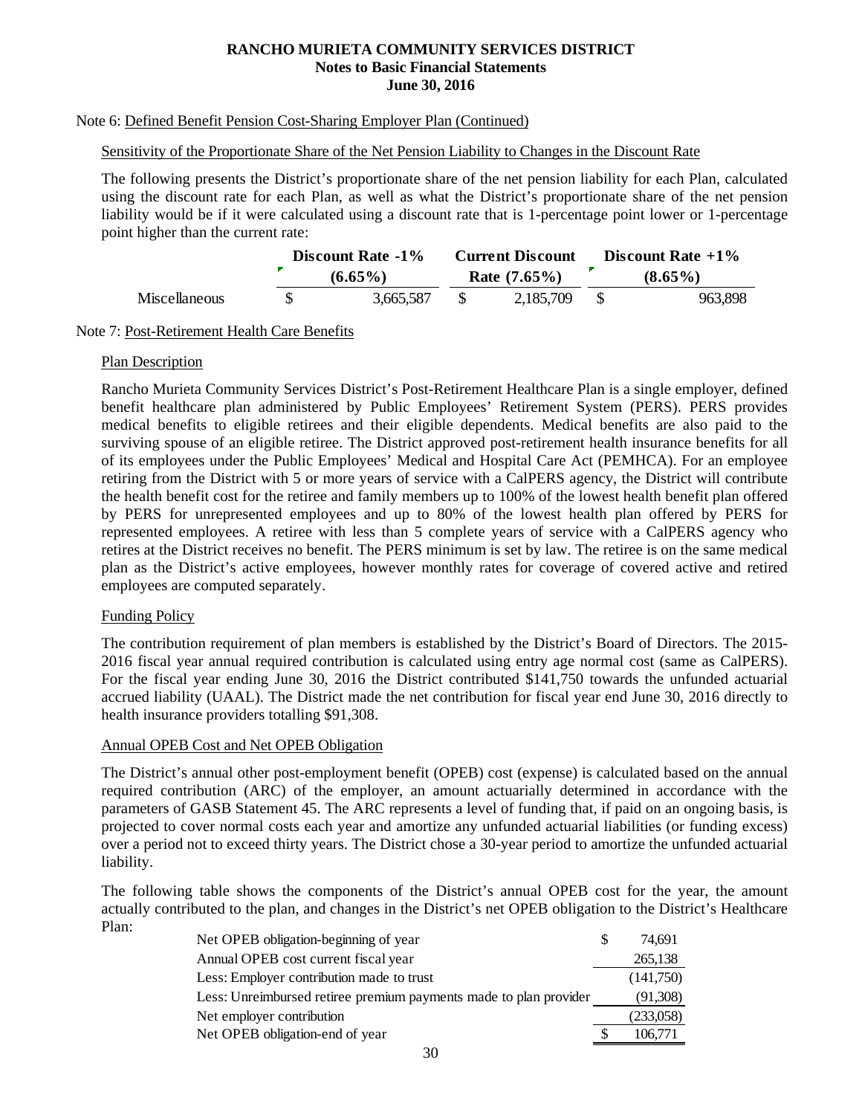# Note 6: Defined Benefit Pension Cost-Sharing Employer Plan (Continued)

# Sensitivity of the Proportionate Share of the Net Pension Liability to Changes in the Discount Rate

The following presents the District's proportionate share of the net pension liability for each Plan, calculated using the discount rate for each Plan, as well as what the District's proportionate share of the net pension liability would be if it were calculated using a discount rate that is 1-percentage point lower or 1-percentage point higher than the current rate:

|                      | Discount Rate -1% | <b>Current Discount</b> | Discount Rate $+1\%$ |
|----------------------|-------------------|-------------------------|----------------------|
|                      | $(6.65\%)$        | Rate $(7.65\%)$         | $(8.65\%)$           |
| <b>Miscellaneous</b> | 3.665.587         | 2,185,709               | 963,898              |

#### Note 7: Post-Retirement Health Care Benefits

#### **Plan Description**

Rancho Murieta Community Services District's Post-Retirement Healthcare Plan is a single employer, defined benefit healthcare plan administered by Public Employees' Retirement System (PERS). PERS provides medical benefits to eligible retirees and their eligible dependents. Medical benefits are also paid to the surviving spouse of an eligible retiree. The District approved post-retirement health insurance benefits for all of its employees under the Public Employees' Medical and Hospital Care Act (PEMHCA). For an employee retiring from the District with 5 or more years of service with a CalPERS agency, the District will contribute the health benefit cost for the retiree and family members up to 100% of the lowest health benefit plan offered by PERS for unrepresented employees and up to 80% of the lowest health plan offered by PERS for represented employees. A retiree with less than 5 complete years of service with a CalPERS agency who retires at the District receives no benefit. The PERS minimum is set by law. The retiree is on the same medical plan as the District's active employees, however monthly rates for coverage of covered active and retired employees are computed separately.

# Funding Policy

The contribution requirement of plan members is established by the District's Board of Directors. The 2015- 2016 fiscal year annual required contribution is calculated using entry age normal cost (same as CalPERS). For the fiscal year ending June 30, 2016 the District contributed \$141,750 towards the unfunded actuarial accrued liability (UAAL). The District made the net contribution for fiscal year end June 30, 2016 directly to health insurance providers totalling \$91,308.

#### Annual OPEB Cost and Net OPEB Obligation

The District's annual other post-employment benefit (OPEB) cost (expense) is calculated based on the annual required contribution (ARC) of the employer, an amount actuarially determined in accordance with the parameters of GASB Statement 45. The ARC represents a level of funding that, if paid on an ongoing basis, is projected to cover normal costs each year and amortize any unfunded actuarial liabilities (or funding excess) over a period not to exceed thirty years. The District chose a 30-year period to amortize the unfunded actuarial liability.

The following table shows the components of the District's annual OPEB cost for the year, the amount actually contributed to the plan, and changes in the District's net OPEB obligation to the District's Healthcare Plan:

| Net OPEB obligation-beginning of year                             | 74.691    |
|-------------------------------------------------------------------|-----------|
| Annual OPEB cost current fiscal year                              | 265,138   |
| Less: Employer contribution made to trust                         | (141,750) |
| Less: Unreimbursed retiree premium payments made to plan provider | (91,308)  |
| Net employer contribution                                         | (233,058) |
| Net OPEB obligation-end of year                                   | 106,771   |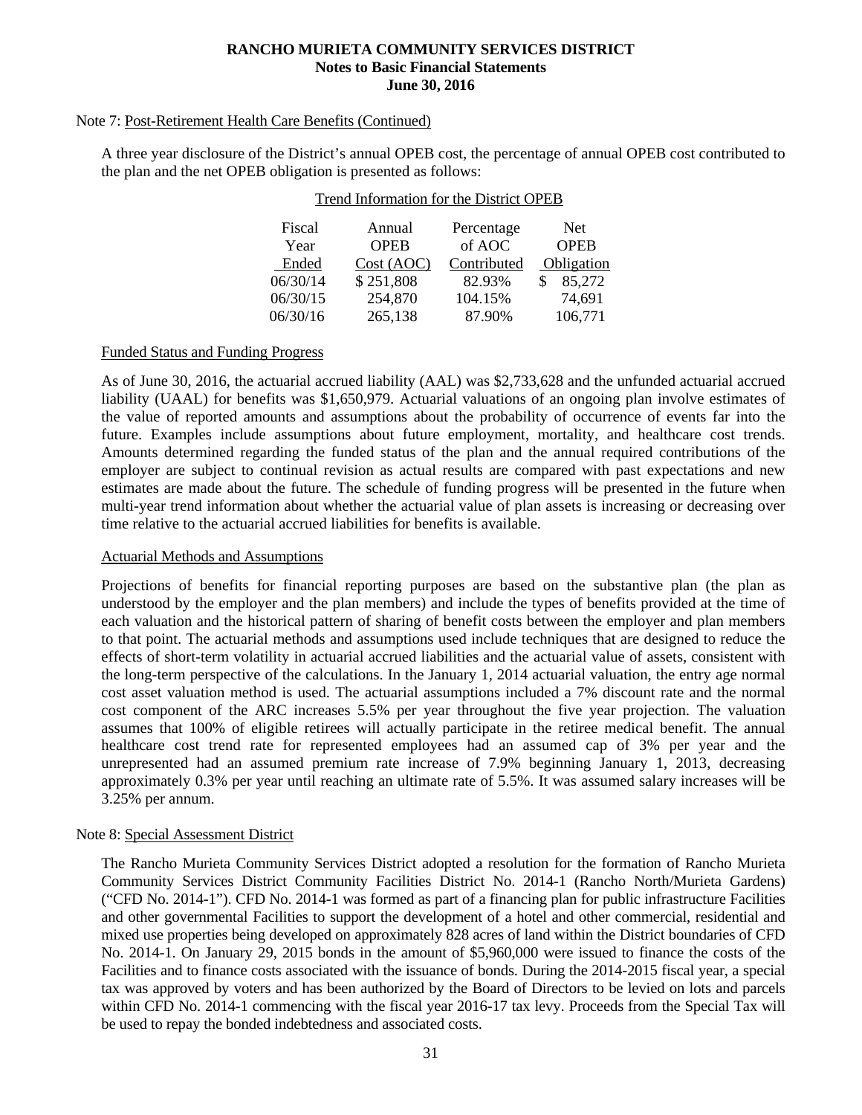#### Note 7: Post-Retirement Health Care Benefits (Continued)

A three year disclosure of the District's annual OPEB cost, the percentage of annual OPEB cost contributed to the plan and the net OPEB obligation is presented as follows:

Trend Information for the District OPEB

| Fiscal   | Annual      | Percentage  | <b>Net</b>  |
|----------|-------------|-------------|-------------|
| Year     | <b>OPEB</b> | of AOC      | <b>OPEB</b> |
| Ended    | Cost (AOC)  | Contributed | Obligation  |
| 06/30/14 | \$251,808   | 82.93%      | 85,272      |
| 06/30/15 | 254,870     | 104.15%     | 74,691      |
| 06/30/16 | 265,138     | 87.90%      | 106,771     |

#### Funded Status and Funding Progress

As of June 30, 2016, the actuarial accrued liability (AAL) was \$2,733,628 and the unfunded actuarial accrued liability (UAAL) for benefits was \$1,650,979. Actuarial valuations of an ongoing plan involve estimates of the value of reported amounts and assumptions about the probability of occurrence of events far into the future. Examples include assumptions about future employment, mortality, and healthcare cost trends. Amounts determined regarding the funded status of the plan and the annual required contributions of the employer are subject to continual revision as actual results are compared with past expectations and new estimates are made about the future. The schedule of funding progress will be presented in the future when multi-year trend information about whether the actuarial value of plan assets is increasing or decreasing over time relative to the actuarial accrued liabilities for benefits is available.

#### Actuarial Methods and Assumptions

Projections of benefits for financial reporting purposes are based on the substantive plan (the plan as understood by the employer and the plan members) and include the types of benefits provided at the time of each valuation and the historical pattern of sharing of benefit costs between the employer and plan members to that point. The actuarial methods and assumptions used include techniques that are designed to reduce the effects of short-term volatility in actuarial accrued liabilities and the actuarial value of assets, consistent with the long-term perspective of the calculations. In the January 1, 2014 actuarial valuation, the entry age normal cost asset valuation method is used. The actuarial assumptions included a 7% discount rate and the normal cost component of the ARC increases 5.5% per year throughout the five year projection. The valuation assumes that 100% of eligible retirees will actually participate in the retiree medical benefit. The annual healthcare cost trend rate for represented employees had an assumed cap of 3% per year and the unrepresented had an assumed premium rate increase of 7.9% beginning January 1, 2013, decreasing approximately 0.3% per year until reaching an ultimate rate of 5.5%. It was assumed salary increases will be 3.25% per annum.

#### Note 8: Special Assessment District

The Rancho Murieta Community Services District adopted a resolution for the formation of Rancho Murieta Community Services District Community Facilities District No. 2014-1 (Rancho North/Murieta Gardens) ("CFD No. 2014-1"). CFD No. 2014-1 was formed as part of a financing plan for public infrastructure Facilities and other governmental Facilities to support the development of a hotel and other commercial, residential and mixed use properties being developed on approximately 828 acres of land within the District boundaries of CFD No. 2014-1. On January 29, 2015 bonds in the amount of \$5,960,000 were issued to finance the costs of the Facilities and to finance costs associated with the issuance of bonds. During the 2014-2015 fiscal year, a special tax was approved by voters and has been authorized by the Board of Directors to be levied on lots and parcels within CFD No. 2014-1 commencing with the fiscal year 2016-17 tax levy. Proceeds from the Special Tax will be used to repay the bonded indebtedness and associated costs.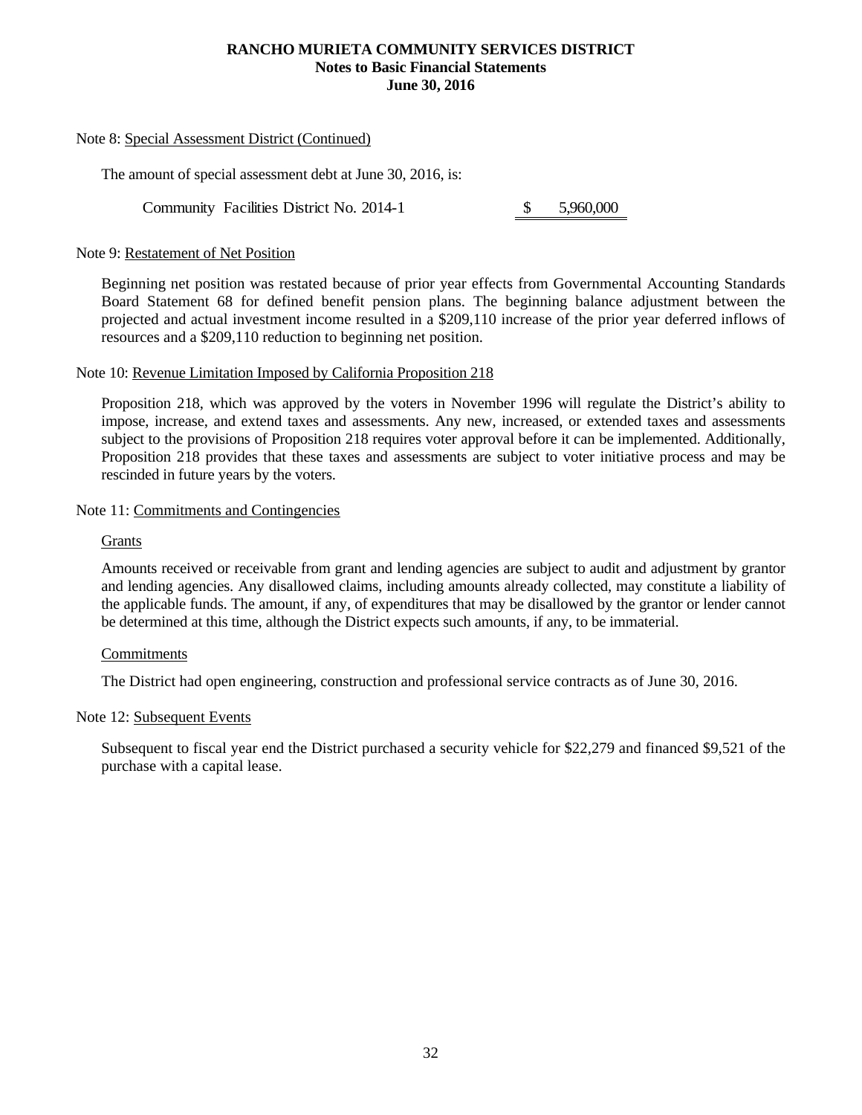#### Note 8: Special Assessment District (Continued)

The amount of special assessment debt at June 30, 2016, is:

Community Facilities District No. 2014-1 \$ 5,960,000

#### Note 9: Restatement of Net Position

Beginning net position was restated because of prior year effects from Governmental Accounting Standards Board Statement 68 for defined benefit pension plans. The beginning balance adjustment between the projected and actual investment income resulted in a \$209,110 increase of the prior year deferred inflows of resources and a \$209,110 reduction to beginning net position.

#### Note 10: Revenue Limitation Imposed by California Proposition 218

Proposition 218, which was approved by the voters in November 1996 will regulate the District's ability to impose, increase, and extend taxes and assessments. Any new, increased, or extended taxes and assessments subject to the provisions of Proposition 218 requires voter approval before it can be implemented. Additionally, Proposition 218 provides that these taxes and assessments are subject to voter initiative process and may be rescinded in future years by the voters.

#### Note 11: Commitments and Contingencies

#### **Grants**

Amounts received or receivable from grant and lending agencies are subject to audit and adjustment by grantor and lending agencies. Any disallowed claims, including amounts already collected, may constitute a liability of the applicable funds. The amount, if any, of expenditures that may be disallowed by the grantor or lender cannot be determined at this time, although the District expects such amounts, if any, to be immaterial.

#### **Commitments**

The District had open engineering, construction and professional service contracts as of June 30, 2016.

#### Note 12: Subsequent Events

Subsequent to fiscal year end the District purchased a security vehicle for \$22,279 and financed \$9,521 of the purchase with a capital lease.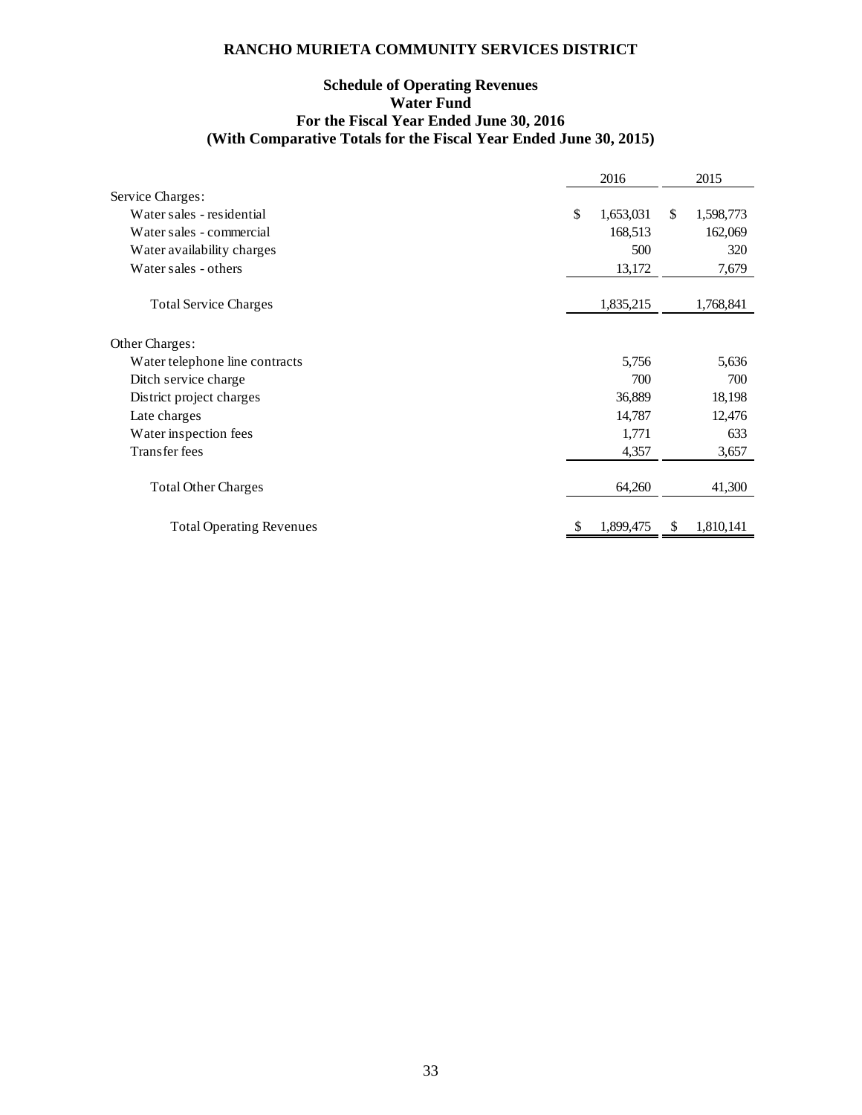# **Schedule of Operating Revenues Water Fund For the Fiscal Year Ended June 30, 2016 (With Comparative Totals for the Fiscal Year Ended June 30, 2015)**

|                                 | 2016            |               | 2015      |
|---------------------------------|-----------------|---------------|-----------|
| Service Charges:                |                 |               |           |
| Water sales - residential       | \$<br>1,653,031 | <sup>\$</sup> | 1,598,773 |
| Water sales - commercial        | 168,513         |               | 162,069   |
| Water availability charges      | 500             |               | 320       |
| Water sales - others            | 13,172          |               | 7,679     |
| <b>Total Service Charges</b>    | 1,835,215       |               | 1,768,841 |
| Other Charges:                  |                 |               |           |
| Water telephone line contracts  | 5,756           |               | 5,636     |
| Ditch service charge            | 700             |               | 700       |
| District project charges        | 36,889          |               | 18,198    |
| Late charges                    | 14,787          |               | 12,476    |
| Water inspection fees           | 1,771           |               | 633       |
| <b>Transfer fees</b>            | 4,357           |               | 3,657     |
|                                 |                 |               |           |
| <b>Total Other Charges</b>      | 64,260          |               | 41,300    |
| <b>Total Operating Revenues</b> | 1,899,475       | S             | 1,810,141 |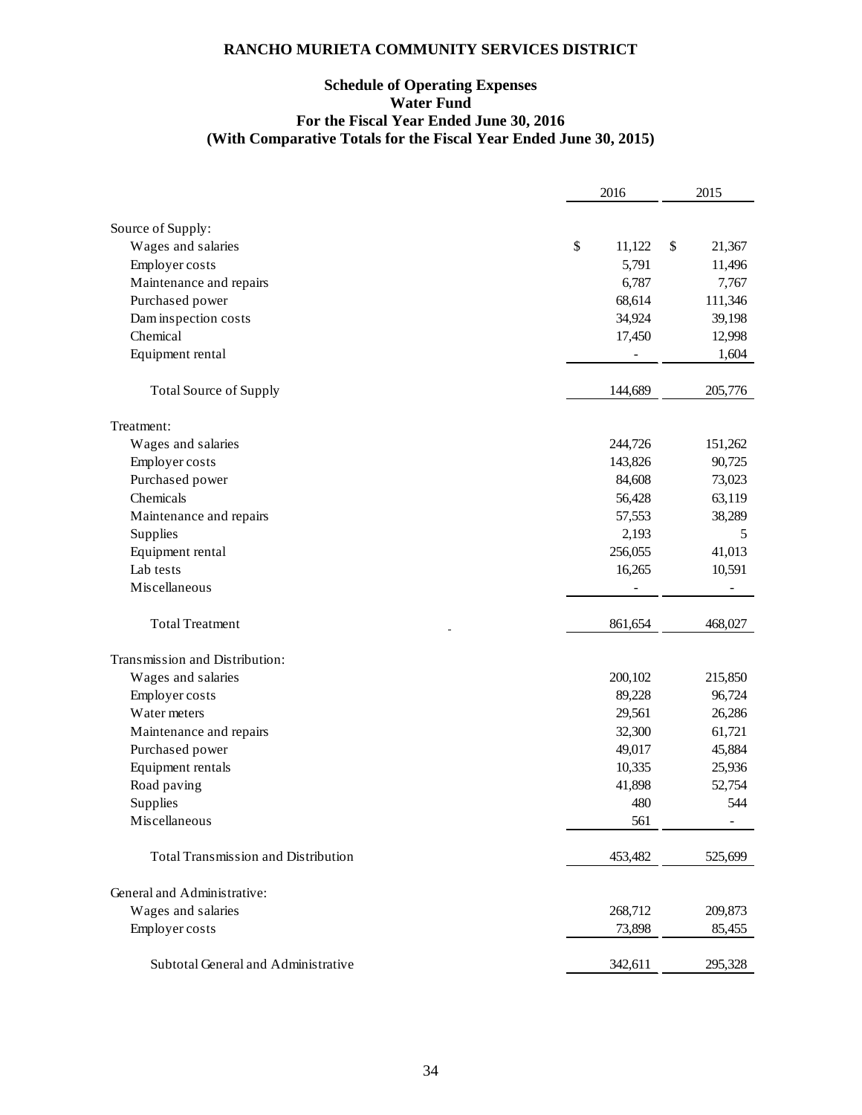# **Schedule of Operating Expenses Water Fund For the Fiscal Year Ended June 30, 2016 (With Comparative Totals for the Fiscal Year Ended June 30, 2015)**

|                                     | 2016         | 2015         |
|-------------------------------------|--------------|--------------|
|                                     |              |              |
| Source of Supply:                   |              |              |
| Wages and salaries                  | \$<br>11,122 | \$<br>21,367 |
| Employer costs                      | 5,791        | 11,496       |
| Maintenance and repairs             | 6,787        | 7,767        |
| Purchased power                     | 68,614       | 111,346      |
| Dam inspection costs                | 34,924       | 39,198       |
| Chemical                            | 17,450       | 12,998       |
| Equipment rental                    |              | 1,604        |
| <b>Total Source of Supply</b>       | 144,689      | 205,776      |
| Treatment:                          |              |              |
| Wages and salaries                  | 244,726      | 151,262      |
| Employer costs                      | 143,826      | 90,725       |
| Purchased power                     | 84,608       | 73,023       |
| Chemicals                           | 56,428       | 63,119       |
| Maintenance and repairs             | 57,553       | 38,289       |
| Supplies                            | 2,193        | 5            |
| Equipment rental                    | 256,055      | 41,013       |
| Lab tests                           | 16,265       | 10,591       |
| Miscellaneous                       |              |              |
| <b>Total Treatment</b>              | 861,654      | 468,027      |
| Transmission and Distribution:      |              |              |
| Wages and salaries                  | 200,102      | 215,850      |
| <b>Employer</b> costs               | 89,228       | 96,724       |
| Water meters                        | 29,561       | 26,286       |
| Maintenance and repairs             | 32,300       | 61,721       |
| Purchased power                     | 49,017       | 45,884       |
| Equipment rentals                   | 10,335       | 25,936       |
| Road paving                         | 41,898       | 52,754       |
| Supplies                            | 480          | 544          |
| Miscellaneous                       | 561          |              |
|                                     |              |              |
| Total Transmission and Distribution | 453,482      | 525,699      |
| General and Administrative:         |              |              |
| Wages and salaries                  | 268,712      | 209,873      |
| Employer costs                      | 73,898       | 85,455       |
| Subtotal General and Administrative | 342,611      | 295,328      |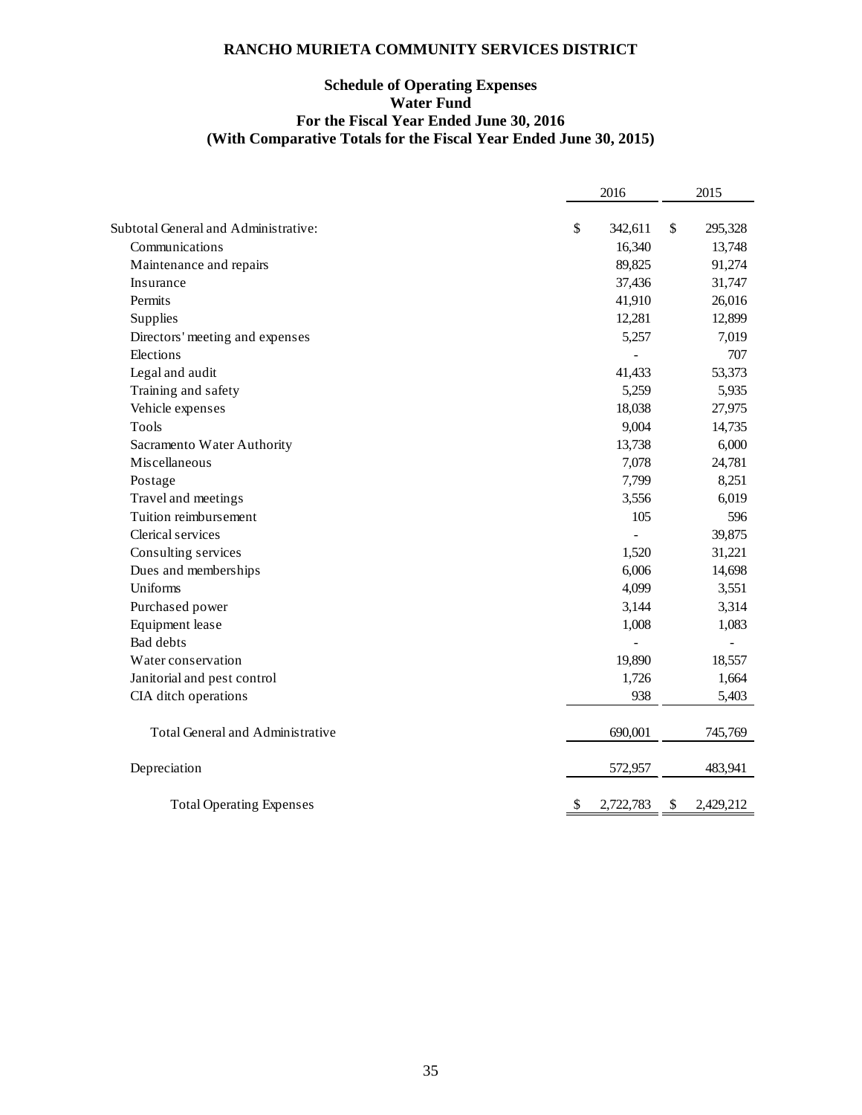# **Schedule of Operating Expenses Water Fund For the Fiscal Year Ended June 30, 2016 (With Comparative Totals for the Fiscal Year Ended June 30, 2015)**

|                                      | 2016            | 2015            |
|--------------------------------------|-----------------|-----------------|
|                                      |                 |                 |
| Subtotal General and Administrative: | \$<br>342,611   | \$<br>295,328   |
| Communications                       | 16,340          | 13,748          |
| Maintenance and repairs              | 89,825          | 91,274          |
| Insurance                            | 37,436          | 31,747          |
| Permits                              | 41,910          | 26,016          |
| Supplies                             | 12,281          | 12,899          |
| Directors' meeting and expenses      | 5,257           | 7,019           |
| Elections                            |                 | 707             |
| Legal and audit                      | 41,433          | 53,373          |
| Training and safety                  | 5,259           | 5,935           |
| Vehicle expenses                     | 18,038          | 27,975          |
| Tools                                | 9,004           | 14,735          |
| Sacramento Water Authority           | 13,738          | 6,000           |
| Miscellaneous                        | 7,078           | 24,781          |
| Postage                              | 7,799           | 8,251           |
| Travel and meetings                  | 3,556           | 6,019           |
| Tuition reimbursement                | 105             | 596             |
| Clerical services                    |                 | 39,875          |
| Consulting services                  | 1,520           | 31,221          |
| Dues and memberships                 | 6,006           | 14,698          |
| Uniforms                             | 4,099           | 3,551           |
| Purchased power                      | 3,144           | 3,314           |
| Equipment lease                      | 1,008           | 1,083           |
| <b>Bad debts</b>                     |                 |                 |
| Water conservation                   | 19,890          | 18,557          |
| Janitorial and pest control          | 1,726           | 1,664           |
| CIA ditch operations                 | 938             | 5,403           |
| Total General and Administrative     | 690,001         | 745,769         |
| Depreciation                         | 572,957         | 483,941         |
| <b>Total Operating Expenses</b>      | \$<br>2,722,783 | \$<br>2,429,212 |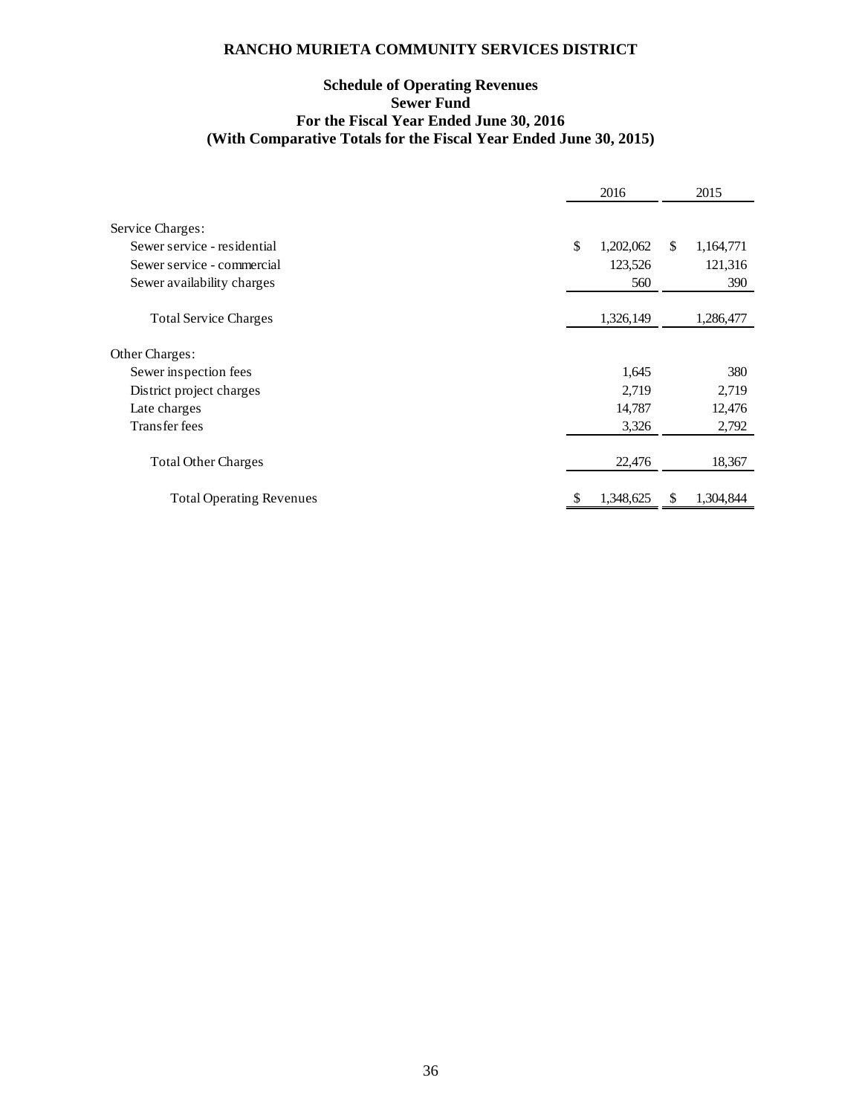# **Schedule of Operating Revenues Sewer Fund For the Fiscal Year Ended June 30, 2016 (With Comparative Totals for the Fiscal Year Ended June 30, 2015)**

|                                 | 2016 |           |    | 2015      |
|---------------------------------|------|-----------|----|-----------|
| Service Charges:                |      |           |    |           |
|                                 |      |           |    |           |
| Sewer service - residential     | \$   | 1,202,062 | \$ | 1,164,771 |
| Sewer service - commercial      |      | 123,526   |    | 121,316   |
| Sewer availability charges      |      | 560       |    | 390       |
| <b>Total Service Charges</b>    |      | 1,326,149 |    | 1,286,477 |
| Other Charges:                  |      |           |    |           |
| Sewer inspection fees           |      | 1,645     |    | 380       |
| District project charges        |      | 2,719     |    | 2,719     |
| Late charges                    |      | 14,787    |    | 12,476    |
| Transfer fees                   |      | 3,326     |    | 2,792     |
| <b>Total Other Charges</b>      |      | 22,476    |    | 18,367    |
| <b>Total Operating Revenues</b> |      | 1,348,625 | Ж  | 1,304,844 |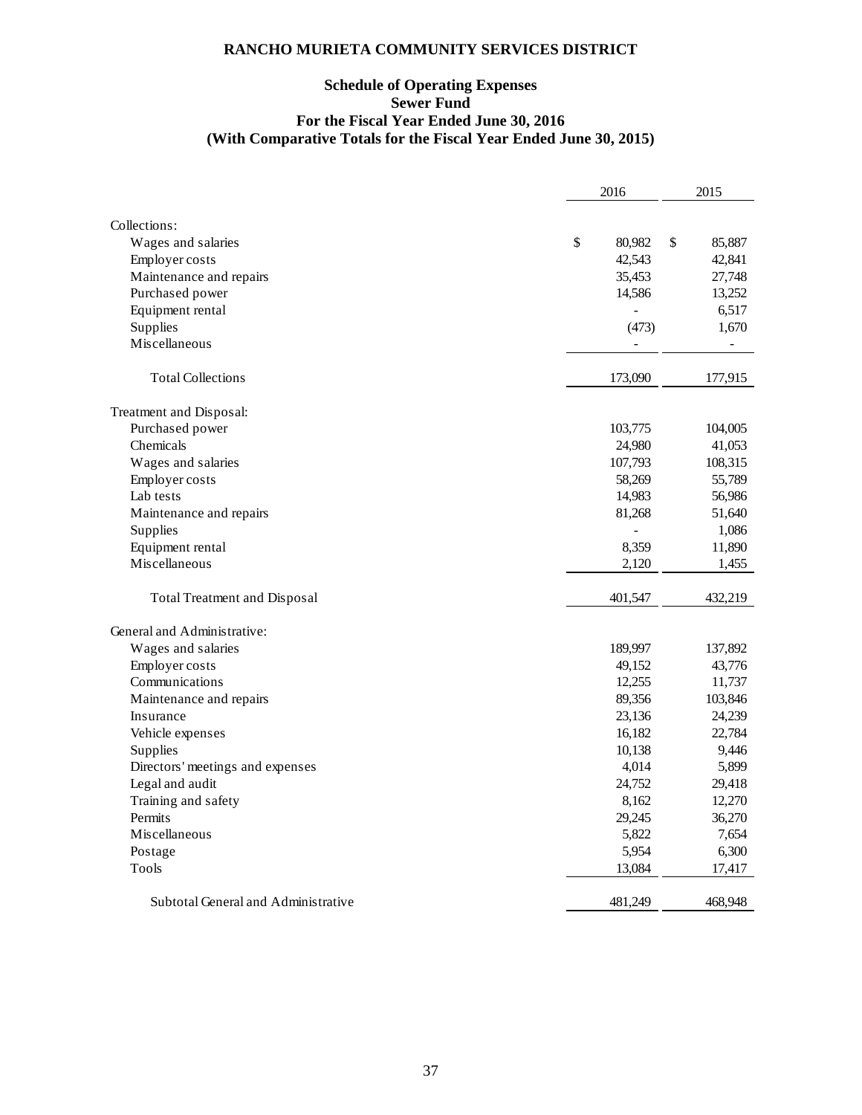# **Schedule of Operating Expenses Sewer Fund For the Fiscal Year Ended June 30, 2016 (With Comparative Totals for the Fiscal Year Ended June 30, 2015)**

|                                     | 2016           | 2015                     |  |
|-------------------------------------|----------------|--------------------------|--|
|                                     |                |                          |  |
| Collections:                        |                |                          |  |
| Wages and salaries                  | \$<br>80,982   | \$<br>85,887             |  |
| Employer costs                      | 42,543         | 42,841                   |  |
| Maintenance and repairs             | 35,453         | 27,748                   |  |
| Purchased power                     | 14,586         | 13,252                   |  |
| Equipment rental                    | $\overline{a}$ | 6,517                    |  |
| Supplies                            | (473)          | 1,670                    |  |
| Miscellaneous                       | $\blacksquare$ | $\overline{\phantom{a}}$ |  |
| <b>Total Collections</b>            | 173,090        | 177,915                  |  |
| Treatment and Disposal:             |                |                          |  |
| Purchased power                     | 103,775        | 104,005                  |  |
| Chemicals                           | 24,980         | 41,053                   |  |
| Wages and salaries                  | 107,793        | 108,315                  |  |
| Employer costs                      | 58,269         | 55,789                   |  |
| Lab tests                           | 14,983         | 56,986                   |  |
| Maintenance and repairs             | 81,268         | 51,640                   |  |
| Supplies                            |                | 1,086                    |  |
| Equipment rental                    | 8,359          | 11,890                   |  |
| Miscellaneous                       | 2,120          | 1,455                    |  |
| Total Treatment and Disposal        | 401,547        | 432,219                  |  |
| General and Administrative:         |                |                          |  |
| Wages and salaries                  | 189,997        | 137,892                  |  |
| Employer costs                      | 49,152         | 43,776                   |  |
| Communications                      | 12,255         | 11,737                   |  |
| Maintenance and repairs             | 89,356         | 103,846                  |  |
| Insurance                           | 23,136         | 24,239                   |  |
| Vehicle expenses                    | 16,182         | 22,784                   |  |
| Supplies                            | 10,138         | 9,446                    |  |
| Directors' meetings and expenses    | 4,014          | 5,899                    |  |
| Legal and audit                     | 24,752         | 29,418                   |  |
| Training and safety                 | 8,162          | 12,270                   |  |
| Permits                             | 29,245         | 36,270                   |  |
| Miscellaneous                       | 5,822          | 7,654                    |  |
| Postage                             | 5,954          | 6,300                    |  |
| <b>Tools</b>                        | 13,084         | 17,417                   |  |
| Subtotal General and Administrative | 481,249        | 468,948                  |  |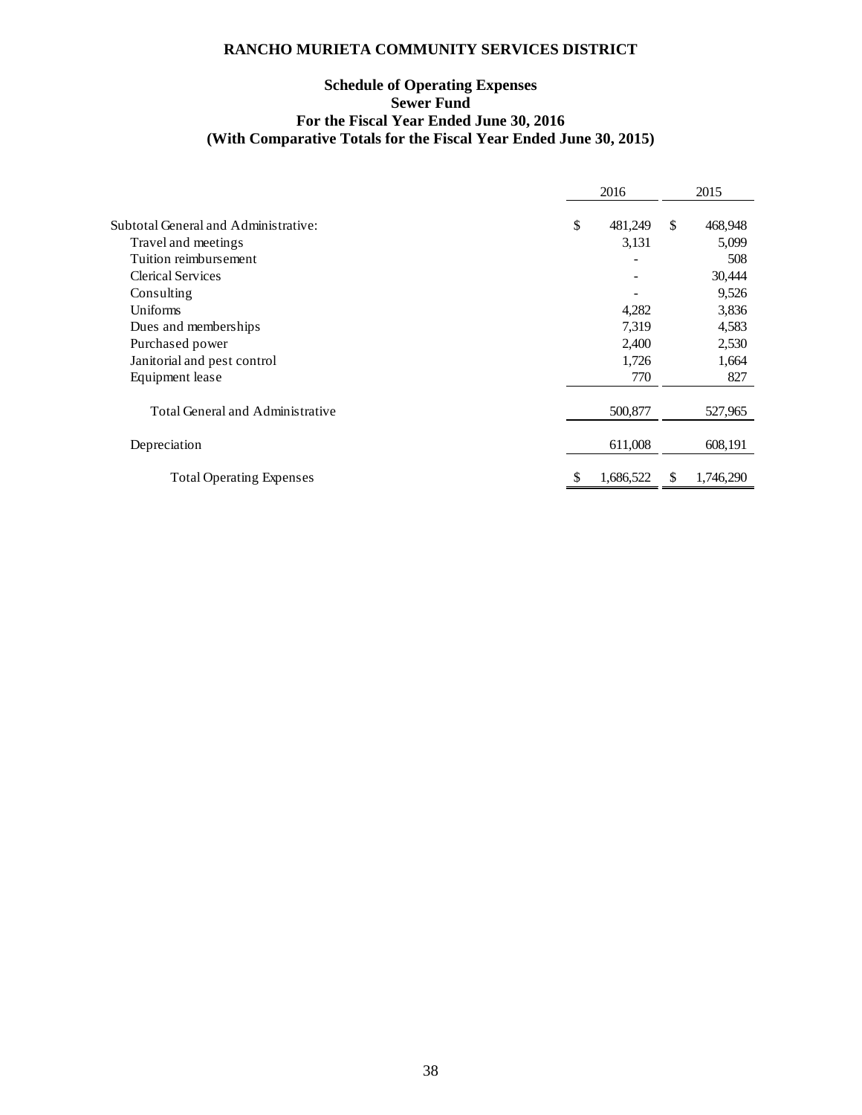# **Schedule of Operating Expenses Sewer Fund For the Fiscal Year Ended June 30, 2016 (With Comparative Totals for the Fiscal Year Ended June 30, 2015)**

|                                      | 2016          |    | 2015      |  |
|--------------------------------------|---------------|----|-----------|--|
|                                      |               |    |           |  |
| Subtotal General and Administrative: | \$<br>481,249 | \$ | 468,948   |  |
| Travel and meetings                  | 3,131         |    | 5,099     |  |
| Tuition reimbursement                |               |    | 508       |  |
| <b>Clerical Services</b>             |               |    | 30,444    |  |
| Consulting                           |               |    | 9,526     |  |
| Uniforms                             | 4,282         |    | 3,836     |  |
| Dues and memberships                 | 7,319         |    | 4,583     |  |
| Purchased power                      | 2,400         |    | 2,530     |  |
| Janitorial and pest control          | 1,726         |    | 1,664     |  |
| Equipment lease                      | 770           |    | 827       |  |
|                                      |               |    |           |  |
| Total General and Administrative     | 500,877       |    | 527,965   |  |
|                                      |               |    |           |  |
| Depreciation                         | 611,008       |    | 608,191   |  |
|                                      |               |    |           |  |
| <b>Total Operating Expenses</b>      | 1,686,522     | S  | 1,746,290 |  |
|                                      |               |    |           |  |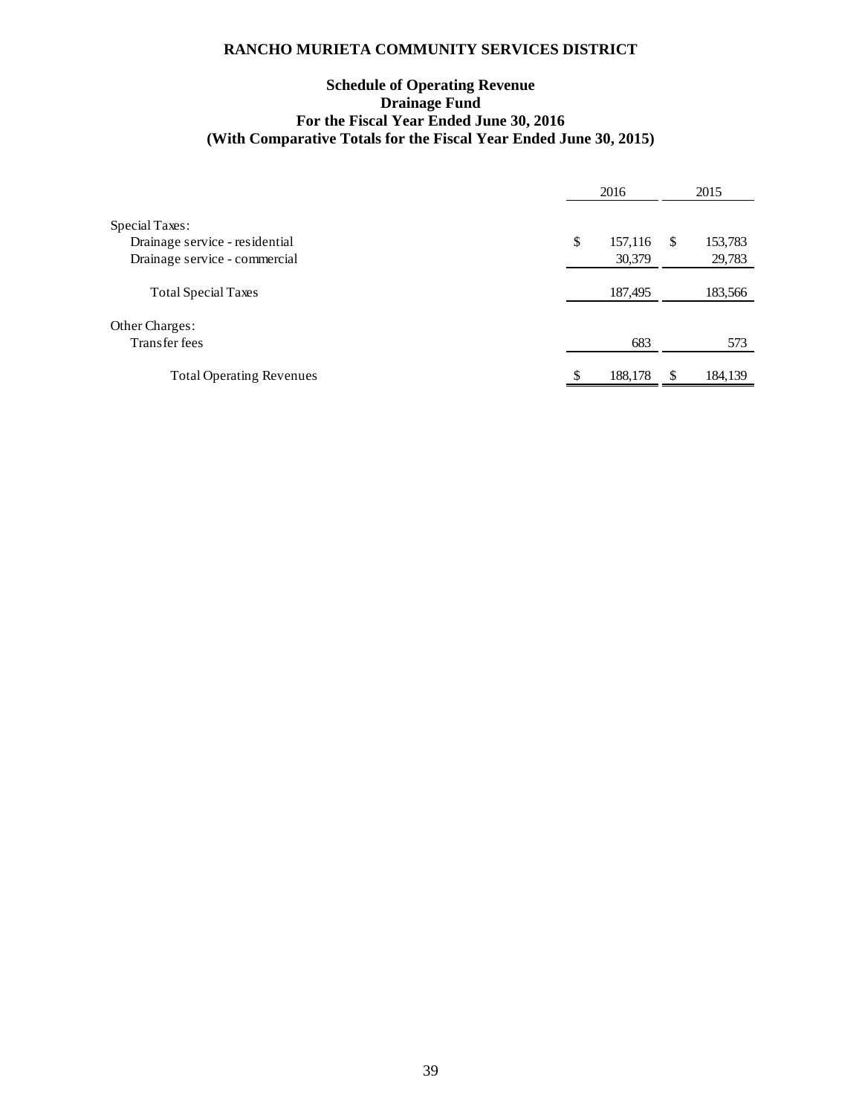# **Schedule of Operating Revenue Drainage Fund For the Fiscal Year Ended June 30, 2016 (With Comparative Totals for the Fiscal Year Ended June 30, 2015)**

|                                 | 2016          |   | 2015    |  |
|---------------------------------|---------------|---|---------|--|
| Special Taxes:                  |               |   |         |  |
| Drainage service - residential  | \$<br>157,116 | S | 153,783 |  |
| Drainage service - commercial   | 30,379        |   | 29,783  |  |
| <b>Total Special Taxes</b>      | 187,495       |   | 183,566 |  |
| Other Charges:                  |               |   |         |  |
| Transfer fees                   | 683           |   | 573     |  |
| <b>Total Operating Revenues</b> | 188,178       |   | 184,139 |  |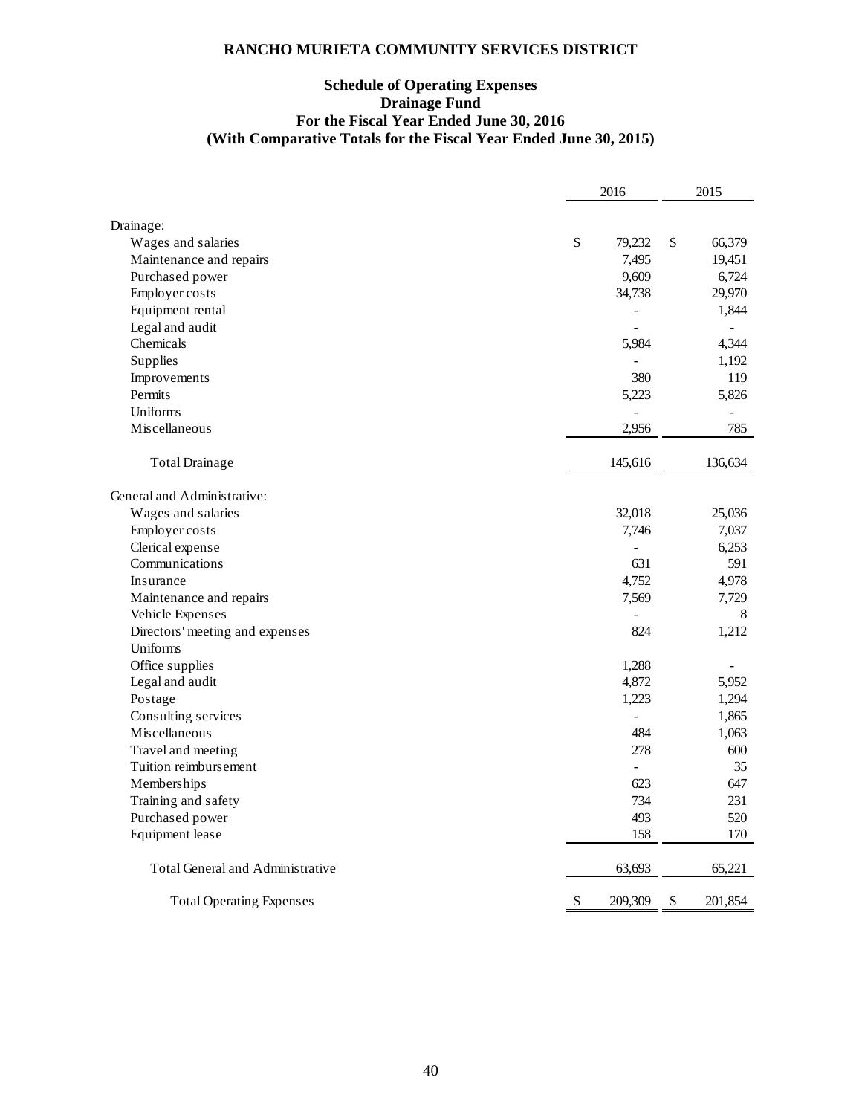# **Schedule of Operating Expenses Drainage Fund For the Fiscal Year Ended June 30, 2016 (With Comparative Totals for the Fiscal Year Ended June 30, 2015)**

|                                  | 2016                      |                | 2015 |                |
|----------------------------------|---------------------------|----------------|------|----------------|
|                                  |                           |                |      |                |
| Drainage:<br>Wages and salaries  | \$                        | 79,232         | \$   | 66,379         |
| Maintenance and repairs          |                           | 7,495          |      | 19,451         |
| Purchased power                  |                           | 9,609          |      | 6,724          |
| Employer costs                   |                           | 34,738         |      | 29,970         |
| Equipment rental                 |                           |                |      | 1,844          |
| Legal and audit                  |                           |                |      | $\overline{a}$ |
| Chemicals                        |                           | 5,984          |      | 4,344          |
|                                  |                           |                |      |                |
| Supplies                         |                           | $\overline{a}$ |      | 1,192          |
| Improvements                     |                           | 380            |      | 119            |
| Permits                          |                           | 5,223          |      | 5,826          |
| Uniforms                         |                           |                |      |                |
| Miscellaneous                    |                           | 2,956          |      | 785            |
| <b>Total Drainage</b>            |                           | 145,616        |      | 136,634        |
| General and Administrative:      |                           |                |      |                |
| Wages and salaries               |                           | 32,018         |      | 25,036         |
| Employer costs                   |                           | 7,746          |      | 7,037          |
| Clerical expense                 |                           | $\overline{a}$ |      | 6,253          |
| Communications                   |                           | 631            |      | 591            |
| Insurance                        |                           | 4,752          |      | 4,978          |
| Maintenance and repairs          |                           | 7,569          |      | 7,729          |
| Vehicle Expenses                 |                           | $\overline{a}$ |      | 8              |
| Directors' meeting and expenses  |                           | 824            |      | 1,212          |
| Uniforms                         |                           |                |      |                |
| Office supplies                  |                           | 1,288          |      |                |
| Legal and audit                  |                           | 4,872          |      | 5,952          |
| Postage                          |                           | 1,223          |      | 1,294          |
| Consulting services              |                           | $\overline{a}$ |      | 1,865          |
| Miscellaneous                    |                           | 484            |      | 1,063          |
| Travel and meeting               |                           | 278            |      | 600            |
| Tuition reimbursement            |                           | $\overline{a}$ |      | 35             |
| Memberships                      |                           | 623            |      | 647            |
| Training and safety              |                           | 734            |      | 231            |
| Purchased power                  |                           | 493            |      | 520            |
| Equipment lease                  |                           | 158            |      | 170            |
|                                  |                           |                |      |                |
| Total General and Administrative |                           | 63,693         |      | 65,221         |
| <b>Total Operating Expenses</b>  | $\boldsymbol{\mathsf{S}}$ | 209,309        | \$   | 201,854        |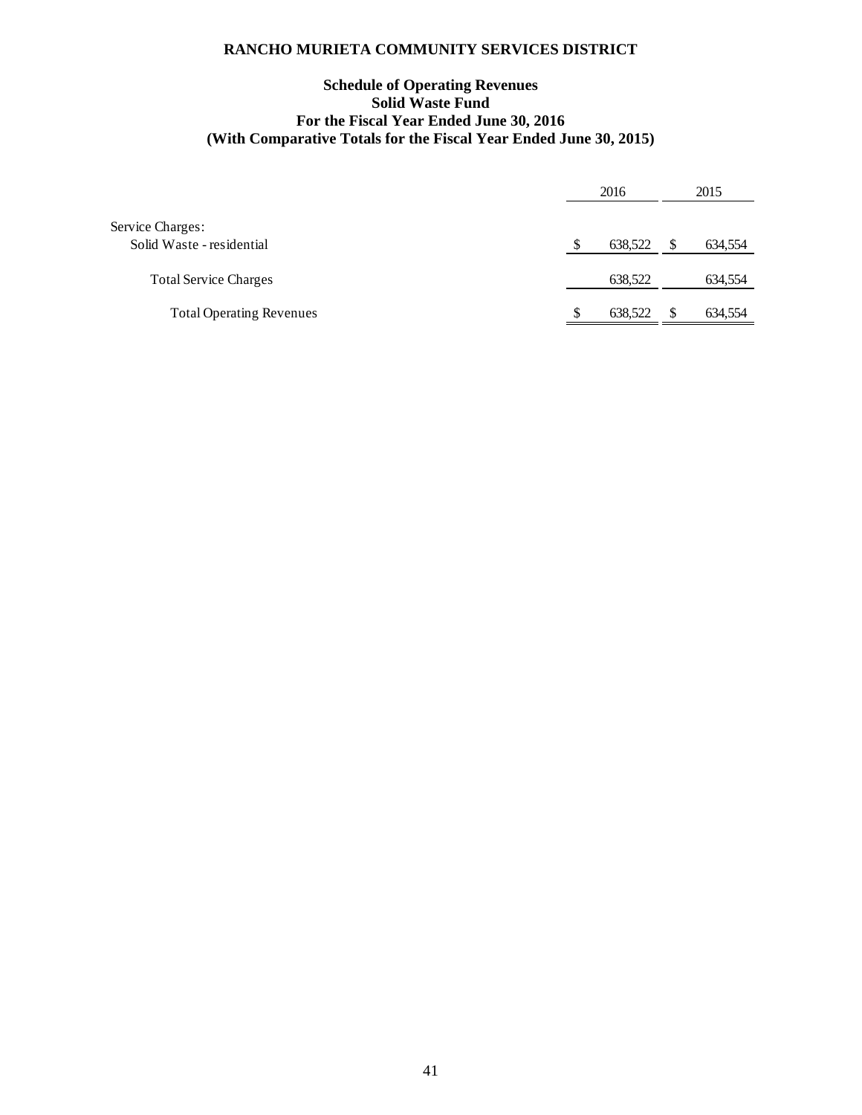# **Schedule of Operating Revenues Solid Waste Fund For the Fiscal Year Ended June 30, 2016 (With Comparative Totals for the Fiscal Year Ended June 30, 2015)**

|                                               | 2016 |         | 2015 |         |
|-----------------------------------------------|------|---------|------|---------|
| Service Charges:<br>Solid Waste - residential |      | 638,522 |      | 634,554 |
| <b>Total Service Charges</b>                  |      | 638,522 |      | 634,554 |
| <b>Total Operating Revenues</b>               |      | 638,522 |      | 634,554 |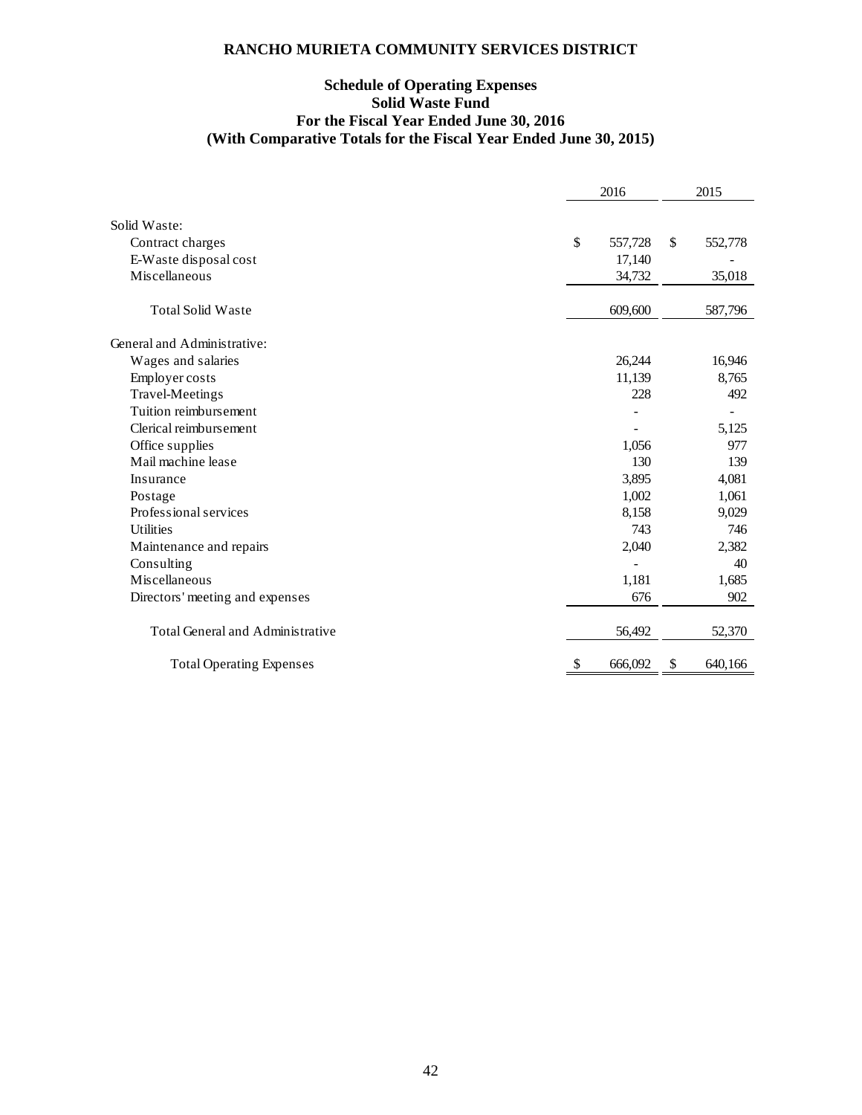# **Schedule of Operating Expenses Solid Waste Fund For the Fiscal Year Ended June 30, 2016 (With Comparative Totals for the Fiscal Year Ended June 30, 2015)**

|                                         |    | 2016    |    | 2015    |  |
|-----------------------------------------|----|---------|----|---------|--|
|                                         |    |         |    |         |  |
| Solid Waste:                            |    |         |    |         |  |
| Contract charges                        | \$ | 557,728 | \$ | 552,778 |  |
| E-Waste disposal cost                   |    | 17,140  |    |         |  |
| Miscellaneous                           |    | 34,732  |    | 35,018  |  |
| <b>Total Solid Waste</b>                |    | 609,600 |    | 587,796 |  |
| General and Administrative:             |    |         |    |         |  |
| Wages and salaries                      |    | 26,244  |    | 16,946  |  |
| Employer costs                          |    | 11,139  |    | 8,765   |  |
| <b>Travel-Meetings</b>                  |    | 228     |    | 492     |  |
| Tuition reimbursement                   |    |         |    |         |  |
| Clerical reimbursement                  |    |         |    | 5,125   |  |
| Office supplies                         |    | 1,056   |    | 977     |  |
| Mail machine lease                      |    | 130     |    | 139     |  |
| Insurance                               |    | 3,895   |    | 4,081   |  |
| Postage                                 |    | 1,002   |    | 1,061   |  |
| Professional services                   |    | 8,158   |    | 9,029   |  |
| <b>Utilities</b>                        |    | 743     |    | 746     |  |
| Maintenance and repairs                 |    | 2,040   |    | 2,382   |  |
| Consulting                              |    |         |    | 40      |  |
| Miscellaneous                           |    | 1,181   |    | 1,685   |  |
| Directors' meeting and expenses         |    | 676     |    | 902     |  |
| <b>Total General and Administrative</b> |    | 56,492  |    | 52,370  |  |
| <b>Total Operating Expenses</b>         | S  | 666,092 | S  | 640,166 |  |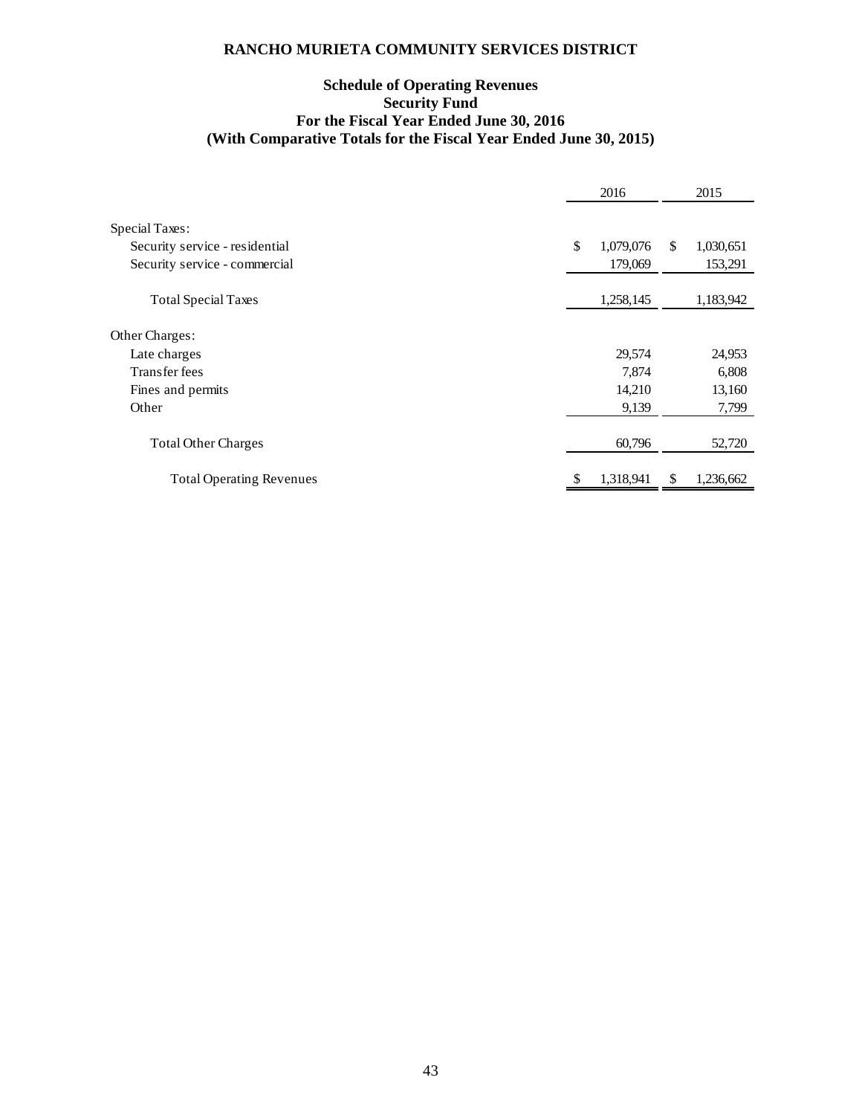# **Schedule of Operating Revenues Security Fund For the Fiscal Year Ended June 30, 2016 (With Comparative Totals for the Fiscal Year Ended June 30, 2015)**

|                                                             | 2016                 |     | 2015                 |
|-------------------------------------------------------------|----------------------|-----|----------------------|
| Special Taxes:<br>Security service - residential            | \$<br>1,079,076      | \$. | 1,030,651            |
| Security service - commercial<br><b>Total Special Taxes</b> | 179,069<br>1,258,145 |     | 153,291<br>1,183,942 |
| Other Charges:                                              |                      |     |                      |
| Late charges                                                | 29,574               |     | 24,953               |
| Transfer fees                                               | 7,874                |     | 6,808                |
| Fines and permits                                           | 14,210               |     | 13,160               |
| Other                                                       | 9,139                |     | 7,799                |
| <b>Total Other Charges</b>                                  | 60,796               |     | 52,720               |
| <b>Total Operating Revenues</b>                             | 1,318,941            | S   | 1,236,662            |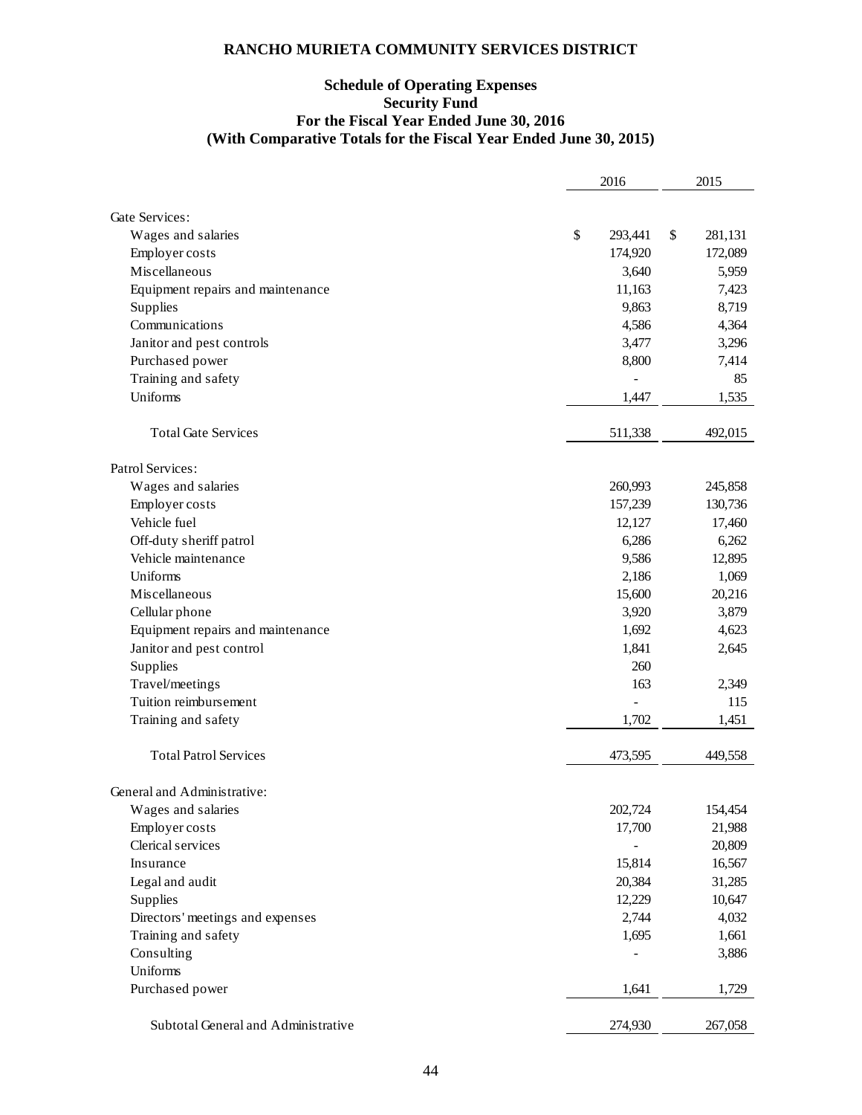# **Schedule of Operating Expenses Security Fund For the Fiscal Year Ended June 30, 2016 (With Comparative Totals for the Fiscal Year Ended June 30, 2015)**

|                                     | 2016 |         | 2015 |         |
|-------------------------------------|------|---------|------|---------|
|                                     |      |         |      |         |
| <b>Gate Services:</b>               |      |         |      |         |
| Wages and salaries                  | \$   | 293,441 | \$   | 281,131 |
| Employer costs                      |      | 174,920 |      | 172,089 |
| Miscellaneous                       |      | 3,640   |      | 5,959   |
| Equipment repairs and maintenance   |      | 11,163  |      | 7,423   |
| Supplies                            |      | 9,863   |      | 8,719   |
| Communications                      |      | 4,586   |      | 4,364   |
| Janitor and pest controls           |      | 3,477   |      | 3,296   |
| Purchased power                     |      | 8,800   |      | 7,414   |
| Training and safety                 |      |         |      | 85      |
| Uniforms                            |      | 1,447   |      | 1,535   |
| <b>Total Gate Services</b>          |      | 511,338 |      | 492,015 |
| Patrol Services:                    |      |         |      |         |
| Wages and salaries                  |      | 260,993 |      | 245,858 |
| Employer costs                      |      | 157,239 |      | 130,736 |
| Vehicle fuel                        |      | 12,127  |      | 17,460  |
| Off-duty sheriff patrol             |      | 6,286   |      | 6,262   |
| Vehicle maintenance                 |      | 9,586   |      | 12,895  |
| Uniforms                            |      | 2,186   |      | 1,069   |
| Miscellaneous                       |      | 15,600  |      | 20,216  |
| Cellular phone                      |      | 3,920   |      | 3,879   |
| Equipment repairs and maintenance   |      | 1,692   |      | 4,623   |
| Janitor and pest control            |      | 1,841   |      | 2,645   |
| Supplies                            |      | 260     |      |         |
| Travel/meetings                     |      | 163     |      | 2,349   |
| Tuition reimbursement               |      |         |      | 115     |
| Training and safety                 |      | 1,702   |      | 1,451   |
| <b>Total Patrol Services</b>        |      | 473,595 |      | 449,558 |
| General and Administrative:         |      |         |      |         |
| Wages and salaries                  |      | 202,724 |      | 154,454 |
| Employer costs                      |      | 17,700  |      | 21,988  |
| Clerical services                   |      | -       |      | 20,809  |
| Insurance                           |      | 15,814  |      | 16,567  |
| Legal and audit                     |      | 20,384  |      | 31,285  |
| Supplies                            |      | 12,229  |      | 10,647  |
| Directors' meetings and expenses    |      | 2,744   |      | 4,032   |
| Training and safety                 |      | 1,695   |      | 1,661   |
| Consulting                          |      |         |      | 3,886   |
| Uniforms                            |      |         |      |         |
| Purchased power                     |      | 1,641   |      | 1,729   |
|                                     |      |         |      |         |
| Subtotal General and Administrative |      | 274,930 |      | 267,058 |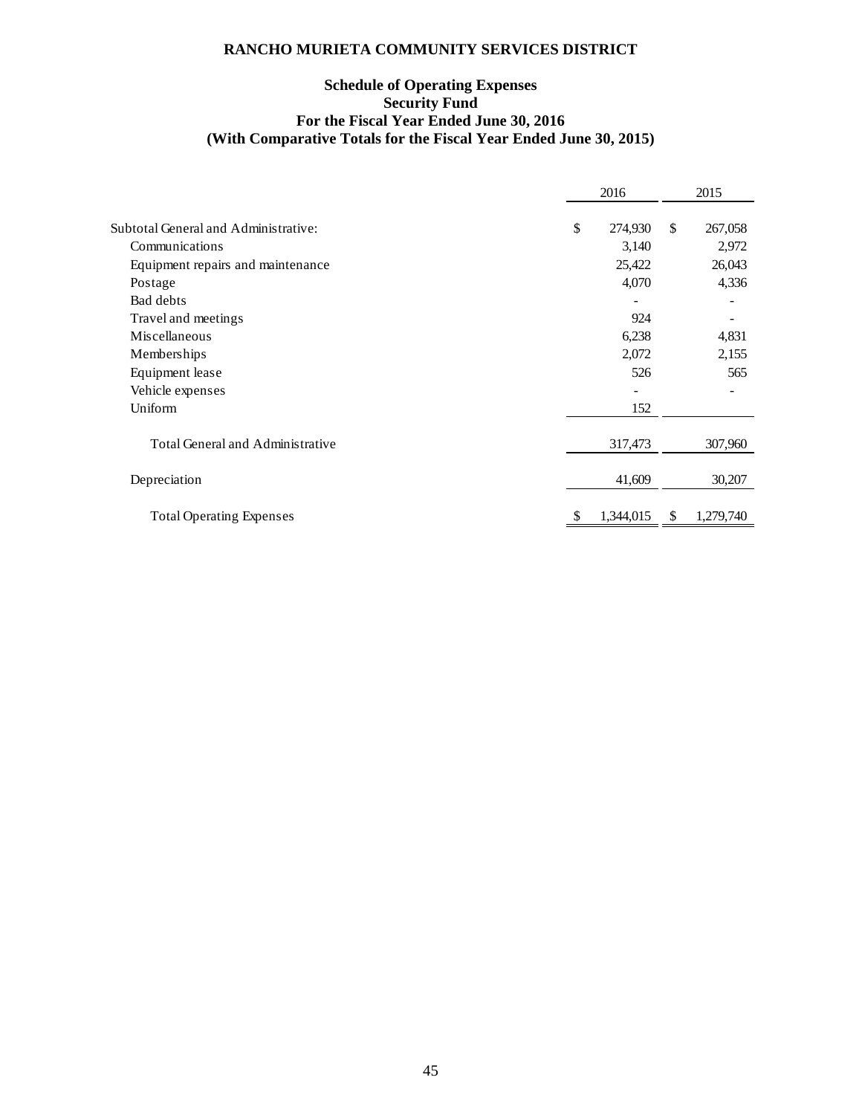# **Schedule of Operating Expenses Security Fund For the Fiscal Year Ended June 30, 2016 (With Comparative Totals for the Fiscal Year Ended June 30, 2015)**

|                                      | 2016 |           | 2015 |           |
|--------------------------------------|------|-----------|------|-----------|
|                                      |      |           |      |           |
| Subtotal General and Administrative: | \$   | 274,930   | \$   | 267,058   |
| Communications                       |      | 3,140     |      | 2,972     |
| Equipment repairs and maintenance    |      | 25,422    |      | 26,043    |
| Postage                              |      | 4,070     |      | 4,336     |
| Bad debts                            |      |           |      |           |
| Travel and meetings                  |      | 924       |      |           |
| Miscellaneous                        |      | 6,238     |      | 4,831     |
| Memberships                          |      | 2,072     |      | 2,155     |
| Equipment lease                      |      | 526       |      | 565       |
| Vehicle expenses                     |      |           |      |           |
| Uniform                              |      | 152       |      |           |
| Total General and Administrative     |      | 317,473   |      | 307,960   |
|                                      |      |           |      |           |
| Depreciation                         |      | 41,609    |      | 30,207    |
| <b>Total Operating Expenses</b>      |      | 1,344,015 | S    | 1,279,740 |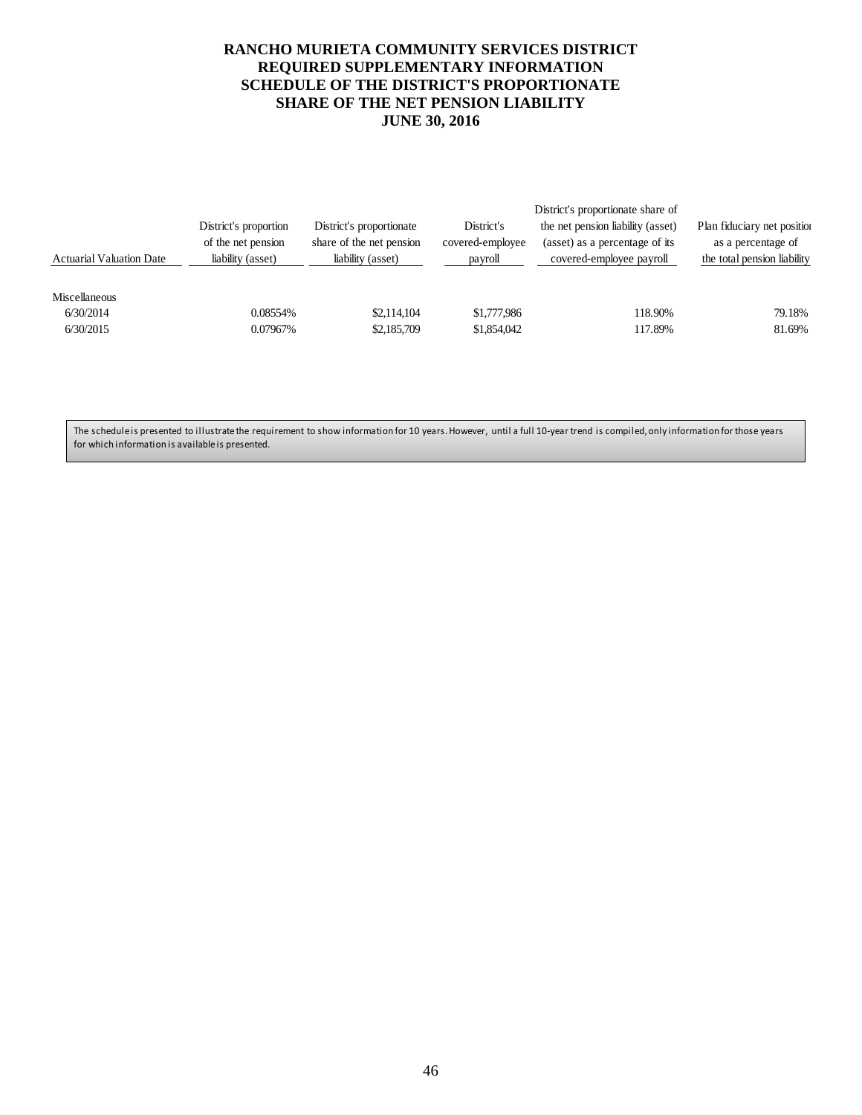# **RANCHO MURIETA COMMUNITY SERVICES DISTRICT REQUIRED SUPPLEMENTARY INFORMATION SCHEDULE OF THE DISTRICT'S PROPORTIONATE SHARE OF THE NET PENSION LIABILITY JUNE 30, 2016**

|                       |                          |                  | District's proportionate share of |                             |
|-----------------------|--------------------------|------------------|-----------------------------------|-----------------------------|
| District's proportion | District's proportionate | District's       | the net pension liability (asset) | Plan fiduciary net position |
| of the net pension    | share of the net pension | covered-employee | (asset) as a percentage of its    | as a percentage of          |
| liability (asset)     | liability (asset)        | payroll          | covered-employee payroll          | the total pension liability |
|                       |                          |                  |                                   |                             |
|                       |                          |                  |                                   |                             |
| 0.08554%              | \$2,114,104              | \$1,777,986      | 118.90%                           | 79.18%                      |
| 0.07967%              | \$2,185,709              | \$1,854,042      | 117.89%                           | 81.69%                      |
|                       |                          |                  |                                   |                             |

The schedule is presented to illustrate the requirement to show information for 10 years. However, until a full 10-year trend is compiled, only information for those years for which information is available is presented.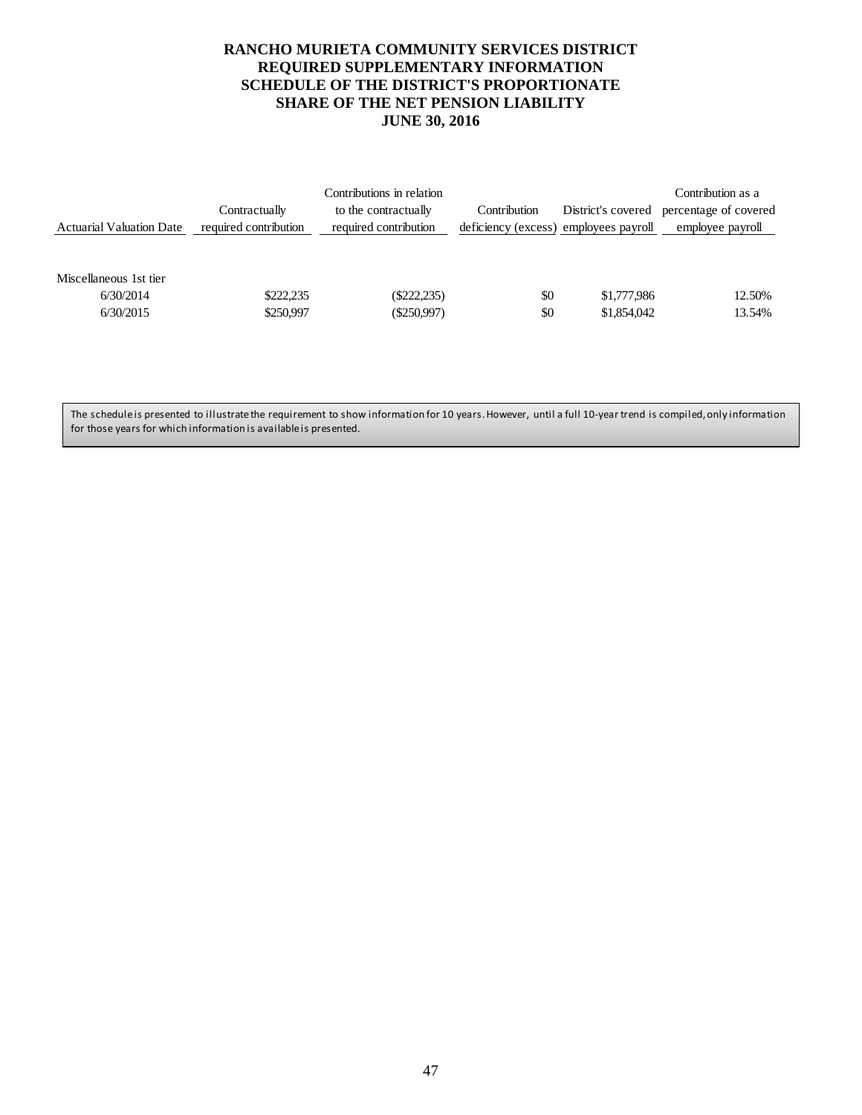# **RANCHO MURIETA COMMUNITY SERVICES DISTRICT REQUIRED SUPPLEMENTARY INFORMATION SCHEDULE OF THE DISTRICT'S PROPORTIONATE SHARE OF THE NET PENSION LIABILITY JUNE 30, 2016**

| <b>Actuarial Valuation Date</b>                  | Contractually<br>required contribution | Contributions in relation<br>to the contractually<br>required contribution | Contribution<br>deficiency (excess) employees payroll | District's covered         | Contribution as a<br>percentage of covered<br>employee payroll |
|--------------------------------------------------|----------------------------------------|----------------------------------------------------------------------------|-------------------------------------------------------|----------------------------|----------------------------------------------------------------|
| Miscellaneous 1st tier<br>6/30/2014<br>6/30/2015 | \$222,235<br>\$250,997                 | $(\$222,235)$<br>$(\$250,997)$                                             | \$0<br>\$0                                            | \$1,777,986<br>\$1,854,042 | 12.50%<br>13.54%                                               |

The schedule is presented to illustrate the requirement to show information for 10 years. However, until a full 10-year trend is compiled, only information for those years for which information is available is presented.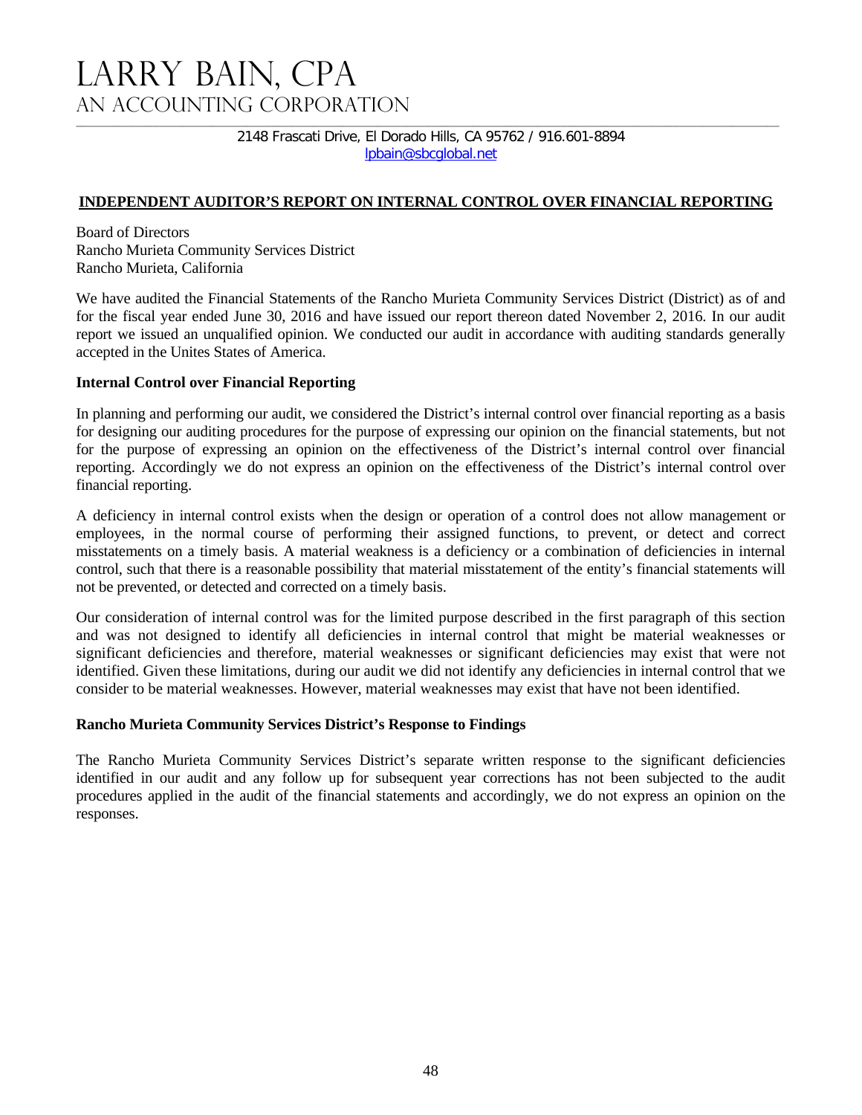# LARRY BAIN, CPA An Accounting Corporation

2148 Frascati Drive, El Dorado Hills, CA 95762 / 916.601-8894 lpbain@sbcglobal.net

# **INDEPENDENT AUDITOR'S REPORT ON INTERNAL CONTROL OVER FINANCIAL REPORTING**

Board of Directors Rancho Murieta Community Services District Rancho Murieta, California

We have audited the Financial Statements of the Rancho Murieta Community Services District (District) as of and for the fiscal year ended June 30, 2016 and have issued our report thereon dated November 2, 2016. In our audit report we issued an unqualified opinion. We conducted our audit in accordance with auditing standards generally accepted in the Unites States of America.

# **Internal Control over Financial Reporting**

In planning and performing our audit, we considered the District's internal control over financial reporting as a basis for designing our auditing procedures for the purpose of expressing our opinion on the financial statements, but not for the purpose of expressing an opinion on the effectiveness of the District's internal control over financial reporting. Accordingly we do not express an opinion on the effectiveness of the District's internal control over financial reporting.

A deficiency in internal control exists when the design or operation of a control does not allow management or employees, in the normal course of performing their assigned functions, to prevent, or detect and correct misstatements on a timely basis. A material weakness is a deficiency or a combination of deficiencies in internal control, such that there is a reasonable possibility that material misstatement of the entity's financial statements will not be prevented, or detected and corrected on a timely basis.

Our consideration of internal control was for the limited purpose described in the first paragraph of this section and was not designed to identify all deficiencies in internal control that might be material weaknesses or significant deficiencies and therefore, material weaknesses or significant deficiencies may exist that were not identified. Given these limitations, during our audit we did not identify any deficiencies in internal control that we consider to be material weaknesses. However, material weaknesses may exist that have not been identified.

# **Rancho Murieta Community Services District's Response to Findings**

The Rancho Murieta Community Services District's separate written response to the significant deficiencies identified in our audit and any follow up for subsequent year corrections has not been subjected to the audit procedures applied in the audit of the financial statements and accordingly, we do not express an opinion on the responses.